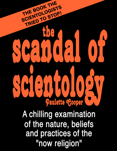THE BOOK THE SCIENTOLOGISTS TRIED TO STOP! **Paulette Booper** 

> A chilling examination of the nature, beliefs and practices of the "now religion"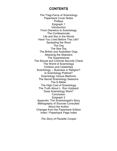### **CONTENTS**

[The Tragi-Farce of Scientology](#page-2-0)  [Paperback Cover Notes](#page-9-0)  [Preface](#page-14-0)  [Epigraph 1](#page-16-0)  Introduction [From Dianetics to Scientology](#page-21-0)  [The Confessionals](#page-26-0)  [Life and Sex in the Womb](#page-30-0)  [Have You Lived Before This Life?](#page-34-0)  [Spreading the Word](#page-38-0)  [The Org](#page-41-0)  [The Sea Org](#page-45-0)  [The British and Australian Orgs](#page-50-0)  [Attacking the Attackers](#page-59-0)  [The Suppressives](#page-64-0)  [The Sexual and Criminal Security Check](#page-72-0)  [The World of Scientology](#page-79-0)  [Children and Celebrities](#page-83-0)  [Scientology -- Business or Religion?](#page-88-0)  [Is Scientology Political?](#page-94-0)  [Scientology Versus Medicine](#page-99-0)  [The Secret Scientology Sessions](#page-105-0)  [The E-Meter](#page-114-0)  [The High Cost of Scientology](#page-117-0)  [The Truth About L. Ron Hubbard](#page-123-0)  [Does Scientology Work?](#page-130-0)  **Conclusion** Epigraph 2 [Appendix: The Scientologist's Story](#page-144-0)  [Bibliography of Sources Consulted](#page-152-0)  [About the Author](#page-153-0)  [Changes from the Paperback Edition](#page-154-0)  [Index / Paperback Page Index](#page-167-0) 

*The Story of Paulette Cooper*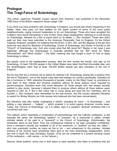## <span id="page-2-0"></span>**Prologue The Tragi-Farce of Scientology**

*This article, captioned "Paulette Cooper reports from America," was published in the December 1969 issue of the British magazine Queen (page 109).* 

If you think you have problems with Scientology in England, you should see what's happening in the States. Here, they pass out their leaflets on the street corners of some of the most pukka neighbourhoods, urging innocent bystanders to try out Scientology. Those who have accepted the invitation have found themselves in one of their many dingy headquarters, listening to a dull lecture on Scientology, followed by a film of equal merit on its leader, L. Ron Hubbard. Those who didn't walk out then may have submitted to the American Personality Test (in England, it's the Oxford Capacity Analysis), probably not realising that the B.Scn, D.Scn, DD, and BA degrees of the girl who wrote the test stood for Bachelor of Scientology, Doctor of Scientology, and Doctor of Divinity in the "Church" of Scientology only. And who knows what that BA stood for? Maybe in her case it was legitimate, although one Scientologist in Australia admitted that her "BA" stood for "Basic Administrator" and "Book Auditor" -- the latter meaning she had bought a book on how to apply Scientology to others.

But people come to the headquarters anyway, take the test, accept the results, and sign up for Scientology. At least 150,000 people in the United States have taken that final irrevocable step, and the Scientologists claim that at least 100,000 British people are also members of the cult in England.

But it's true that we in America are to blame for starting it all. Scientology sprang like a phoenix from the dirt of "Dianetics", one of the typical crazy fads that sweeps our country periodically. Dianetics hit like a hurricane in 1950, attracting thousands of people, mostly on the West Coast, by promising to cure them of their mental and physical problems without all those tedious hours required by psycho-analysis. Dianetics even had some attraction for those people who had always secretly wanted to play doctor, because it allowed them to *analyse* others without all those tedious years required to train for it. But a few critics had to come along and spoil the fun. Dianetics, and its founder, L. Ron Hubbard, were discredited by the real doctors, and the country deserted Dianetics to search for Bridey Murphy (an Irish woman who believed she had been reincarnated).

But Dianetics was also quietly undergoing a rebirth, changing its name -- to Scientology -- and adding a new element -- "religion" -- which enabled it to avoid paying American income taxes. Today, this "Church of Scientology", as it is called, says it is people's "spiritual" problems that it is concerned with now.

The method, which resembles a combination of psychotherapy and the Catholic confession, is still basically the same: the Scientology "patient", or "preclear", as a newcomer is called, reveals intimate details of his past to a "reverend" in the Church of Scientology. Unfortunately, the similarities seem to end there. First, the confessional material is not kept completely confidential, since a preclear's records are available to all of his reverends, or "auditors" as they are called - who may eventually number as many as five or six -- and unbeknown to the preclear, intimate portions of his records have sometimes been sent to the main Scientology headquarters, which are now in Saint Hill, East Grinstead, Sussex. (This can be compared to a priest's sending copies of the confession -- with names -- to the Vatican.)

Second, these auditors, some only in their teens or early twenties, who listen to problems that are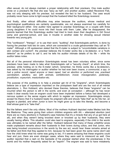often sexual, do not always maintain a proper relationship with their preclears. One male auditor wrote on a preclear's file that she was "sexy as hell", and another auditor, called Reverend Fisk, was not only sleeping with his preclear, but revealed the fact to her husband. The case would probably never have come to light except that the husband killed the Scientology reverend.

And finally, other ethical difficulties may arise because the auditors, whose medical and psychological qualifications are certainly questionable, are not always examined too carefully for their background either. One auditor here agreed to practise Scientology on a couple with three young daughters if he could move into their house with them. Later, after he disappeared, the parents learned that this Scientology auditor had tried to track down their daughters in Girl Scout camp and grammar-school, and was in trouble in another state for showing sexual interest towards very young girls.

This "confession", "therapy", or to use their word, "auditing", that Scientologists perform, is done by having the preclear hold two tin cans, which are connected to a crude galvanometer they call an "Emeter". Although a US spokesman stated that the E-meter is subject to "uncontrollable variations in skin contact and current", the preclear believes the E-meter works like a lie-detector, or a "truthdetector" as he prefers to call it, and he tells his auditor intimate details of his life -- while his auditor takes notes.

Not all of the personal information Scientologists reveal has been voluntary either, since some preclears have been made to take what Scientologists call a "security check", at which time, the preclear, while holding on to the E-meter (which, remember, he thinks works like a lie-detector), was asked by his interrogator or auditor whether he had ever been *insane, a communist, a spy, or*  had a police record, raped anyone or been raped, had an abortion or performed one, practised *cannibalism, adultery, sex with animals, exhibitionism, incest, miscegenation, pederasty, prostitution, voyeurism, masturbation* etc.

The purpose of this auditing is to help a preclear get rid of his "engrams", which Scientologists believe are a type of impression imprinted on the protoplasm itself and are the root of all mental aberrations. L. Ron Hubbard, who devised these theories, believes that these "engrams" can be incurred when the person is still in the womb, and even at conception -- although he has never made it clear exactly how an engram could have been implanted before a foetus had developed a nervous system or the sense organs with which to register an impression. Scientologists simply accept his theory that if a husband beats his pregnant wife and shouts "take that" as he hits her, an engram is planted, and when Junior is born he might grow up to take this literally, and become a thief whose goal is to "take that".

But the fathers aren't the only villains. Most of the mothers Hubbard depicted make Medea look like the Madonna. They were giving their unborn children engrams with AA -- attempted abortion (and there are so many abortions in Hubbard's case histories that it's a miracle that any of us got here at all), and when they weren't being knocked down or knocked up by their husbands, they were usually having affairs. This situation could also lead to engrams, especially if the child in the womb was ultimately to be named after the father. Hubbard believed that many of these unfaithful wives made unpleasant remarks about their husbands to their lovers during coitus, and that Junior, who was being knocked unconscious in the womb by the sex act, would *hear* these remarks aimed at his father and think that they applied to *him,* because he had been given the same name (don't ask how the child knew what his name was going to be). If it seems amazing that these engrams could hear and pun, there are even stranger cases, where they were said to misrecord as well. One auditor reported that a rash on the backside of his preclear started when the preclearwas in the womb and his mother frequently asked for an "aspirin". The engram was said to have mistakenly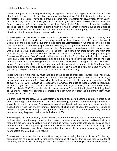registered this as "ass burn".

While undergoing this auditing, or erasing of engrams, the preclear begins to hallucinate not only about life in the womb, but also about *his many past lives*, since Scientologists believe that we, or our "thetans" (ie "spirits") have been around in some form or another *for seventy-four trillion years*. One Scientologist is said to have gone into a state of grief when she realised she had been her father's lover -- before she was born. Another Scientologist "discovered" during his auditing sessions that his current headaches started when he was a Roman centurion during the Battle of Cannae in 216 BC. He believes that someone from the Roman Burial party, mistakenly believing him dead, tried to kick his helmet back on to his head.

Scientologists are relentless in their attempts to get others to share their "religious" beliefs, and while some of their proselytising is probably based on their sincere desire to spread the joy of Scientology, there's another motive they never admit to: Scientologists in America receive a ten per cent cash rebate on any money spent by a convert they've brought in. Once a potential convert does show up, he may find it very hard to escape, since Scientologists immediately register every person who comes into their headquarters, or "org" as they call it (short for organisation), and from that moment on, the potential convert will receive a relentless mountain of mail urging him to join Scientology. One actor from Greenwich Village, who went to the "org" out of curiosity, tried to make it immediately clear to the Scientologists that he did not want to receive the incessant phone calls and letters to which a Scientology friend of his had been subjected. They agreed to take this actor's name off their mailing list, but they then hounded him to reveal the name of his friend who had complained about the phone calls, so that they could "call him and talk with him about it". And oh yes, today, one year later, the actor still receives mail from Scientology.

Those who do join Scientology must take one of two series of prescribed courses. The first group, auditing, consists of several levels which enable a Scientology "preclear" to become a "clear", ie, a person who is supposedly free from ailments that range from colds to cancer, and who has an IQ of over 135, etc. While everything is expensive in America, the price of these courses is ridiculous. In order to "go clear", a preclear must take courses that begin at £311, then £208, £499, £322, £250, and finally £333! Those who wish to rise above "clear" to reach the highest Scientology level of "Operating Thetan VIII" (defined as someone who can function without the aid of their body) must pay a whopping £1,185 more.

But that's just half the story, since Scientology also *trains* people to become auditors. Auditors don't even need a high-school education -- just more Scientology courses. These courses generally take a couple of months, although Scientologists sometimes boast that they can train some people to treat others in "less than twenty minutes". Training, which is much cheaper than auditing, is used to introduce people to Scientology here, perhaps because it starts at a modest £6, £13, and £19 before suddenly leaping to their more typical rate of £541.

Scientologists get people to pay these incredible fees by promising to return money to anyone who is dissatisfied. Unfortunately, however, they have occasionally set up certain conditions that have made this difficult. One Australian woman signed up for 300 hours of Scientology but decided soon afterwards that it was aggravating rather than alleviating her problems. When she tried to get her money back, however, she claims they wrote her that she would have to take *and pay for all 300 hours* before she could ask for a refund.

Scientology is so expensive that most Scientologists leave their jobs and go to work for the org, sometimes for no pay but just training units, sometimes at a salary that is less than a quarter of what they would receive on a regular job in the States. Some Scientologists choose credit instead,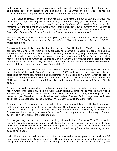and unpaid notes have been turned over to collection agencies, legal action has been threatened, and people have been harassed and intimidated, like the American father who received the following letter when he protested a £145 bill for fifteen hours of audition for his son.

*"... I am expert at harassment, try me and find out ... one more word out of you and I'll have you investigated ... I'll just start my people to work on you and before long, you will be broke, and out of a job, and broken in health ... you won't take long to finish off. I would estimate 3 weeks. Remember: I am not a mealy mouthed psalm canting preacher. I am a minister of the Church of Scientology! I am able to heal the sick and I do. But I have other abilities which include a knowledge of men's minds that I will use to crush you to your knees. You or any."*

The letter, signed by a Reverend Andrew Bagley, Organisation Secretary, had a short PS appended: *"Don't reply to this letter. If I want to get in touch with you, I'll be able to find you. Anywhere."* PS. The father paid the bill.

Scientologists repeatedly emphasise that the leader, L. Ron Hubbard, or "Ron" as the believers call him, makes no money from all this, although he receives a standard ten per cent tithe and sometimes more from the gross income of the twenty-one Scientology orgs (throughout the world) and their hundreds of *franchises* (a strange structure for a supposed Church!). He also makes money from books he's written on Scientology, and in America, he *requires* that all orgs buy more than £4,160 worth of them -- fifty per cent off for cash -- or he declares the Executive Secretary, whose job it is to purchase these books, "non-existent".

Another source of his income is a booklet called *Expand*, whose title unfortunately doesn't refer to any potential of the mind. *Expand* pushes almost £2,080 worth of films and tapes of Hubbard, certificates for marriages, funerals and christenings in the Scientology Church (which is legal in many US states), Old Father Hubbard's cupboard of E-meters (which auditors must purchase for £351 each, although they cost only £5 to build), and pictures of Hubbard himself for only £2 10s apiece.

Perhaps Hubbard's imagination as a businessman stems from his earlier days as a sciencefiction writer, who apparently took his work rather seriously, since he claimed to have visited Heaven twice, the planet Venus, and the Van Allen radiation belt. In fact, Scientology was first presented (as Dianetics) in the American *Astounding Science Fiction* magazines, and later expanded into a best-seller called *Dianetics: The Modern Science of Mental Health*.

Although many of his statements do sound as if he's from out of this world, Hubbard has stated that he does not wish to be deified by his followers. Nonetheless, he has revised the calendar to read "AD 1, AD 10" etc. ("After Dianetics, 1951," etc) and claimed that his discovery of Dianetics (ie, Scientology without the religion) was a "milestone for Man comparable to his discovery of fire and superior to his invention of the wheel and arch".

Not everyone agreed that he has made such great contributions. The *New York Times*, which currently accepts Scientology ads in, of all places, their Church column, reported on 24th April, 1951 that one of Hubbard's earlier wives was suing him for divorce, claiming that doctors had said he was a "paranoid schizophrenic" and that he had tortured her by "beating her, strangling her and denying her sleep".

It should also be noted that Hubbard, who often calls himself a nuclear physicist, and claims a BS from George Washington University and a PhD from Sequoia University, actually flunked physics, was placed on probation his first year at George Washington and didn't return afterwards; and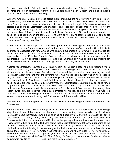Sequoia University in California, which was originally called the College of Drugless Healing, delivered mail-order doctorates. Nonetheless, Hubbard calls himself "Doctor" and he does indeed have a D.Scn -- or Doctor of Scientology.

While the Church of Scientology creed states that all men have the right "to think freely, to talk freely, to write freely their own opinions and to counter or utter or write about the opinions of others", this doesn't seem to apply to anyone who wishes to think, talk, or write against *Scientology*. A few of the articles and books on Scientology and Dianetics have strangely "disappeared" from the New York Public Library. Scientology offers a £4,180 reward to anyone who can give information "leading to the prosecution of those responsible for the attacks on Scientology". One writer in America tried to speak out against them on the telly. Before he went on the air, he learned that the Scientologists had found out about his plan and had called friends of his for personal information on him, "because we're going to get him".

A Scientologist is the last person in the world permitted to speak against Scientology, and if he tries, he becomes a "suppressive person" and "enemy of Scientology" and no other Scientologist is permitted to associate with him. Anyone who knows a suppressive is "reviewed" (and charged for it!) and declared a "Potential Trouble Source" or "PTS" until he "handles or disconnects" from the suppressive. If a Potential Trouble Source refuses to disconnect from someone on the suppressive list, *he* becomes suppressive, and one American boy was declared suppressive for failing to disconnect from his father -- although the child was only ten years old!

Another "suppressive", Raymond J. D. Buckingham, an English basso who administers a voice school in Manhattan, was initially so impressed with Scientology that he convinced several of his students and his fiancée to join. But when he discovered that his auditor was revealing personal information about him, and that the reverend who was his fiancée's auditor was trying to seduce her, he'd had it. When he went to the Scientologists to complain, however, he was told he would have to pay them £10 to discuss it and "get their advice". Totally disgusted, he had the courage to speak against Scientology on a radio programme. The Scientologists countered by declaring him a "suppressive person", "outside their protection" and "fair game". They ordered his students who had become Scientologists (at his recommendation) to disconnect from him and the money they legally owed him. He received phone calls threatening his life, and his fiancée, who was too frightened to leave Scientology, was held in a room at the org in Manhattan for four hours until she agreed to sign a statement saying that Buckingham had threatened to kill her.

The story does have a happy ending. Two, in fact. They eventually did get married and both have left Scientology.

But most stories don't have such happy endings there, because most people who join Scientology stay there. It would be foolish for them not to, because they have revealed much intimate information about themselves during their auditing and security test, and this information is kept in files which are hardly dead, since they are sometimes brought out and discussed with Scientologists if they're having some difficulties -- like perhaps they want to leave the group. In a Policy Letter of l9th April, 1965, Hubbard stated that a Scientologist who left without reporting to the leaders or letting his auditor handle the matter "must be fully investigated at any cost". In fact, Hubbard wrote the following to the secretary of the Melbourne headquarters about a boy who was giving them trouble: *"H (a well-known Scientologist) blew up in our faces ... we have criminal background on him. Rape of a girl pc (preclear) in Dallas and countless others. This will do something to (another Scientologist). Now I firmly believe you will be able to find a criminal background this life on \_\_\_\_\_\_\_\_ and (two more Scientologists)...."*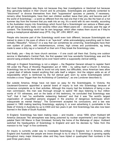But most Scientologists stay there not because they fear investigations or blackmail but because they genuinely believe in their Church and its principles. Scientologists are perfectly contented to "disconnect" or divorce themselves from their "suppressive" spouses or parents, if necessary, remarry other Scientologists, have their own children audited, leave their jobs, and become part of the world of Scientology -- a world so different from the real one that it hits you like the heat on a hot summer day from the moment that you walk into an org. It's a world with its own morality, according to the Australian inquiry into Scientology which found that a Scientologist can seduce a fifteen-yearold girl because she's really over seventy trillion plus fifteen-years-old -- obviously past the age of consent. The Scientology world has its own language, which often makes them sound as if they're eating a metaphysical alphabet soup (PTS, Org, SP, LRH, MEST, etc).

People who become part of the Scientology world even look different, because Scientologists are trained to stare in the eyes of others in an "eye-lock", while acknowledging everything said to them verbally ("Beautiful", "Groovy") in a way that can sometimes be unnerving. Scientologists have their own system of justice, with misdemeanours, crimes, high crimes and punishments, eg being made to wear a dirty rag or a handcuff on their arm if they break the Scientology rules.

And finally, yes -- they *do* have church services -- if one could call them that. During one outdoor service in Manhattan's Central Park, the first speaker told how wonderful Scientology was and the second sang probably the dirtiest lyrics ever heard within a supposedly clerical setting.

Although in England Scientology is not a religion -- the Registrar General refused to register Saint Hill under the Place of Worship Registration act of 1855 -- by calling itself a Church in America, Scientology has so far been able to avoid not only taxes, but difficulties, since American laws allow a great deal of latitude toward anything that calls itself a religion. And the religion adds an air of respectability which is reinforced by the full clerical garb worn by some Scientologists (which includes a cross "bigger than the Archbishop of Canterbury", as one Londoner describes it).

But outside America, things have not been so easy for the Scientologists. In Victoria, the Lieutenant-Governor appointed a special board of inquiry to look into Scientology because of numerous complaints as to their activities. Although this inquiry had the limitations of being a oneman commission, this man was thorough enough to spend 160 days listening to four million words of 151 witnesses, and on the basis of this testimony, he concluded that Scientology was "evil", that it had "no worthwhile redeeming features" and that it was "the world's largest organization of unqualified persons engaged in the practice of dangerous techniques which masquerade as mental therapy". The Government accepted his conclusions, and a law was passed in 1965 making teaching Scientology, applying it, or even advertising it, punishable in the State of Victoria in Australia by up to £500 and two years in jail. And Scientology has also now been banned in the State of South Australia.

In England, Scientology has been making news -- and trouble -- since 1959, when Hubbard left America (because "the atmosphere was being poisoned by nuclear experiments") and bought the palatial Saint Hill Manor in East Grinstead, formerly the home of the Maharaja of Jaipur. Hubbard switched the headquarters of Scientology to England and sent his decrees by Telex from this mansion to his "orgs" in five continents.

An inquiry is currently under way to investigate Scientology in England, but in America, unlike England and Australia few people are brave enough to try to stop it. Scientology is growing rapidly throughout many major American cities and they have tripled or quadrupled their numbers in the past three years alone.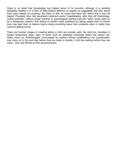There is no doubt that Scientology *has* helped some of its converts, although it is certainly debatable whether it is a form of faith-healing effective on people so suggestible that they would have been helped by *anything*. But there is also no doubt that there are others that it has not helped. Preclears have had psychiatric treatment and/or hospitalisation after they left Scientology. Letting anauditor, without proper medical or psychological training treat the "spirit" would seem to be a dangerous practice. And letting an auditor solve problems by taking people back to former lives may lead them to believe they're doing something about their problems when in reality they could be getting worse.

There are fourteen stages of crawling before a child can actually walk; the mind too, develops in certain hierarchical steps, each of which must be stabilised somewhat before the person can safely move on. Scientologists, encouraged by auditors whose qualifications are questionable, may move on to the next step before they are ready to handle it. And like walking before they can crawl -- they may fall flat on their psychical faces.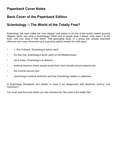## <span id="page-9-0"></span>**Paperback Cover Notes**

# **Back Cover of the Paperback Edition**

## **Scientology -- The World of the Totally Free?**

Scientology has been called the "now religion" and claims to be one of the world's fastest growing religious sects. Just what is Scientology? What kind of people does it attract, what does it do for them, and how does it hold them? This fascinating study of a group that already exercises influence over many Americans and is growing rapidly reveals the truth about:

- L. Ron Hubbard, Scientology's patron saint;
- the Sea Org, Scientology's lavish yacht on the Mediterranean;
- the E-meter, Scientology's lie detector;
- auditing sessions where people reveal their most intimate sexual experiences;
- the criminal security test;
- Scientology's political ambitions and how Scientology relates to celebrities.

Is Scientology therapeutic and helpful, or does it toy dangerously with blackmail, tyranny, and hypnotism?

You must read this book before *you* are charmed into "the world of the totally free."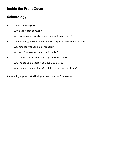# **Inside the Front Cover**

# **Scientology**

- Is it really a religion?
- Why does it cost so much?
- Why do so many attractive young men and women join?
- Do Scientology reverends become sexually involved with their clients?
- Was Charles Manson a Scientologist?
- Why was Scientology banned in Australia?
- What qualifications do Scientology "auditors" have?
- What happens to people who leave Scientology?
- What do doctors say about Scientology's therapeutic claims?

An alarming exposé that will tell you the truth about Scientology.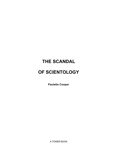# **THE SCANDAL**

# **OF SCIENTOLOGY**

**Paulette Cooper**

A TOWER BOOK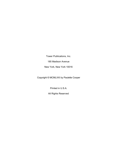Tower Publications, Inc.

185 Madison Avenue

New York, New York 10016

Copyright © MCMLXXI by Paulette Cooper

Printed in U.S.A.

All Rights Reserved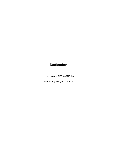# **Dedication**

to my parents TED & STELLA

with all my love, and thanks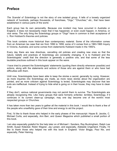## <span id="page-14-0"></span>**Preface**

*The Scandal of Scientology* is not the story of one isolated group. It tells of a loosely organized network of hundreds, perhaps thousands, of franchises, "Orgs," "Churches," etc., that have been established in various parts of the world.

Each group has its own personality. Because one incident may have occurred in Australia or England, it does not necessarily mean that it has happened, or even could happen, in America, or vice versa. The only thing the Scientology groups or "Orgs" have in common is their acceptance of L. Ron Hubbard's theories and policies.

This book contains more historical than contemporary material. Some of the information comes from an American tax case that ran from 1956 to 1959; some of it comes from a 1963-1965 Inquiry in Victoria, Australia; and some comes from statements Hubbard made in the 1950's.

Every day there are new directives, cancelling old policies and creating new ones so that the nature, beliefs and practices of Scientology are constantly changing. It is to Hubbard and the Scientologists' credit that the direction is generally a positive one, and that some of the less laudable practices outlined in this book appear on the wane.

I have tried to present the Scientologists' statements (quoting them directly whenever possible) and actions, along with the statements and actions of those who are against them or who have had difficulties with them.

Until now, Scientologists have been able to keep the stories a secret, generally by suing. However, as more inquiries into Scientology are made, as more news stories about the organization are printed, and as more criticism against Scientology is levied, Scientologists may discover that law suits are ineffectual. Instead of trying to hide what is going on in their house, they may have to clean it up.

If they don't, various national governments may not permit them to survive. The Scientologists are already recognizing this. Like many groups that were formerly *enfantes terribles*, Scientology, if it continues in its current clean-up campaign, may one day become one of the world's most respected groups or Churches.

It has taken more than two years to gather all the material in this book. I would like to thank a few of the people who unselfishly gave of their time and energy to aid the project.

First, I'd like to thank those who helped in the early phases of the manuscript: Hayes B. Jacobs, C. Michael Curtis, and especially, Ann Barr, and *Queen* Magazine which published a small portion of this book.

I am also especially grateful for the help later on of Michael I. Sanders, Ray Buckingham, Ralph Lee Smith, Susan Kideckel, Robin Wagner, Jay Larsen, and especially, Adelaide Ungerland. Finally, I'd like to thank those who helped me with this book in England: Victor Briggs, Paul Nix, and especially, Peter Haining.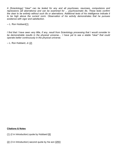*A [Scientology] "clear" can be tested for any and all psychoses, neuroses, compulsions and repressions (all aberrations) and can be examined for ... psychosomatic ills. These tests confirm the clear to be entirely without such ills or aberrations. Additional tests of his intelligence indicate it to be high above the current norm. Observation of his activity demonstrates that he pursues existence with vigor and satisfaction.*

 $-L.$  Ron Hubbard $\{1\}$ 

*I find that I have seen very little, if any, result from Scientology processing that I would consider to be demonstrable results in the physical universe.... I have yet to see a stable "clear" that could operate better continuously in the physical universe.*

 $-L.$  Ron Hubbard, Jr.  $\{2\}$ 

#### **Citations & Notes**

- {1} (2 in Introduction) quote by Hubbard [6]
- {2} (3 in Introduction) second quote by his son [255]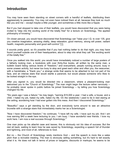### <span id="page-16-0"></span>**Introduction**

You may have seen them standing on street corners with a handful of leaflets, distributing them aggressively to passersby. You may not even have noticed them at all, because they look so much like you and me -- except maybe a little younger, and sometimes a little more like a hippie.

But if you had stopped to take one of their leaflets, you would have discovered that you were being invited to "step into the exciting world of the totally free" for a lecture on Scientology, "the applied philosophy of knowing."

On closer perusal, you would have discovered that Scientology can "raise your I.Q. to over 135, give you creative imagination, amazing vitality, deep relaxation, good memory, strong will power, radiant health, magnetic personality and good self-control."{1}

It sounds pretty good, so it's possible that if you had nothing better to do that night, you may have found yourself outside one of their headquarters, about to step into what they call "the exciting world of the totally free."

Once you walked into this world, you would have immediately noticed a number of large posters of a fatherly looking man, a bookstore with over thirty-five books, all written by the same man, a bulletin board listing various levels of "freedom," and everywhere, people running around, busy in some unseen activity, but never too busy to stop and greet each other and often you, the newcomer, with a handshake, a "thank you," a strange smile that seems to be attached to but not part of his face, and an intense stare that would startle a paranoid, but would please someone who likes to be looked straight in the eye.

After you signed in, you would be directed into a classroom, where a pleasant-looking man welcomed you to the "Church of Scientology." The man might begin the lecture rather nervously - he probably never spoke in public before he joined Scientology -- by telling you how Scientology changed his life.

"Six years ago I was a failure," he may begin, "earning \$15,000 a year. I had a wife, a house, and a child. I hated my job, hated my wife, hated my life. On the weekends I used to lie in bed staring at the ceiling, wondering how I had ever gotten into this mess. And then I discovered Scientology."

"Beautiful," says a girl standing by the door, and everybody turns around to see an attractive brunette with a strange stare that immediately marks her as a Scientologist.

"Now I have discovered freedom," he continues. "I have left my wife. I have quit my job. And I am now earning \$40 a week here lecturing to you. I am busy. I have wonderful new friends. I love my work here. I am now a real success through Scientology."

One man picks up his attaché case and leaves; this is obviously not *his* idea of success. But the rest sit back, waiting to learn how he was saved by Scientology, expecting a speech full of thunder and lightning, and most of all, references to God.

But no -- the Church of Scientology rarely mentions God -- and the speech is more like a sales pitch than a revivalist meeting. The man is obviously selling something, but it's hard to tell exactly what it is. He does not talk in terms of prices or bargains, discounts or markups; he seems to be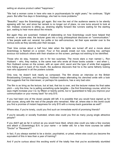selling an elusive product called "happiness."

"We had a woman come in here who was in psychoanalysis for eight years," he continues. "*Eight years*. But after five days in Scientology, she had no more problems."

"Beautiful," says the Scientology girl again. But now the rest of the audience seems to be silently agreeing with her, and since her remark is no longer out of place, no one turns around to look at her. Instead, everyone is sitting up, straining slightly forward like runners waiting for the starting gun, waiting to hear more about the miracle.

But again they are surprised. Instead of elaborating on how Scientology could have helped that woman, or anyone else, the lecturer goes into a long philosophical discourse on "communication." A few people walk out; several, too polite or too self-conscious, let their eyes wander over to the various exits as they secretly plan their escape.

Their time comes about a half hour later when the lights are turned off and a movie about Scientology is flashed on a screen. Four or five people sneak out now, ducking low, perhaps anxious not todisturb others with their shadow on the screen, perhaps not wishing to be identified.

Those who do stay, however, are in for two surprises. The movie stars a man named L. Ron Hubbard -- who, they realize, is the same man who wrote all those books outside -- and when L. Ron Hubbard comes on the screen, with an open shirt, ascot and the type of smile that suggests he's hiding gum in back of his mouth, the audience discovers that he is the same fatherly looking man who appeared in all the posters outside.

Only now, he doesn't look nearly so composed. The film shows an interview on the British Broadcasting Company, and throughout, Hubbard keeps alternating his clenched smile with a look that suggests that his interviewer, or perhaps his questions, has a very bad odor.

The film is as tiring as the lecture, but at last, that too is over, and the lecturer makes his final sales pitch -- only this time, he is selling something quite tangible -- the first Scientology course, which he says might increase your I.Q. by fifteen or twenty points, but is "guaranteed to help you improve your communication or your money back" for only \$15.

If you had been one of the dozen people still left, it is possible that you would have signed up for that course, along with the rest of the people who remained. After all, where else in this world could you find a promise of instant happiness for only \$15 with a money-back guarantee as well?

Where else, if you're lonely, could you find such an immediate world of promising friends?

If you're sexually or socially frustrated, where else could you find as many young single attractive people?

If you didn't get as far in school as you would have liked, where else could you take a few courses and attach a (Scientology) B.A. to your name -- or better still, for a few more courses be called "Doctor" or "Reverend"?

In fact, if you always wanted to be a doctor, psychiatrist, or priest, where else could you become the equivalent of this in less than a year of training?

And if you're curious about this exciting world of the totally free that you've accidentally stumbled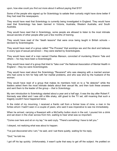upon, how else could you find out more about it without paying that \$15?

Some of the people who signed up for Scientology to satiate their curiosity might have done better if they had read the newspapers.

They would have read that Scientology is currently being investigated in England. They would have read that Scientology has been banned in Victoria, Australia, Western Australia, and South Australia.

They would have read that in Scientology, some people are allowed to listen to the most intimate sexual secrets of other people after just a few months of training.

They would have read of the "death lessons" that were once being taught in British schools - devised by Scientologists.

They would have read of a group called "The Process" that worships sex and the devil and believes in every type of sexual perversion -- they were started by Scientologists.

They would have read of a man named Charles Manson, convicted of murdering Sharon Tate and others -- he may have been a Scientologist.

They would have read of a group that tried to "take over" the National Association of Mental Health in England -- they too were Scientologists.

They would have read about the Scientology "Reverend" who was sleeping with a married woman who had come to him for help with her marital problems, and who was shot by the husband of the woman.

They would have read of a group that makes its members hold on to a "lie detector" while the leaders asked them the most intimate details about their sexual life, and then took these answers and sent them to the leader of the group -- *that is Scientology*.

My own introduction to Scientology started about a year and a half ago. It was the day after Robert F. Kennedy was killed and I was still a little shaky, still glued to the TV set, still moaning that such a tragedy couldn't have happened twice.

In the midst of my mourning, I received a frantic call from a former boss of mine, a man in his forties whom I hadn't seen in a couple of years, who said it was imperative to see me immediately.

When he arrived, carrying a flowerpot with a McCarthy button stuck in the soil, I poured him a drink and sat down in the chair across from him, waiting to hear what was so important.

"Come over here and sit on my lap," he said coyly. "There's something I have to tell you."

I obeyed, not realizing what was about to happen.

"I've just discovered who I am," he said, and I sat there quietly, waiting for his reply.

"God," he told me.

I got off his lap quickly. Unfortunately, it wasn't quite that easy to get off the subject. He prattled on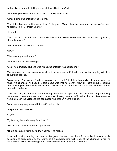and on like a paranoid, telling me what it was like to be God.

"When did you discover you were God?" I finally interrupted.

"Since I joined Scientology," he told me.

"Oh I think I've read a little about them," I laughed. "Aren't they the ones who believe we've been reincarnated for 74 trillion years?"

He nodded.

"Oh come on," I chided. "You don't really believe that. You're so conservative. House in Long Island, nice kids, a wife."

"Not any more," he told me. "I left her."

"Why?"

"She was suppressing me."

"Was she against Scientology?"

"Yes," he admitted. "But she was wrong. Scientology has helped me."

"But *anything* helps a person for a while if he believes in it," I said, and started arguing with him about faith healing.

"You're wrong," he told me "and just to prove to you that Scientology has really helped me, look how much I've changed. All I used to care about was making money. Now all I care about is helping people. I've given \$700 away this week to people standing on the street corner who looked like they needed to be helped.

"Look" he said, and removed several crumpled sheets of paper from his pocket and began reading the names, phone numbers, and occupations of every person he'd met in the past few weeks - from hippies in the Village to the conductor who'd taken his train ticket.

"What are you going to do with those?" I asked him.

"Help them, too," he said.

"How?"

"By keeping the Mafia away from them."

"But the Mafia isn't *after* them," I protested.

"That's because I wrote down their names," he replied.

I decided to stop arguing; he was too far gone. Instead I sat there for a while, listening to his delusions of persecution by the Mafia, of his conversations with God, of the changes in his life since he had joined Scientology, and of all the reasons why I should join it too.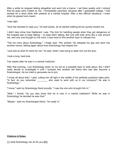After a while he stopped talking altogether and went into a trance. I sat there quietly until I noticed that his eyes were riveted on me. I immediately panicked, because after I graduated college, I had worked for a short while with patients at a mental hospital. After a few difficult situations, I knew what his glazed look meant.

I was right.

"God has decided to rape you," he said slowly, as he started walking all too quickly toward me.

I didn't dare show how frightened I was. The trick for handling people when they got dangerous at the hospital was to keep talking -- to keep them talking. But now with both arms like a vise around me, and only one thought on his mind, it was hard to find another topic to interest him.

"Tell me more about Scientology," I finally said. This worked. He released his grip and went into another trance, talking again about how Scientology had helped him.

"Just look at what it's done for me," he said, while I was trying to steer him out the door.

I took a long, hard look.

Two weeks later he was in a mental institution

After that evening, I put Scientology down on my list as a possible topic to write about. But I didn't really decide to investigate it until I bumped into another old friend who had also become a Scientologist. He too tried to persuade me to join.

"I know all about that," I said, cutting him off right in the middle of his perfectly practiced sales pitch. "In fact, do you remember \_\_\_\_\_\_\_\_ who used to work with us in our company? *He* was in Scientology."

"I know," said my Scientology friend proudly. "*I* was the one who brought him in."

"Well," I fumed, "do you also know that he is now in a mental institution? While he was in Scientology he decided he was God."

"*Maybe*," said my Scientologist friend, "*he really is*."

#### **Citations & Notes**

{1} what Scientology can do for you [65]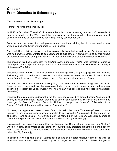## <span id="page-21-0"></span>**Chapter 1 From Dianetics to Scientology**

*The sun never sets on Scientology*

-- from "The Aims of Scientology"{1}

In 1950, a fad called "Dianetics" hit America like a hurricane, attracting hundreds of thousands of people, especially on the West Coast, by promising to cure them of all of their problems without subjecting them to all those tedious hours required by psychoanalysis.{2}

To understand the cause of all their problems, and cure them, all they had to do was read a book written by a science fiction writer named L. Ron Hubbard.

But in addition to letting people cure themselves, this book had something to offer those people who had always secretly wanted to be doctors and to cure others. It allowed them to do this without all those tedious years of required training. All they had to do was also read the book by Hubbard.

The impact of this book, *Dianetics: The Modern Science of Mental Health*, was incredible. Dianetics clubs sprang up everywhere. People referred to Hubbard's book simply as The Book, and thought of it more as The Bible.

Thousands were throwing Dianetic parties{3} and reliving their birth (in keeping with the Dianetics Philosophy which stated that a person's prenatal experiences were the cause of many of that person's problems today). What had once been a Seance had at last become Science.

But then, just when everyone was having fun, a few critics had to come along and spoil it all. Dianetics was discredited by the professional doctors and their organizations, and America deserted it to search for Bridey Murphy (the Irish woman who believed she had been reincarnated) instead. {4}

Dianetics then also quietly underwent a rebirth. First, people could no longer become "doctors" just by buying Hubbard's book. Instead, they had to pay to take courses at his institutions before they could get "professional" status. Secondly, Hubbard changed the "science" of Dianetics to a "religion." And last, he renamed this religion "Scientology."

Not everyone applauded these moves. One critic said the name "Scientology" was no more impressive than if a fruit shop proprietor decided to call himself a "Fruitologist."{5} But most of the objections -- and suspicion -- were levied not at the name but at the "religion." Agnostics seemed to resent the religion, and the religious may have resented the agnosticism.{6}

Scientologists did accept the idea of God, but believed that God existed in each man as a "thetan," which is roughly comparable to the "spirit" or "soul."{7} They therefore preached that man doesn't *have* a soul or spirit -- he *is* a spirit called a thetan. God, when he was referred to, was sometimes called the Big Thetan. ${8}$ 

In addition to worshipping a deity, Scientology also had some other religious elements as well. Its adherents were imbued with a missionary fervor, eager to march forth and deliver the gospel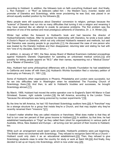according to Hubbard. In addition, the followers took on faith *everything* Hubbard said. And finally, L. Ron Hubbard -- or "Ron" as believers called him -- the Western Guru, inventor, leader and promoter of Dianetics and Scientology, while never proclaiming he was God, was placed in an almost equally exalted position by his followers.{9}

Many people were still suspicious about Dianetics' conversion to religion, perhaps because the "science" of Dianetics had run into so many difficulties that turning it into a religion and renaming it may have seemed like an attempt to evade its pervasive problems. The first problem was the desertion of one of the earliest and most prestigious adherents of Dianetics, Dr. J. A. Winter.{10}

Winter had written the foreword to Hubbard's book and had become the director of Hubbard'sDianetic Institute. After he severed his relationship with Dianetics, he wrote a book called *A Doctor's Report on Dianetics*, which not only criticized Hubbard's research and methods, but said that Dianetics was causing people to go psychotic.{11} He discussed the case of one person who was treated by the Dianetic Institute and then disappeared, returning later and stating he had with him "one of my disciples, Saint Simon...."

In addition, in January of 1951, the New Jersey Board of Medical Examiners instituted proceedings against Hubbard's Dianetic Organization for operating an unlicensed medical school,{12} and possibly for letting people append an "M.D." after their names, representing not a "Medical Doctor" but a "Master of Dianetics."{13}

Also, Hubbard had some philosophical differences with a Dianetic Foundation he had established in California and broke off with them.{14} Hubbard's Wichita foundation filed a voluntary petition of bankruptcy on February 21, 1951.{15}

Some of Hubbard's other organizations in Phoenix, Philadelphia and London were successful, but he ran into difficulties later in Washington when he established The Founding Church of Scientology there. [16] And then, to add to Hubbard's troubles and successes, he brought Scientology abroad.{17}

By March, 1959, Hubbard had moved the entire operation over to England's Saint Hill Manor in East Grinstead, Sussex, right outside London.{18} He left America, according to the London *Times* "because the atmosphere was being poisoned by nuclear experiments."{19}

By the time he left America, he had 153 franchised Scientology auditors here.{20} A "franchise" may be a strange structure for a group that insists they're a Church, and that may explain why they've recently renamed them "missions."{21}

It doesn't matter whether they are called missions or franchises. What does matter is that they all had to turn over ten percent of their gross income to Hubbard.{22} In addition, by that time, he had established headquarters or "Orgs" as they called them (short for organizations) in various parts of Australia, Africa, New Zealand and Europe -- all turning over ten percent of their income to Hubbard, too.

While such an arrangement would seem quite enviable, Hubbard's problems were just beginning. The British were not enchanted with Scientology. They refused to recognize Saint Hill as a Church -- Hubbard could only claim it as an educational establishment.{23} Then, they refused to give Scientology students visas to enter the country for study or work at Saint Hill.{24} And finally, they decided to set up an Inquiry into Scientology, which is now under way.{25}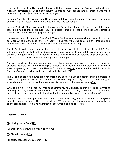If the Inquiry is anything like the other Inquiries, Hubbard's problems are far from over. After Victoria, Australia, completed its Scientology Inquiry, Scientology was banned and its practice was made punishable by up to \$500 and two years in jail.{26}

In South Australia, officials outlawed Scientology and their use of E-meters, a device similar to a lie detector.{27} In Western Australia, Scientology was also banned.{28}

In New Zealand officials conducted an Inquiry into Scientology, but decided not to ban it because they felt it had changed (although they did criticize some of its earlier methods and expressed concern over certain Scientology practices).{29}

Scientology was not banned in New South Wales,{30} however, where anybody can set himself up as a consulting psychologist (one New South Wales man who was convicted of kidnapping and murder had at one point in his career styled himself as a therapist).{31}

And in South Africa, where an Inquiry is currently under way, it does not look hopeful.{32} One witness allegedly testified that the Scientologists were planning to arm 5,000 Africans and seize control of the government.{33} A member of South Africa's Parliament referred to Scientology as a "cancer like communism that could destroy South Africa."{34}

And yet, despite all the Inquiries, despite all the bannings, and despite all the negative publicity, outsiders estimate that the Scientologists probably have several hundred thousand followers in America (possibly a quarter of a million in California alone),{35} maybe one hundred thousand in England,{36} and possibly two to three million in the world.{37}

The Scientologists' own figures are even more glowing; they claim at least four million members in America and probably five million members in the world.{38} One thing is certain -- Scientology is expanding, and probably tripled or quadrupled its members in the past few years.{39}

What is the future of Scientology? Will its adherents revive Dianetics, as they are doing in America and England now, if they run into more and more difficulties? Will they repeat their claims that they are a science, or will they make their claims that they are a religion even more vociferously?

In a letter titled "Scientology 1970," Hubbard wrote that Scientology would be planned on a *religious* basis throughout the world. The letter concluded: "This will not upset in any way the usual activities of any organization. It is entirely a matter for accountants and solicitors."{40}

#### **Citations & Notes**

- {1} initial quote on "sun" [23]
- {2} article in *Astounding Science Fiction* [108]
- {3} Dianetic parties [153]
- {4} left Dianetics for Bridey Murphy [142]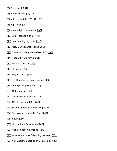- {5} Fruitologist [261]
- {6} agnostics unhappy [142]
- {7} religious beliefs [261, 91, 158]
- {8} Big Thetan [261]
- {9} other religious elements [280]
- {10} Winter breaking away [154]
- {11} people going psychotic [117]
- {12} Med. Ex. vs Dianetics [142, 255]
- {13} Dianetics calling themselves M.D. [268]
- {14} Hubbard in California [261]
- {15} Wichita bankrupt [128]
- {16} other orgs [272]
- {17} England in '57 [255]
- {18} first Dianetics group in England [168]
- {19} atmosphere poisoned [275]
- {20} 153 franchises [40]
- {21} franchises vs missions [277]
- {22} 10% to Hubbard [261, 255]
- {23} Scientology not Church in Eng. [239]
- {24} Scientologists barred in Eng. [258]
- {25} inquiry [259]
- {26} Victoria bans Scientology [282]
- {27} Australia bans Scientology [279]
- {28} W. Australia bans Scientology & meter [281]
- {29} New Zealand doesn't ban Scientology [185]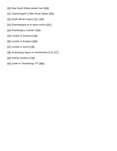- {30} New South Wales doesn't ban [249]
- {31} "psychologist" in New South Wales [246]
- {32} South African Inquiry [181, 248]
- {33} Scientologists try to seize control [247]
- {34} Scientology a "cancer" [184]
- {35} number in America [138]
- {36} number in England [206]
- {37} number in world [139]
- {38} Scientology figure on membership [114, 277]
- {39} tripling numbers [139]
- {40} quote on "Scientology '70" [88a]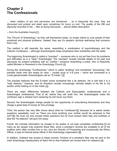## <span id="page-26-0"></span>**Chapter 2 The Confessionals**

*... when matters of sex and perversion are introduced ... as is frequently the case, they are discussed and probed and dwelt upon sometimes for hours on end. The quality of the filth and depravity recorded in the ... files as being discussed ... almost defies description.*

 $-$  from the Australian Inquiry $\{1\}$ 

The "Church of Scientology," as they call themselves today, no longer claims to cure people of their emotional and physical problems. Instead, they say it's people's *spiritual* well-being that concerns them now.

The method is still basically the same, resembling a combination of psychotherapy and the Catholic Confession -- although Scientologists today emphasize their similarities with the latter.

The beginning Scientologist is called a "preclear" -- someone who is not yet free from his problems and difficulties as is a "clear" Scientologist. The "preclear" reveals intimate details of his past and discusses his present problems with an "auditor," someone resembling a priest, who is frequently called Minister or Reverend in the Scientology Church.{2}

During this Scientology "Confessional," which is called "auditing" and sometimes "processing," the preclear holds onto two empty tin cans -- usually soup or V-8 juice -- which are connected to a crude galvanometer Scientologists call an "E-meter."{3}

The preclear believes that the E-meter works somewhat like a lie detector. He is told that it is a "truth detector," however, and he therefore reveals increasingly intimate details of his life to his auditor while holding on to the meter.{4}

There are major differences between the Catholic and Episcopalian confessionals and a Scientologist confessional. First of all, before they will audit him, the Scientologists make the confessor sign a release form swearing he will never sue them.

Second, the Scientologists charge people for the opportunity of unburdening themselves and they charge a great deal of money for this privilege.

Third, the person has very little choice about what he "confesses"{5} because he is asked certain questions repeatedly, such as "Have you done anything your mother would be ashamed to find out?"{6} He must not only answer these questions but he must answer them fully and truthfully or else the "lie detector" will give him away.

Fourth, the intimate information he reveals to his auditor is not kept completely confidential.{7} As many as ten people may examine these files, since a preclear's records are available to all of his auditors (who often number five or six), plus the Director of Processing and occasionally the Ethics Officer, a type of internal police officer in the Scientology organization.{8}

In addition, Hubbard has access to these records. Portions of a preclear's files may be sent to the main Scientology headquarters at Saint Hill so that Hubbard can review them for research.{9}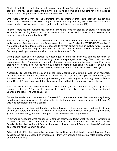Finally, in addition to not always maintaining complete confidentiality, cases have occurred (and they are certainly the exception and not the rule) in which some of the auditors have also failed to maintain a proper professional relationship with their preclears.

One reason for this may be the surprising physical intimacy that exists between auditor and preclear. In at least one exercise that is part of the Scientology auditing, the auditor and preclear are seated in chairs without arms, close together, with their knees intertwined.{10}

In other exercises the auditors may touch or move the preclear around, or touch his hands for several hours, moving them slowly in a circular motion, (an act which could surely become quite sensual after a long period of time).{11}

Ethical problems may have also occurred because many of these auditors are only in their teens or early twenties. Teen-agers, wrote a Scientology director once, "make the SWINGINEST auditors." Yet despite their age, these teens are supposed to remain objective and uninvolved while listening to what the Australian Inquiry described as "normal and abnormal sexual matters that are frequently dwelt upon in great detail and in an erotic manner."{12}

During these sessions, the preclear is encouraged to shed his inhibitions, and his reticence or reluctance to reveal the most intimate things may be disparaged. Scientology files have contained such statements as "pc (preclear) gets often the urge to move down to his sex organs. If he does that he gets restimulated." Or "pc has a bug about sending sexual beams at auditor," or even "pc disturbed because he came to have auditing and now wants to have sexual intercourse."{13}

Apparently, it's not only the preclear that has gotten sexually stimulated in such an atmosphere. One male auditor wrote on his preclear's file that she was "sexy as hell."{14} In another case, the Reverend William J. Fisk (a Scientology Reverend) was conducting his Scientology class in Seattle when Russell Edward Johnson, thirty six, a carpenter and building contractor entered the room.

According to the *Seattle Times*, Fisk shouted "This man is going to shoot me. Go get a cop. Please someone get a cop." But his plea was too late. With one bullet in his chest, fired by Russell Johnson, the Reverend was dead.{15}

During the murder trial it came out that Reverend Fisk, the one who was killed, was not only having an affair with Johnson's wife, but had revealed the fact to Johnson himself, boasting that Johnson's wife was completely under his control.

The wife also told her husband that she had been having an affair, and in fact, sued him for divorce on the day before the murder.{16} The wife, a mother of four children, had spent approximately \$1,000 on Scientology, and had been going for help with her marital problems.

(If anyone is wondering what happened to Johnson afterwards, forget what you read in *Anatomy of a Murder*. In that book, a husband killed the man who had intercourse with his wife, pleaded "irresistible impulse" and went free. In this case, Johnson pleaded "temporary insanity" and was sentenced to fifteen years in prison.)

Other ethical difficulties may arise because the auditors are just hastily trained layman. Their backgrounds are not checked or investigated -- they only answer a simple true false questionnaire about themselves.{17}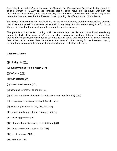According to a United States tax case, in Chicago, the (Scientology) Reverend Justin agreed to audit a woman for \$1,000 on the condition that he could move into the house with her, her husband, and their three young daughters.{18} After the Reverend entrenched himself firmly in the home, the husband saw that the Reverend was upsetting his wife and asked him to leave.

He refused. Nine months after he finally did go, the parents learned that the Reverend had secretly tried to see and possibly to remove two of their young daughters who were staying in a Girl Scout Camp. Girl Scout authorities stopped him and informed the parents.

The parents still suspected nothing until one month later the Reverend was found wandering around the halls of the young girls' grammar school looking for the three of them. The authorities took him to the principal's office, found out what he was doing, and called the wife. Several months later, three United States Marshals came to the parents' home looking for the Reverend Justin, saying there was a complaint against him elsewhere for molesting little girls.

#### **Citations & Notes**

- {1} initial quote [261]
- {2} auditor training to be minister [277]
- {3} V-8 juice [139]
- {4} truth detector [29]
- {5} forced to tell secrets [261]
- {6} ashamed for mother to find out [25]
- {7} (8) preclear doesn't know {that confessions aren't confidential} [255]
- {8} (7) preclear's records available [255, 261, etc.]
- {9} Hubbard gets records [25, 261, 255, etc.]
- {10} knees intertwined {during one exercise} [14]
- {11} touching preclear [16]
- {12} abnormal sex discussed, no inhibitions [261]
- {13} three quotes from preclear file [261]
- {14} preclear "sexy..." [261]
- {15} Fisk shot [134]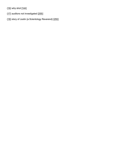{16} why shot [144]

- {17} auditors not investigated [255]
- {18} story of Justin {a Scientology Reverend} [255]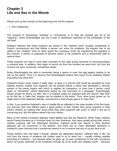## <span id="page-30-0"></span>**Chapter 3 Life and Sex in the Womb**

*Please pick up the somatic at the beginning and roll the engram.*

-- L. Ron Hubbard{1}

The purpose of Scientology "auditing" or "processing" is to help the preclear get rid of his "engrams," which Scientologists say are a type of impression imprinted on the protoplasm of the cell itself.

Hubbard believes that these engrams are stored in the "reactive mind" (roughly comparable to Freud's unconscious) and that before a person can solve his problems, the engram has to be refiled in the "analytic" mind (in other words the conscious mind). By transferring the engrams in this manner, a person is supposed to become aware of his problems and is presumably able to resolve them.

These engrams are said to have been recorded on the cells during moments of unconsciousness or extreme pain. In addition, they begin to record not from the moment we were born, but from the moment we were conceived, sometimes earlier.

Some Scientologists are able to remember being a sperm or even the egg eagerly waiting to be met by the sperm. Thus it is obvious that Scientologists believe that many of our problems started long before we were born.

Hubbard's theory never makes it really clear, at least in a manner that would be accepted by most medical doctors, exactly how engrams can be planted before a foetus had developed a nervous system or the sense organs with which to register an impression, or even how a person could retain or "remember" verbal statements before he had command of a language. Scientologists simply accept his theory on faith, that if a husband beats his pregnant wife and shouts "take that" as he hits her, a "take that" engram can be planted in the womb. Thus, when junior grows up, he might react to this statement literally, and become a thief whose goal is to "take that."

In fact, if you examine Hubbard's view of marital life as reflected in the case studies of his first book, you discover that most fathers spent a good portion of their marital lives giving engrams to their unborn children by beating their wives while they were pregnant with junior or while in the act of conceiving him. But the fathers weren't the only villains.

Many of the mothers Hubbard depicted made Medea look like the Madonna. When these mothers weren't being knocked up or knocked down by their husbands, they were usually giving their unborn children engrams with AA (Attempted Abortion). Hubbard wrote that "twenty or thirty abortion attempts are not uncommon in the aberee," and there are so many attempted abortions in Hubbard's case histories that it sometimes seems to be a miracle that any of us got here at all.

Those children who did make it though, despite the attempted abortion, suffered later in life, not only from the traces of whatever the mother used to try to abort him -- usually knitting needles according to Hubbard -- but because when he grew up, he was condemned to live with *murderers* whom he knows reactively to be murderers through all of his weak and helpless youth -- because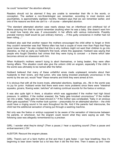he could "remember" the abortion attempt.

Readers should not be alarmed if they are unable to remember their life in the womb, or conception. The earliest a non-Scientologist can remember, according to most doctors and psychiatrists, is approximately eighteen months. Hubbard says that we can remember earlier, and one of the reasons we think we can't is -- of course -- attempted abortion.

"The standard attempted abortion case nearly always has an infanthood and childhood full of Mama assuring him that he cannot remember anything when he was a baby. She doesn't want him to recall how handy she was, if unsuccessful, in her efforts with various instruments. Possibly prenatal memory itself would be just ordinary memory ... if this guilty conscience in mother had not been rolling...."

Hubbard also said that another reason the mothers encouraged the child either to forget or think they couldn't remember was that "Mama often has had a couple of more men than Papa that Papa never knew about." He also implied that this is why mothers might not want their children to go into Dianetics, so that as early as Hubbard's first book, where this appeared, Hubbard was saying that people who fought Dianetics had crimes that they were trying to conceal -- a theme which later becomes almost an obsession with him.

When Hubbard's mothers weren't trying to abort themselves, or being beaten, they were often having affairs. This situation could also give the unborn child an engram, especially if the child in the womb was ultimately to be named after the father.

Hubbard believed that many of these unfaithful wives made unpleasant remarks about their husbands to their lovers, and that junior, who was being knocked practically unconscious in the womb by the sex act, would "hear" these remarks and think they were aimed at him.

It is obvious that with all the lovers trysts, attempted abortions, beatings, etc., life in the womb was no joy for junior. Hubbard wrote that there were even more problems since there were "intestinal squeaks, groans, flowing water, belches" all making continual sounds for the foetus or embryo.

It was also quite tight in there, a situation which was aggravated if the mother had high blood pressure. In addition, if the mother sneezed, the "baby gets knocked unconscious." If the mother ran into a table, "baby gets his head shoved in." If the mother was constipated, "baby in an anxious effort gets squashed." If the mother took quinine -- presumably for an attempted abortion -- the child could have a ringing sound in his ears throughout his life. And if the parents had intercourse, the child had the additional sensation of being put through a washing machine.

Not only was the foetus or embryo supposed to be aware of the sensation of intercourse between his parents, or whomever, but the engram could record what they were saying as well. The following case was allegedly remembered by a preclear.

GIRL: I wonder what they're doing? (Then a pause.) I hear a squishing sound! (Then a pause and embarrassment.) Oh!

AUDITOR: Recount the engram please.

GIRL: There's sort of a faint rhythm at first and then it gets faster. I can hear breathing. Now it's beginning to bear down harder but a lot less than it did the first time. Then it eases up and I hear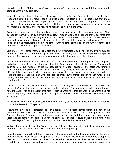my father's voice: "Oh honey, I won't come in you now." ... and my mother [says] "I don't want you in there at all then. You cold fish."

When the parents have intercourse, it not only has an adverse effect on the child at the time, Hubbard claims, but the results could be quite dangerous later in life. Hubbard says that many patients remember having been raped by their fathers (Freud came across many such cases and recognized them as fantasies). According to Hubbard, a preclear who remembers being raped by her father may be right, only she may have been in the womb at the time.

To show us how bad life in the womb really was, Hubbard tells us the story of a man who "had passed for `normal' for thirty-six years of his life." Through Dianetics treatment, they discovered that while the man's mother was pregnant with him, she had had intercourse seventy-six times with her husband (who was sometimes drunk) and her lover ("all painful because of enthusiasm of lover"). In addition, she masturbated eighty-one times ("with fingers, jolting and injuring with orgasm"), and douched on twenty-two separate occasions.

Like most of the other mothers, she also tried AA (Attempted Abortion) with *twenty-two* surgical abortions, a couple of home-made jobs with paste and strong lysol, a few desperate attempts by jumping off a box, and on another occasion by having her husband sit on her stomach.

In addition, she was constipated fifty-two times, had three colds, one case of grippe, one hangover, thirty-three cases of morning sickness, thirty-eight fights (presumably with her husband) which led to three falls, five incidents of the hiccups, eighteen various accidents and collisions, nineteen visits to the doctor, premature labor pains and ultimately twenty-nine hours of labor. And to top it all off, she talked to herself, which Hubbard says gave the man even more engrams to work on. Hubbard tells us that this man who had had all these awful things happen to him while in the womb, took 500 hours to cure. Hubbard also said he picked the case because it contained "the usual problems."

It would seem that the engram sees all, hears all, and registers everything, but sometimes it is incorrect. One auditor reported that a rash on the backside of his preclear -- and it was not stated how the auditor found out about that rash -- started when the preclear was in the womb and his mother frequently asked for an aspirin. The engram was said to have accidentally misrecorded this as "ass burn."{2}

Ira Wallach, who wrote a book called *Hopalong-Freud*, poked fun at these theories in a special chapter he devoted to "Diapetics."

Picture the mind as a refrigerator (gas or electric). Now diapetics demonstrates that part of the mind retains concepts not available for immediate use or analysis. These concepts have been *frozen* in the mind's *ice tray*. In another section of the mind we find the *crisper*. The *crisper* keeps ideas and concepts fresh, edible, and not too damp. (Green ideas should be left on the window sill for a few days.) Controlling both the *ice tray* and the *crisper* is the *defroster*.{3}

Wallach then poked fun at the "clear" -- a Scientologist who has gotten rid of his engrams and problems -- calling him a "crisp." He called the "preclear" a "precrisp."

In such a patient you will find the ice tray empty, the crisper full, and a dozen eggs behind the can of peaches. He is what we call in diapetics, a *crisp*.... People who have not undergone therapy are *precrisps* ... a person whose ice cubes have melted to the extent that they can be moved without resort to hammer and screwdriver.... Thus we can see at a glance that Diapetics realizes a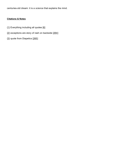centuries-old dream: it is a *science* that explains the mind.

#### **Citations & Notes**

- {1} Everything including all quotes [6]
- {2} exceptions are story of rash on backside [264]
- {3} quote from Diapetics [265]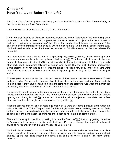## <span id="page-34-0"></span>**Chapter 4 Have You Lived Before This Life?**

*It isn't a matter of believing or not believing you have lived before. It's a matter of remembering or not remembering you have lived before.*

-- from "Have You Lived Before This Life," L. Ron Hubbard{1}

If the prenatal theories of Dianetics appeared startling to some, Scientology had something even more radical to offer -- past lives -- presented not as a matter of conjecture but as a matter of certainty. In addition to "remembering" their life in the womb, Scientologists can "remember" the past lives of their immortal thetan or spirit, which is said to have lived in many bodies before ours. Hubbard used to believe that this thetan had existed for 74 trillion years, but he now believes it's longer.{2}

One Scientologist claims he fell out of a spaceship 55,000,000,000,000,000,000 years ago and became a manta ray fish after having been killed by one.{3} This thetan, which is said to be onequarter to two inches in diameter{4} and blind or dimsighted at first,{5} would look for a new body after each death, sometimes following a woman who looked like she might become pregnant.{6} Some thetans, however, had to go to "implant stations" to get a new body, and since there were more thetans than bodies, some of them had to queue up for as long as 22 million years just waiting.

Scientologists believe that the past lives and deaths of their thetans are the cause of some of their problems today. For example, Hubbard thought it possible that someone suffering from psoriasis (a skin disease) may have contracted it from the remains of the digestive fluid when the person (or his thetan) was being eaten by an animal in one of his past lives. $\{7\}$ 

If a person frequently clenches his jaws, or suffers from a pain there or in his tooth, it could be a vestige from the days that his thetan was in the body of a primeval clam which was having trouble opening and closing its shell.{8} Hubbard said that if the pain in the jaw was associated with a fear of falling, then the clam might have been picked up by a bird.{9}

Hubbard believes that millions of years ago many of us were this same primeval clam, which he calls a "Boo-Hoo" or "Grim Weeper," and if a Scientologist walks into an auditing session and finds that he can't cry, Hubbard said it may be "because he is about to be hit by a wave, has his eyes full of sand, or is frightened about opening his shell because he is afraid of being hit."{10}

The auditor may try to cure him by making him "run the Boo-Hoo,"{11} that is, by getting him either to "imagine that his eyes are in his mouth looking out" or to go through the physical motions of crying so he "connects" with the Grim Weeper or Boo-Hoo.{12}

Hubbard himself doesn't claim to have been a clam, but he does claim to have lived in ancient Rome a couple of thousand years ago, where he picked up a formula for feeding non-breast-fed babies.{13} He has since passed this formula on to his followers in one of his many chatty newsletters.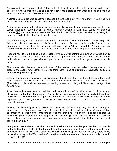Scientologists spend a great deal of time during their auditing sessions reliving and resolving their past lives. One Scientologist was said to have gone into a state of grief when she realized she had been her father's lover -- before she was born.

Another Scientologist was concerned because his wife was now living with another man who had once been her husband -- in one of her previous lifetimes.{14}

A Boston cab driver and part-time Harvard student discovered during an auditing session that his current headaches started when he was a Roman Centurion in 216 B.C., during the Battle of Cannae.{15} He believes that someone from the Roman Burial party, mistakenly believing him dead, tried to kick his helmet back onto his head.

Despite this insight he *still* has his headaches, but this hasn't shaken his belief in Scientology. His faith didn't falter even when one of his Scientology friends, after spending hundreds of hours in the group getting rid of all of his engrams and becoming a "clear," moved to Albuquerque and committed suicide. He attributed the suicide not to Scientology, but to living in Albuquerque.

Hubbard has devoted a special book called *Have You Lived Before This Life: A Scientific Survey* just to past-life case histories of Scientologists. The preface of this book also contains the names and addresses of the people who took part in the experiment so that the cynical could check its facts.

The names listed, however, were not those of the preclear who had relived the experience, but those of the auditor who elicited the stories from them -- and all auditors are advanced, dedicated and believing Scientologists.

Strangely enough, few subjects in this experiment thought they had ever been famous in their past lives, except for one British man who was uncertain whether or not he had once been Lord Nelson. (The details of his death, without even a passing reference to his good friend Hardy, suggest that he was not.)

A few people, however, believed that they had been animals before being humans in this life, and elsewhere, Hubbard told the story of a "psychotic" girl who recovered after she worked through an earlier life as a lion who ate its keeper.{16} Hubbard also said that some intelligent dogs or horses might have once been generals or ministers of state who were taking it easy for a life or two to cure them of their ulcers.

Most of the Scientologists who relived their past lives believed that they had once been plain people, or very often space people, and for plots, their histories read like a type of science-fiction sadomasochism. Many of the preclears believed that they had lived on other planets, and that the most unimaginably terrible things happened to them during "wars between worlds and celestial travel between universes whose existence was not even suspected before Hubbard's time," said the Australian Inquiry.{17}

One preclear remembered that when he was in another life and was five years old he was "already on the lookout for brothels," by fourteen or fifteen had learned all about "sex and homosexuals," and by sixteen had killed his father, baby, and captain, breaking up the body of the last, before finally being taken away to the "Zap machine" where he was decapitated and his arms and body placed in a space coffin.{18}

One man remembered that when he was in another life he was a Roman soldier who strangled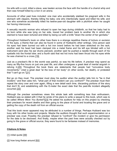his wife with a cord, killed a slave, was beaten across the face with the handle of a chariot whip and then was himself killed by a lion in an arena.

Accounts of other past lives included: one man who accidentally stabbed his pregnant wife in the stomach with clippers, thereby killing his baby; one who intentionally raped and killed his wife; and one who somehow accidentally killed his twelve-year-old daughter with a pitchfork when he caught her having intercourse.

A sexually neurotic woman who refused to open her legs during childbirth, so that her baby had to be born while she was lying on her side, traced her problem back to another life in which she claimed to have been tortured and killed by being cut with a knife "down the center of her genitalia."

Throughout Hubbard's book on other lives there is a strange repetitive theme of torture or excision of the eyes, a theme that can also be found in some of Hubbard's other writings. One person said his eyes had been burned out with a hot iron brand before he had been stretched on the rack; another said his head had been clamped into a metal frame and his left eye blinded with a hot instrument (and also his ear drums pierced); another said he pushed a needle through each of his eyeballs into the frontal lobe; and a fourth said that red hot irons had been thrust into his eyes while he was chained to a cross.{19}

Just as a preclear's life in the womb was painful, so was his life before. A preclear may spend as many as fifty-five hours on just one past life, and often undergoes a great deal of mental anguish in reliving it.{20} Throughout the book there are statements that people had "convulsive body movements," cried a great deal "at the loss of her body" (in other words, her death), or protested that "I can't go on." $\{21\}$ 

But go on they must. The preclear must obey his auditor when the auditor tells him to "be in that incident," and then asks him, "what part of that incident can you confront?" The preclear must then repeat the story over and over again, lifting a new detail each time, discarding portions of the story that don't fit, and establishing with the E-meter the exact date that the past-life incident allegedly occurred.{22}

Although the preclear sometimes views this whole task with something less than enthusiasm, Hubbard was so elated with it that he wrote of his plans to write a sequel to this book, which was to be called *Where Were You Buried?*{23} He asked his auditors for help on this project by checking their preclears for recent deaths and then going to the place of burial and locating the grave and or getting the copy of the death roll from an official source.

That this book never appeared may be attributed to a number of things. Perhaps Hubbard was too busy with his other books and projects. Maybe the auditors thought that such experimentation on a preclear was cruel. Possibly the preclear refused to "confront" the incident or give his permission for the data to be disclosed. And finally, maybe when the past lives were actually checked out by going to the grave or official source, they were found to be fantasies instead of memories.

### **Citations & Notes**

{1} initial quote [39]

{2} how long thetan around [93]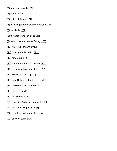- $\{3\}$  man who was fish  $[8]$
- ${4}$  size of thetan  $[17]$
- {5} vision of thetan [171]
- {6} following pregnant woman around [261]
- {7} psoriasis [25]
- {8} toothache and jaw ache [25]
- {9} pain in jaw and fear of falling [155]
- {10} why preclear can't cry [9]
- {11} running the Boo-Hoo [142]
- ${12}$  how to run it  $[9]$
- {13} Hubbard formula for babies [261]
- {14} 2 cases of love in past lives [261]
- {15} Boston cab driver [277]
- {16} Lord Nelson, girl eaten by lion [8]
- {17} quote on celestial travel [261]
- {18} next 6 cases [8]
- {19} all eye cases [8]
- {20} spending 55 hours on past life [8]
- {21} pain of reliving past life [8]
- {22} how they work on past lives [8]
- {23} book on burial [42a]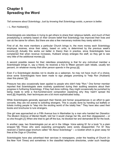# **Chapter 5 Spreading the Word**

*Tell someone about Scientology. Just by knowing that Scientology exists, a person is better.*

#### -- L. Ron Hubbard{1}

Scientologists are relentless in trying to get others to share their religious beliefs, and much of their proselytizing is certainly based on their sincere belief that Scientology has improved their lives and can do the same for others. But there are also a few mercenary motives they rarely admit to.

First of all, the more members a particular Church brings in, the more money each Scientology employee receives, since their salary, based on units, is determined by the previous week's income.{2} Actually this works out better in theory than in practice, since Scientologists have complained that when revenue increases, Hubbard simply enlarges the staff, so they get to see very little of the additional monies.{3}

A second possible reason for their relentless proselytizing is that for any *individual* member a Scientologist brings in, say a friend, he receives a five to fifteen percent cash rebate, usually ten percent, on whatever money that other person spends in the group.{4}

Even if a Scientologist decides not to double as a salesman, he may not have much of a choice, since some Scientologists have been made to sign pledges promising to "help Ron (Hubbard) clear this planet."{5}

Pressure has also occasionally been applied to people who didn't help "Ron." One former member reported that Scientologists were routinely questioned during their auditing sessions about their progress in furthering Scientology. If they had done nothing, they might occasionally be punished by being made to write a five-hundred-word composition explaining why they hadn't spread the word.{6} Hopefully, their techniques are a bit more sophisticated today.

While Scientologists generally approach their friends and former acquaintances in an effort to gain converts, they are not averse to soliciting strangers. This is usually done by handing out leaflets or tickets inviting people to "step into the exciting world of the totally free." They have also used their books and brochures to lure strangers.

One girl was approached on a Fifth Avenue bus in Manhattan by a man who handed her *Dianetics: The Modern Science of Mental Health*, told her it would change her life, and then disappeared -- or so she thought.{7} When she tried to get off the bus, he blocked her and demanded \$5 for the book.

In another case, two Scientologists put an ad in the *Village Voice* asking \$1 for a book "in a plain wrapper."{8} Those who were expecting pornography were sorely disappointed. For \$1 they received a twelve-page brochure called "All About Scientology" -- a booklet which is given away for free at the Orgs or Churches.

Scientologists have also advertised their services in newspapers, under the heading of Church (in the *New York Times*) and sometimes in the classified telephone directories, under such headings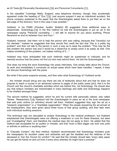as IQ Tests,{9} Personality Development,{10} and Personnel Consultants.{11}

In the classified Tunbridge Wells, England, area telephone directory, though, they accidentally appeared under the heading of "Zoo."{12} Lest anyone suspect it was an intentional accident, the phone company explained to the paper that the Scientologists asked them to put their ad on the last page of the directory "and in this case it was possible."

Hubbard, in his PABS (*Preclear Auditor Bulletin*) #5 suggested three additional ways to disseminate Scientology.{13} In the first method he told the Scientologists to put an ad in the newspaper saying "Personal counseling -- I will talk to anyone for you about anything. Phone Reverend so and so between hour and hour."

Hubbard, however, told them *not to help the person who was calling*, because that "cancel(s) out his clientele." Instead he suggested that they should first credit the fact that "this is a pretty big problem" and then not talk to the person in such a way as to ease the problem. "This may be the last problem this person has and it would be a disservice to simply solve it as easily as that. One makes something of the problem, not makes nothing of it...."

Hubbard may have anticipated that such methods might be questioned or criticized, and he seemed anxious that the press not find out who was behind them. He told the Scientologists:

One does not bring the word Scientology into press interviews. One simply talks about the Church, its work and immediately it converses on actual cases which have been handled. I repeat, it does not discuss Scientology with the press.

But what if the press suspects anyway, and then asks what Scientology is? Hubbard wrote:

... the minister should shrug and say there are lots of textbooks about that and that he does not propose to teach a course in an advanced science to pages of the public press [sic!], that it is the Church and the church's charitable activities which are behind this, not Scientology. He should also say that today's ministers are indoctrinated in many learnings and skills and Scientology happens to be chiefest amongst these.

The second method he suggested, which he and his current wife personally utilized, was called "Illness Researchers."{14} Hubbard told the Scientologists to place an ad in the local newspaper that said polio victims (or arthritics) should call them. Hubbard suggested they sign the ad as a "research organization" or a "charitable organization." When the people answering the ad arrived at the headquarters, they were given about three hours of free group auditing, and then later were sold individual auditing sessions.

This technique was not calculated to endear Scientology to the medical profession, but Hubbard emphasized that Scientologists were not offering a treatment or cure for these illnesses, but were just "investigating" them, and therefore the medical laws did not apply to them. He added that this method was acceptable for an auditor or minister, and that "even a ditch digger can look over polio or arthritis or asthma or anything else."

In "Casualty Contact," the third method, Hubbard recommended that Scientology ministers scan the newspapers for accident cases and obituaries and get the disabled and the relatives of the deceased to "join the Church for comfort." He said that the minister should take "every daily paper he can get his hands on and cut from it every story whereby he might have a preclear."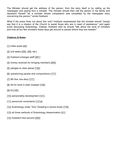The Minister should get the address of the person, from the story itself or by calling up the newspaper and saying he's a minister. The minister should then call the person or his family and represent himself "as a minister whose compassion was compelled by the newspaper story concerning the person," wrote Hubbard.

What if the press finds out about this one? Hubbard emphasized that the minister should "simply say that it is a mission of the Church to assist those who are in need of assistance," and again avoid discussing Scientology. Instead, Hubbard said he should "talk about the work of ministers and how all too few ministers these days get around to places where they are needed."

### **Citations & Notes**

- {1} initial quote [44]
- {2} unit salary [254, 255, etc.]
- {3} Hubbard enlarges staff [261]
- {4} money received for bringing members [255]
- {5} pledges to clear planet [136]
- {6} questioning people and compositions [177]
- {7} 5th Ave. bus story [177]
- {8} Ad for book in plain wrapper [152]
- {9} IQ [145]
- {10} pers{onalit}y development [131]
- {11} personnel consultants [131a]
- {12} Scientology under "Zoo" {heading in phone book} [178]
- {13} all three methods of Scientology dissemination [21]
- {14} Hubbard tried second [255]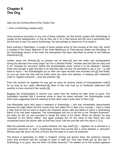*Step into the Exciting World of the Totally Free.*

 $-$  from a Scientology subway ad $\{1\}$ 

Once someone succumbs to any one of these methods, his first formal contact with Scientology is usually at the headquarters, or Org as they call it, for a free lecture and film and a personality test, the first two to see if he wants Scientology; the last perhaps to determine if he needs it.

Each evening in Manhattan, a couple of dozen people arrive for this process at the main Org, which is located in the Grand Ballroom of the Hotel Martinique at Thirty-second Street and Broadway. In the Scientology section of the hotel, the atmosphere has been described as similar to the Defense Department.{2}

Certain areas are off-limits,{3} no pictures can be taken,{4} and one writer was photographed during his interview from every angle "as if for a Wanted Poster." Another was told that her story had to be "checked for accuracy" before the Scientologists would "permit it to be released." Another writer who brought a tape recorder to an interview was not only not permitted to use it, but -- to add insult to injury -- the Scientologists put on their *own* tape recorder and recorded *him*.{5} And finally, no one can enter the Org until he writes down his name and address, in keeping with Hubbard's order to "register everyone -- even the postman."{6}

From the moment he registers he may get as many as seventy pieces of mimeographed mail $\{7\}$ for as long as four years afterwards.{8} Most of this mail lives up to Hubbard's statement that quantity is more important than quality.{9}

Begging the Scientologists to remove your name from the mailing list often does no good. The Australians reported that if someone wrote to have his name removed, the Scientologists wrote them back suggesting that the meaning of their letter wasn't quite clear to them.{10}

One Manhattan actor who spent a weekend in Scientology -- and was immediately disenchanted because the night before the first course they had called him to take *more* courses -- tried to make it clear that he did not want to receive the incessant phone calls and letters to which a Scientology friend of his had been subjected. The Scientologists told him to tell this to the "Student Examiner," but when he did, he was hounded to reveal the name of his friend. When he refused, he was "escorted" to the Ethics Officer, who again pressed him for the name of that friend who had complained about the phone calls so that they could "call him and talk with him about it."{11}

After the potential convert -- or to quote Hubbard, the "raw meat"{12} -- registers, he is directed to a converted classroom to hear a Scientology lecture that sounds like a cross between a Jehovah's Witness pep talk about the Day of Doom and the spiel of a used car salesman.

The lecture is apparently no better in England. During one lecture there, the audience cheered every time someone had the courage to yawn or walk out. One man finally got up and said "if Scientology is so good, why are there not better lecturers?" He walked out to the loudest applause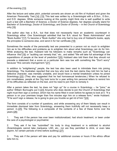#### of the evening.{13}

After the lecture and sales pitch, potential converts are shown an old film of Hubbard and given the American Personality Test.{14} {15} This test was written by a Scientologist with a B.Scn., D.Scn., and D.D. degrees. While someone looking at this quickly might think she is well qualified to write such a test with a Bachelor of Science, a Doctor of Science degrees, her degrees actually stand for Bachelor of *Scientology*, Doctor of *Scientology*, and Doctor of Divinity -- in the Church of Scientology only.{16}

The author also has a B.A., but that does not necessarily have an academic counterpart in Scientology either. One Scientologist admitted that her B.A. stood for "Basic Administrator" and "Book Auditor."{17} To become a "Book Auditor" she only had to buy one of Hubbard's books, apply the principles to someone else, and send in for her certificate.{18}

Sometimes the results of the personality test are presented to a person not so much to enlighten him as to his difficulties and problems as to enlighten him about what Scientology can do for him. While analyzing the test, Hubbard told his followers to make remarks such as "Scientology can influence this"{19} or "auditing can remedy that," etc., and added "We will take full advantage of the superstitions of people at the level of prediction."{20} Hubbard also told them that they should not precede a statement that a score on a particular item was low with something like "Don't worry" because "this cancels impingement."{21}

In addition to "enlightening" people, the test has also been used to intimidate them into joining Scientology. The Australian reported that one boy who took the test claims they told him he had a defective character, was mentally unstable, and would have a mental breakdown unless he joined Scientology.{22} (They also suggested that he had homosexual tendencies.) When he refused to join nonetheless, people at the Org took turns for a year writing him personal letters to remind him of his difficulties as reflected on the test, and his need to join them to remedy it.

After a person takes the test, he does not "sign up" for a course in Scientology -- he "joins," as author William Burroughs put it.{23} Anyone who does decide to join the Church of Scientology that night must then sign a contract, which has his name filled in even before he agrees to look at it. "If a person is on your premises longer than five minutes sign him on a release form," wrote Hubbard. "If he won't sign a release, he is going to give you trouble so get rid of him."{24}

The form consists of a number of questions, and while answering any of them falsely can result in immediate dismissal later from Scientology, answering them truthfully will not necessarily keep a person in.{25} The following is a composite of the contents of a few of these forms over the years:{26}

1. They ask if the person has ever been institutionalized, had shock treatment, or been under the care of a psychologist or psychiatrist.

2. They ask if he has "submitted" his body to drug treatment or is addicted to alcohol (Scientologists cannot take marijuana, LSD, etc., nor are they permitted to drink, or even take aspirin, for certain periods of time before auditing).{27}

3. They ask if the person will take and pay for additional courses or hours if the ethics officer tells him to.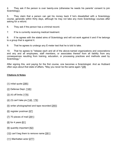4. They ask if the person is over twenty-one (otherwise he needs his parents' consent to join Scientology).

5. They claim that a person can get his money back if he's dissatisfied with a Scientology course, generally within thirty days, although he may not take any more Scientology courses after asking for a refund.

6. They ask if the person has a criminal record.

7. If he is currently receiving medical treatment.

8. If he agrees with the stated aims of Scientology and will not work against it and if he belongs to a group that is against it.

9. That he agrees to undergo any E-meter test that he is told to take.

10. That he agrees to "release each and all of the above-named organizations and corporations and any and all employees, staff members, or associates thereof from all liability from any consequences resulting from training, education, or processing practices and methods used by Scientology."

After signing this, and paying for the first course, one becomes a Scientologist. And as Hubbard often says about that state of affairs, "May you never be the same again."{28}

#### **Citations & Notes**

- ${1}$  initial quote  $[285]$
- {2} Defense Dept. [146]
- {3} (4) off limits [178]
- {4} (3) can't take pix [146, 178]
- {5} writer photographed and tape recorded [283]
- {6} register postman [87]
- {7} 70 pieces of mail [261]
- {8} for 4 years [81]
- {9} quantity important [82]
- {10} can't beg them to remove name [261]
- {11} Manhattan actor [277]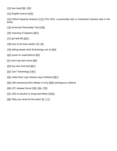{12} raw meat [98, 103]

{13} English lecture [216]

{14} Oxford Capacity Analysis [112] {The OCA, a personality test, is mentioned nowhere else in the book}

- {15} American Personality Test [105]
- {16} meaning of degrees [261]
- {17} girl with BA [261]
- {18} how to be book auditor [10, 23]
- {19} telling people what Scientology can do [83]
- {20} quote on superstitions [83]
- ${21}$  don't say don't worry  $[83]$
- {22} boy who took test [261]
- {23} "join" Scientology [187]
- {24} make them sign release says Hubbard [261]
- {25} (26) answering them falsely or truly [254] {ambiguous citation}
- {26} (27) release forms [129, 254, 178]
- {27} (25) no alcohol or drugs permitted [130a]
- {28} "May you never be the same" [6, 111]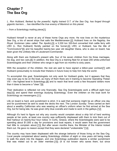# **Chapter 7 The Sea Org**

*L. Ron Hubbard, flanked by the powerful, highly trained O.T. of the Sea Org, has forged through gigantic barriers ... has identified the true enemy of Mankind on this planet.*

-- from a Scientology mailing piece{1}

Hubbard himself is never at any of these home Orgs any more. He now lives on the mysterious Sea Org, a trio of secret ships that sails the Mediterranean.{2} Hubbard lives on the flagship, the *Royal Scotsman* (also called *The Apollo*),{3} a 3,330 ton 320-foot converted Irish cattle ferry with LRH (L. Ron Hubbard) floridly painted on the funnel.{4} LRH, or Hubbard, has the title of "Commodore"{5} and his beautiful twenty-two year old daughter Diana, who is also on board, has been given the unlikely title of Lieutenant-Commander.

Along with them are Hubbard's present wife, four of his seven children from his three marriages, his dog, and two cars.{6} In addition, the Sea Org is a training fleet for at least 200 white-uniformed Scientologists and their children who range in age from six months to sixty years.

With the exception of the children, the rest are said to have signed a billion-year contract{7} with Hubbard (presumably to include their thetans in future lives) to help him help the world.

To accomplish this goal, Scientologists not only work for Hubbard gratis, but it appears that they may even pay to be on the boat, as many of them there are in training to become Operating Thetan VIII -- the highest level in Scientology,{8} and to reach that level costs a few thousand dollars more than it does to become a "clear."{9}

Their dedication is reflected not only financially. Sea Org Scientologists work a difficult eight hour day{10} and spend their evenings studying Scientology. Even the children on the boat work for Scientology as messengers.{11}

Life on board is hard, and punishment is strict. It is said that someone might be an officer one day and for punishment be sent to swab the decks the next. The London *Sunday Times* carried an item about a wealthy Californian who was wearing an officer's uniform when he first arrived at the Sea Org, but for being late, he was given dirty blue overalls and made to work in the galleys.{12}

Although it's hard to figure out why any country would complain about a ship full of hard working people at her ports, at least one country was sufficiently displeased with them to kick them out of their harbour on twenty-four hour notice. In Corfu, Greece, where the Scientologists were said to be spending about \$1,500 a day for provisions and boat repairs, it would seem that the government had little to complain about.{13} But after seven months there, the Minister of the Interior kicked them out. He gave no reason except that they were declared "undesirable."{14}

The country may have been displeased with the strange behavior of those living on the Sea Org. Local people complained about seeing Scientology children of eight or nine years old being made to walk the plank into the Aegean, and one Scientology publication depicts a similar punishment that was meted out to an older member.{15} (It is not known who saves them, but since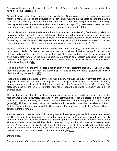Scientologists have jobs for everything -- Director of Success, Letter Registrar, etc. -- maybe they have a "Rescue Registrar.")

On another occasion, locals reported that twenty-four Scientologists left the ship one day and marched half a mile along the quayside in "military step," wearing no raincoats despite the pouring rain.{16} One outsider, Captain John Jones, reported to a London newspaper some of the things that happened while he was sailing with one of the smaller ships. "My crew were sixteen men and four women who wouldn't know a trawler from a tramcar," he allegedly stated.

He complained that he was made to run the ship according to the *Sea Org Book* and that electrical equipment, other than lights, radio and direction finder, and other advanced equipment he had on board could not be used. (Probably because the Scientologists feared it would interfere with the functioning of their E-meters.) He reported that "using the *Org Book* navigation system based on radio beams from the B.B.C., and other stations we were soon hopelessly lost."{17}

Mystery surrounds the ship. Hubbard is said to sleep during the day, rise at 6 P.M. and is almost never seen outside.{18} Most of the people on the boat don't see him either, except for his personal staff and officers.{19} The latter have meetings with him upon written request. Outsiders are not even sure exactly where on the boat Hubbard lives, although one reporter suspected it was in the middle of the upper part of the deck where "a corridor leads to what few cabins there are with a notice forbidding entry."{20}

It is said that most of the other people sleep in dormitory-like accommodations.{21} Captain Jones, mentioned before, said the men and women on his ship shared the same quarters with only a blanket dividing the sections.{22}

Hubbard also keeps the purpose of the ship well hidden. Although he initially admitted that the Sea Org was established as a mobile headquarters for setting up new bases or correcting old ones, henow seems to want people to think they're all there for "exploration" -- not Scientology. The stationery used by the ship is imprinted with "The Hubbard Exploration Company Ltd."{23} (no address given).

One spokesman for the ship said its purpose was "basically to search for oil and gas in the Mediterranean and elsewhere,"{24} and in one communiqué, Hubbard stated the ship was in Greece "to explore and study the decline of ancient civilization and so [learn] how this current one is going."{25} Hubbard has even denied to interviewers, in the earlier days when he talked with them, that the ship or he was connected to Scientology, although Telex reports from Saint Hill were directly in front of him.{26}

Another mystery concerns Linda Hicks, a very beautiful twenty-two-year-old British blond who joined the Sea Org and then disappeared. Her father, who had a heart condition, claimed that his only daughter had initially become involved with Scientology in Las Palmas, and that when he saw her afterwards, "she ... dyed her fair hair black ... she was filthy, and her mind seems to have gone off the rails." The *News of the World*, which printed the story, said that Linda allegedly sent the letter below to her boy friend at home, saying she had been hypnotized on the Sea Org and had been married without conscious consent to another Scientologist.{27}

### *Darling Oscar*

*So many terrible things have happened to me since I waved good-bye to you at Las Palmas. Oh*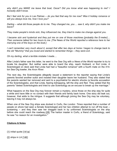*why didn't you MAKE me leave that boat, Oscar? Did you know what was happening to me? I honestly didn't know.* 

*But I feel sick for you in Las Palmas -- do you feel that way for me now? Was it holiday romance or will you always love me, how I love you?* 

*Darling -- what did those people do to me. They changed me, you ... saw it, why didn't you make me leave?* 

*They make people's minds sick, they influenced me, they tried to make me change against you.* 

*I became sick and hysterical and they put me on one of those machines [probably the E-meter].... Then someone talked for two hours to me. [The* News of the World *reported a reference here to her marrying one of the boys on the boat.]* 

*I can't remember very much about it, except that after two days at home I began to change back to the old "Mummy" that you loved and started to remember things -- they were evil.* 

*Oh my darling, what a terrible mistake I made....*

After Linda's father saw this letter, he went to the Sea Org with a *News of the World* reporter to try to locate his daughter. But neither were able to board the ship, reach Hubbard, or find Linda. A Scientologist on deck said that Linda had had a "beautiful romance" with a fourth mate on the 414 ton Sea Org trawler, the *Avon River*.

The next day, the Scientologists allegedly issued a statement to the reporter saying that Linda's parents favored another suitor and insisted their daughter leave her husband. They also stated that the parents wanted her removed and sent to a psychiatrist for electric shocks (a favorite accusation of the Scientologists), and that Linda, fearing kidnapping, left the ship and fled. They added that the parents "detest Scientologists and tried to use Scientology as an excuse to break up the marriage."

What happens on the Sea Org may forever remain a mystery, since those on the ship stay for quite a while and have little or no contact with their friends and family back home. One story did leak out, however, that adds to the intrigue. It suggests that although joining the Sea Org may be voluntary, leaving it may not always be.

When one of the Sea Org ships was docked in Corfu, the *London Times* reported that a number of people on shore had seen a female Scientologist and her two children attempt to run off the boat - screaming -- and they then saw her dragged back in by uniformed Scientologists on the ship before she could reach the roadway.{28} The harbor master in Corfu, a friend of Scientology, said he saw "no reason for an investigation."

### **Citations & Notes**

 $\{1\}$  initial quote  $[141a]$ 

{2} ships in LA [146]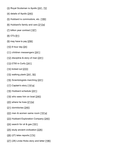- {3} Royal Scotsman is Apollo [241, 72]
- {4} details of Apollo [240]
- {5} Hubbard is commodore, etc. [189]
- {6} Hubbard's family and cars [212a]
- {7} billion year contract [187]
- {8} OTs [51]
- $\{9\}$  may have to pay  $[256]$
- {10} 8 hour day [24]
- {11} children messengers [241]
- {12} discipline & story of man [241]
- {13} £700 in Corfu [241]
- {14} kicked out [233]
- {15} walking plank [241, 50]
- {16} Scientologists marching [241]
- {17} Captain's story [191a]
- {18} Hubbard schedule [241]
- {19} who sees him on boat [240]
- {20} where he lives [212a]
- {21} dormitories [240]
- {22} men & women same room [191a]
- {23} Hubbard Exploration Company [240]
- {24} search for oil & gas [191]
- {25} study ancient civilization [226]
- {26} (27) telex reports [174]
- {27} (28) Linda Hicks story and letter [196]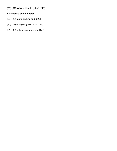{28} (31) girl who tried to get off [241]

### **Extraneous citation notes:**

- {29} (26) quote on England [226]
- {30} (29) how you get on boat [177]
- ${31} (30)$  only beautiful women  $[177]$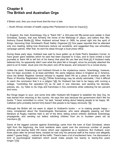# **Chapter 8 The British and Australian Orgs**

*If Britain acts, then you must know that the hour is late.*

-- South African minister of health urging their Parliament to have an Inquiry{1}

In England, the main Scientology Org is "Saint Hill," a 243-year-old fifty-seven-acre estate in East Grinstead, Sussex, that was formerly the home of the Maharaja of Jaipur, and before that, Mrs. Anthony Drexel Biddle.{2} When Hubbard arrived there in 1959, he joined right into the spirit of things, becoming East Grinstead's Road Safety Organizer.{3} One paper reported that he attended only one meeting, telling how Americans reduce car accidents, and suggested they use schoolboy campaign patrols. After that, he sent his ideas through a local press office.

During these early days, Hubbard was said to have gotten up at Hyde Park's Speakers Corner, to have grown giant radishes which he said had been exposed to X-rays, and to have invited a local journalist to Saint Hill to tell him of his theory that plant life can feel and think.{4} If Hubbard really believed this, he apparently didn't care what the plant felt or thought, since he promptly attached the plant to an E-meter, stuck pins into the plant, tore off its leaves, and reduced it to a ruined stump.

Unlike the plant, Scientology and Hubbard thrived in the mysterious manor. Scientology, however, has not been accorded, or at least permitted, the same religious status in England as in America, since the British Registrar General refused to register Saint Hill as a place of worship under the Place of Worship Registration Act. {5} ("While Scientology may be wholly admirable, I find it difficult to reach the conclusion that it is a religion.") ${6}$  So Hubbard has had to be happy with running a college, "controlling the operation,"{7} as he said in one interview, and sending his decrees, policies, etc., by Telex to his Orgs and franchises in five continents while collecting his ten percent and more.

But things began to sour, and some time after Hubbard left England to establish the Sea Org, he was barred from returning to the country. He says this was because the government didn't like his books. "I have committed no crime," he said, "except writing about helping people to be happy. Mr. Callahan [who probably barred him] doesn't like people to be happy obviously."{8}

Although the British did not seem to object to Hubbard's books -- or to making people happy - many complained about the Scientologists themselves, who were allegedly passing out their literature at Rugby matches held in aid of the blind, letting school children distribute Scientology propaganda, and sending out letters soliciting children from six to fourteen years old as members.{9}

Some of the biggest outcries against Scientology came from the town of East Grinstead, where right from the beginning, the local residents were upset over the enormous number of people entering and leaving Saint Hill manor which was registered as a residence. But Hubbard, even three years after he arrived there, insisted he had only his personal staff at the manor and allegedly stated "I guess the[y] ... noticed all the traffic. There's been a lot of excitement here. I've discovered a kind of psychological treatment which would make people live twenty to twenty-five years longer."{10}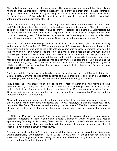The traffic increased and so did the antagonism. The townspeople were worried that their children might become Scientologists, perhaps justifiably, since they and their children were constantly being solicited to join, and Scientologists allegedly said they planned to make East Grinstead the first "clear town."{11} School officials complained that they couldn't even let the children go outside without encountering Scientologists.{12}

Some complained that they didn't even have to go *outside* to be bothered by them. One nun stated that Scientologists entered her school grounds and tried to talk to the students. She got rid of them once by mentioning the word "police," and on another occasion, she claimed, a Scientologist put his foot in the door and she stomped on it.{13} Some of the local residents complained that they too didn't have to go out of their houses to encounter the Scientologists, who supposedly called them at their homes and said, "I am your local Scientologist. Is there anything you need?"{14}

There were also some Scientology scandals in the town: "death lessons" (to be discussed later) and a scandal in December of 1967, when a number of Scientology children were picked up for shoplifting, and a girl who was taking a Scientology course was accused of immoral behavior.{15} The *News of the World*, which broke the story, said that a fifteen-year-old girl who was taking a Scientology course was found asleep near East Grinstead with three men in a scrap metal truck. The next day, the girl allegedly admitted that she had had intercourse with three boys, once with a man she met at a youth club, the second time at a party where she said she got very drunk, and the third time with a gypsy, one of the men found with her in the truck. Their being Scientologists or children of Scientologists may have had nothing to do with their behavior, but Scientology was condemned nonetheless.

Another scandal in England which indirectly involved Scientology occurred in 1964. At that time, two Scientologists, Mary Ann, an illegitimate daughter of a Scots mill worker, and Robert de Grinston, a Scientologist, met in Scientology, married, and then left the Scientology movement.

They began their own group, which they called the "Process," although it was nicknamed "The Mindbenders" by others, and incorporated a number of Scientology ideas, including the Emeter.{16} Instead of worshipping Hubbard, members of the Process worshipped Mary Ann de Grinston, and many of the members truly believed she was God, a delusion that Mary Ann and her husband did nothing to discourage.

Mary and Bob lived upstairs in their large home, above the other members who were living five to six to a room. When they came downstairs, the *Sunday Telegraph* in England described, "They descended like Gods. She was the resident deity. He her consort." Members were so anxious to please and emulate her, that when she bought an Alsatian dog, everyone else in the group did also.

By 1966, the Process had moved, Alsatian dogs and all, to Mexico, where they were living in "paradise," according to them, with no gas, electricity, sanitation, water, or beds, at a cost of approximately \$8 a day divided among fifteen people. In England, the *Daily Express* estimated that over two hundred people had been involved with the Process at one time or another, and that at least three had suffered nervous breakdowns.

Although the article in the *Daily Express* suggested that the group had dissolved, its obituary was written prematurely. On September 14, 1969, the *Sunday Mirror* in England reported that three Americans "with large dogs" were sailing on the Queen Elizabeth II to join the Process -- now called "The Final Church of Judgment."{17}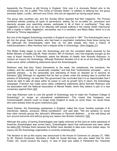Apparently the Process is still thriving in England. Only now it is obviously Robert who is the worshipped one. He is called "The Christ of Carnaby Street." In addition to deifying him, the group worships Satan, Lucifer, Jehovah and Christ, who are all regarded as having equal status.

The group also worships sex, and the *Sunday Mirror* reported that their magazine, *The Process* contained articles praising all types of perversions, stating "let no so-called sin, perversion and depravity escape your searching senses, participate in all of them to overflowing." They also suggested a few, such as sex in an alleyway with people walking in the nearby street, intercourse with a cripple or halfwit, flagellation, necrophilia, sex in a cemetery, and Black Mass, which is to be finished by "Divine degredation."

But one of the biggest Scientology scandals in England occurred in 1967. The Scientologists took a girl into the group, Karen Henslow, who had been in psychiatric institutions three times during her life (although the Scientologists claim they do not take people who have a history of institutionalization.) Miss Henslow had a relapse while in Scientology. (See Chapter 21)

The British finally began to look into Scientology and into the complaint letters received by the British Ministry of Health.{18} Mr. Peter Hordern, MP of Horsham, who had originally brought up the case of Karen Henslow in Parliament, asked the Minister of Health, then Kenneth Robinson, to conduct an inquiry into Scientology. Although Robinson decided not to do so at the time,{19} he did make some rather unflattering statements about the Scientologists.

Robinson said that they "direct themselves to the weak, the unbalanced, the immature, the rootless, and the mentally or emotionally unstable," and that their "authoritarian principles ... are a potential menace ... to the personality and well-being of those so deluded as to become its followers."{20} Although he regretted that he had no power under the existing laws to prohibit the practice of Scientology, he said that "the government has concluded that it is so objectionable that it would be right to take all steps within its power to curb its growth."{21} In return, the Scientology newspaper *Freedom* has made some rather unflattering statements about Kenneth Robinson and his association with the National Association of Mental Health, which they believe is part of a vast conspiracy against them.{22}

One step Robinson took to curb the growth of Scientology was to make the "Hubbard College of Scientology" no longer an educational establishment. This meant that foreigners and Commonwealth citizens could no longer enter England to study (or work) there, nor would those who were already there be given extensions.{23}

David Gaiman, the Scientology spokesman in England, called this move "another example of illintentioned, diabolic, pompous, official bumbledom;" and said later, "We are certainly no worse than other minority groups like Jehovah's Witnesses or Plymouth Brethren ... at this rate [they] will turn around tomorrow and without giving any reason ban Roman Catholics."{24}

Although this policy of barring Scientologists was rigidly enforced at first (and an entire planeload of American Scientologists was turned back), Scientologists report that enforcement has been rather lax lately.{25} Perhaps that's because the British have decided to take even more drastic steps. An inquiry into the Scientology organization is currently underway.{26}

The decision to set up this inquiry was announced in the House of Commons on January 27, 1969, by Mr. Richard Crossman, Secretary of State for Social Services, who also stated that Sir John Foster, QC, would conduct the inquiry. In view of what was called in Parliament the "character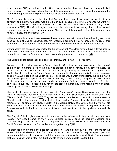assassinations"{27} perpetrated by the Scientologists against those who have previously attacked them (especially in Australia, where the Scientologists were even said to have sent agents out after those who opposed them{28}), Sir John Foster's job is not an enviable one.

Mr. Crossman also stated at that time that Sir John Foster would take evidence for this inquiry privately, and that the witnesses would not be on oath, because the "kind of evidence we want will be from people of a nervous nature, who will not face cross-examination or any public examination."{29} The Scientologists countered this statement by saying that if they wanted evidence from people of a nervous nature "this immediately precludes Scientologists who are happy, relaxed, and purposeful."{30}

While a private inquiry, with no cross-examination and not on oath, may not be in keeping with most people's idea of English jurisprudence, Mr. Crossman explained why he chose an inquiry of this sort. It can be assumed that his final metaphor was an unintentional slur to the Scientologists.

Unfortunately, the choice is very limited for the government. We either have to have a formal inquiry under the Tribunals of Inquiry Evidence ... Act ... or we have to have the sort which I have proposed. I thought that to use the former would be to take a sledgehammer to crack a nut.{31}

The Scientologists stated their opinion of this inquiry, and its nature, in *Freedom*.

To take executive action against a Church [banning Scientologists from coming into the country] and then seven months later hold an inquiry to provide, if it can be found, the evidence to justify the action is to find guilt without any trial ... to accept gossip, privately and not on oath may be alright [sic.] to handle a problem in Bognor Regis, but it is not ethical to conduct a private smear campaign against 150,000 people in the British Isles.... This is the way a witch hunt begins, this is the way a police state gets into operation, and this is the way in which men, Callaghan, Crossman and Robinson attempt to back up their poor faulty judgment and faulty decision -- taken in the full glare of worldwide publicity -- because they haven't the grace to admit they were wrong in the first place. This is gross misuse of Ministerial Office.{32}

The article also implied that all this was part of a "conspiracy" against Scientology, and in a later issue of *Freedom*, they revealed who was part of this "Anti-Scientology Organization Chart" and "Electric Death Camp Utopia."{33} They named seven countries with the National Association of Mental Health in the forefront of almost all of them, and in England, they also implicated several members of Parliament, Dr. Russell Barton, a prestigious British psychiatrist, and the *News of the World* and the *Daily Mail*. Both of these papers have written a number of negative articles on Scientology and Hubbard, and a couple of issues cast doubt on both his qualifications and his sanity.

The English Scientologists have recently made a number of moves to help polish their tarnishing image. They ended some of their more criticized policies, such as security checking and "disconnecting" (to be discussed later). They also opened Saint Hill Manor to outsiders, for what David Gaiman said would be "rather like a vicarage tea party."{34}

He promised donkey and pony rides for the children -- and Scientology films and cartoons for the adults. John McMasters, the first clear (who is also Hubbard's very eloquent personal spokesman{35}), would speak, and soft drinks (no alcohol) would be served. David Gaiman stated that Mr. Robinson was invited, but that he wrote saying he was unable to attend.{36}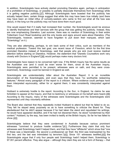In addition, Scientologists have actively started promoting Dianetics again, perhaps in anticipation of a prohibition of Scientology, or possibly to partially dissociate themselves from Scientology while it is getting negative publicity.{37} Although Scientologists have boasted that the publicity has actually helped them, certain things suggest that while this may have been true initially (and there may have been an initial influx of curiosity-seekers who came to find out what all the fuss was about), in the long run the publicity may not have done them much good.

One would expect that if it really had increased their number, the Scientologists would be anxious to identify themselves and their services with the group that was getting the publicity. Instead, they are now emphasizing Dianetics. Last summer, there was no mention of Scientology in their entire Tottenham Court Road bookshop and the only books and signs around were about Dianetics. (The Scientologists, however, seemed to have forgotten to pull down their marquee, which said "Scientology" on it.)

They are also attempting, perhaps, to win back some of their critics, such as members of the medical profession. Toward this last goal, one recent issue of *Freedom*, which for the first time promoted Dianetics instead of Scientology, said that people who are sick must receive medical attention before starting on Dianetics. However, the statement that "Dianetic Counsellors work very closely with Doctors in England"{38} would perhaps make many doctors livid.

Scientologists have reason to be concerned right now. If the British Inquiry has the same results as the Australian one (and it could be even worse for them, since at the Australian Inquiry, Scientologists were permitted to be present, witnesses were on oath, and they were crossexamined), Scientology could be banned in England as well.

Scientologists are understandably bitter about the Australian Report. It is an incredible denunciation of the Scientologists, and even says that they have "no worthwhile redeeming features." Almost every paragraph of the report is a criticism. Where evidence could perhaps have been interpreted equivocably, either for or against them, it was consistently interpreted against them.

Hubbard is extremely hostile to the report. According to the *Sun*, in England, he claims he was forbidden to appear at the Inquiry, and that no testimony or witnesses on his behalf were heard.{39} According to the Inquiry, many of the witnesses were Scientologists and the Scientologists were represented until *they* voluntarily withdrew.

The Board also claimed that they repeatedly invited Hubbard to attend but that he failed to do so. They felt he stayed away purposely so as to have something to criticize the Board for. They alsobelieved that he didn't appear because if he had taken the stand and repudiated his writings, he would have appeared deceitful, and if he had not disowned them, he stood "condemned by their content." Hubbard, by the way, has been invited to testify at the British Inquiry. So far he has failed to show.{40}

Scientologists believe that they were condemned in Australia because various prominent witnesses "connived to produce hostile evidence."{41} Furthermore they claim that only four witnesses said Scientology hadn't helped them, and that they have "affidavits" which show that "one of these was a blackmailer, the second a professional car thief, the third was brainwashed by the first two, and the last was intimidated by terrorism." $\{42\}$  Since 151 witnesses testified, $\{43\}$  the Scientologists argue that if only four people said Scientology hadn't helped them, Scientology is 97.351 percent effective. They also argue -- although they claim they are not a form of therapy -- that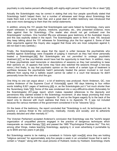psychiatry is only twelve percent effective  $\{44\}$  with eighty-eight percent "maimed for life or dead." $\{45\}$ 

Actually the Scientologists may be correct in stating that only four people *specifically* stated that Scientology hadn't helped them, but a number of witnesses said things about Scientology that made them look a lot worse than that, and a great deal of written testimony was introduced that was even more damaging to them than the verbal statements.

In addition, among the 151 people that Scientologists said were helped by Scientology, many were expert witnesses in science, physics, medicine, psychiatry, etc., who presented evidence, more often against than for Scientology. (The reader also should not get confused over the Scientologists' numbers. One hundred fifty-one witnesses gave testimony at the Australian Inquiry and this was explicitly stated in the report. The Scientologists seem to think it was 155, because they keep talking about the 151 witnesses for Scientology *plus* the four against it. Some of their other arguments against this Inquiry also suggest that those who are most outspoken against it, did not read it very carefully.)

Finally, the Scientologists also argue that the report is unfair because the psychiatrists who testified against Scientology were incapable of judging it inasmuch as they had never personally treated a Scientologist.{46} But Scientologists are not *permitted* to undergo psychiatric treatment,{47} so few psychiatrists would have had the opportunity to treat them. In addition, many of these psychiatrists read transcripts or descriptions of sessions so they had something to base their opinions on. (It appears that some may have also watched the sessions through a two-way mirror.) And finally, to say that psychiatric opinion on the merits of a certain type of treatment is worthless because the psychiatrists hadn't personally treated the person involved is not much different from saying that a ballistic expert cannot be called in a court trial because he didn't personally know the man who shot the gun.

One thing no one can argue about -- a lot of testimony was produced. Kevin Anderson, QC, now Justice Anderson of the Supreme Court of Victoria{48} spent 160 days listening to four million words totalling 8,921 pages of testimony,{49} or, as the Scientologists put it "not much shorter than the Nuremberg trials."{50} Some of this was condensed into a very-difficult-to-obtain (fortunately for the Scientologists) 201-page report, which makes repeated references to the depravity and perversions they claimed existed in the Scientology movement. (It also keeps promising that more information on this will be included in Appendix 19, and so the fingers eagerly fly to the back of the report only to discover with much sadness that there is no Appendix 19. It was not included because the various members of the government considered it to be "obscene."{51})

On the basis of the testimony, the report concluded that "Scientology is evil; its techniques evil; its practice a serious threat to the community, medically, morally and socially; and its adherents aresadly deluded and often mentally ill."

The Victorian Parliament accepted Anderson's conclusion that Scientology was the "world's largest organization of unqualified persons engaged in the practice of dangerous techniques which masquerade as mental therapy,"{52} and passed the 1965 "Psychological Practices Act." This Act, among other things, makes teaching Scientology, applying it, or even advertising it punishable by up to  $$500$  and two years in jail. ${53}$ 

But Scientology seems to be making a comeback in Victoria right now{54} since they are holding "religious services" for approximately sixty-five people a week in an unmarked house that is said to contain a "chapel," along with the usual pictures of Hubbard, books by Hubbard, Scientology charts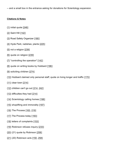-- and a small box in the entrance asking for donations for Scientology expansion.

### **Citations & Notes**

- {1} initial quote [248]
- {2} Saint Hill [142]
- {3} Road Safety Organizer [180]
- {4} Hyde Park; radishes; plants [225]
- {5} not a religion [239]
- {6} quote on religion [239]
- {7} "controlling the operation" [142]
- {8} quote on writing books by Hubbard [186]
- {9} soliciting children [274]
- {10} Hubbard claimed only personal staff; quote on living longer and traffic [170]
- {11} clear town [214]
- {12} children can't go out [214, 242]
- {13} difficulties they had [214]
- {14} Scientology calling homes [198]
- {15} shoplifting and immorality [197]
- {16} The Process [163, 219]
- {17} The Process today [193]
- {18} letters of complaints [153]
- {19} Robinson refuses inquiry [233]
- {20} (21) quote by Robinson [258]
- {21} (20) Robinson acts [150, 258]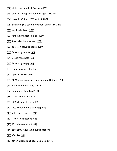- {22} statements against Robinson [57]
- {23} banning foreigners; not a college [227, 224]
- {24} quote by Gaiman [217 or 215, 236]
- {25} Scientologists say enforcement of ban lax [224]
- {26} inquiry decision [259]
- {27} "character assassination" [259]
- {28} Australian harrassment [257]
- {29} quote on nervous people [259]
- {30} Scientology quote [57]
- {31} Crossman quote [259]
- {32} Scientology reply [57]
- {33} conspiracy revealed [57]
- {34} opening St. Hill [236]
- {35} McMasters personal spokesman of Hubbard [75]
- {36} Robinson not coming [217a]
- {37} promoting Dianetics [178]
- {38} Dianetics & Doctors [64]
- {39} (40) why not attending [261]
- {40} (39) Hubbard not attending [204]
- {41} witnesses connived [57]
- {42} 4 hostile witnesses [54]
- {43} 151 witnesses for it [54]
- {44} psychiatry [128] {ambiguous citation}
- {45} effective [54]
- {46} psychiatrists didn't treat Scientologist [6]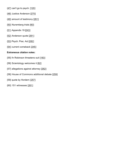- {47} can't go to psych. [120]
- {48} Justice Anderson [270]
- {49} amount of testimony [261]
- {50} Nuremberg trials [60]
- {51} Appendix 19 [243]
- {52} Anderson quote [261]
- {53} Psych. Prac. Act [282]
- {54} current comeback [245]

### **Extraneous citation notes:**

- {55} fn Robinson threatens suit [183]
- {56} Scientology welcomes it [62]
- {57} allegations against attorney [262]
- {58} House of Commons additional debate [259]
- {59} quote by Hordern [257]
- {60} 151 witnesses [261]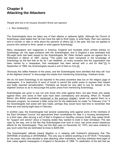# **Chapter 9 Attacking the Attackers**

*People who live in tin houses shouldn't throw can openers.*

#### $-L.$  Ron Hubbard $\{1\}$

The Scientologists have not taken any of their attacks or setbacks lightly. Although the Church of Scientology creed states that "all men have the right to think freely, to write freely, their own opinions and to counter or utter or write about the opinions of others," $\{2\}$  in the past, this has not applied to anyone who wished to think, speak or write against Scientology.

Many newspapers and magazines in America, England and Australia which printed articles on Scientology ran into legal problems with the Scientologists, and in England it was estimated that fifty-eight writs had been issued by the Scientologists. Mr. Peter Hordern spoke out against this in Parliament in March of 1967, saying: "The public has been hampered in the knowledge of Scientology by the fact that so far as I can establish, on every occasion that the organization has been named by a newspaper, that newspaper has been served with a writ for libel."{3} In September of 1968, the Scientologists issued a writ of libel on *him*.{4}

Obviously this stifles freedom of the press, and the Scientologists have admitted that they will "sue at the slightest chance" to discourage the media from mentioning Scientology. Hubbard wrote:

We do not want Scientology to be reported in the press anywhere else but on the religion page of newspapers. It is destructive of word of mouth to permit the public press to express their biased and badly reported sensationalism. Therefore we should be very alert to sue for slander at the slightest chance so as to discourage the public press from mentioning Scientology.

Scientologists are quick to sue not only those who write against them, but also those who speak against them, and some of their suits have been contradictory and amusing. When Dr. Russell Barton (the British psychiatrist mentioned in the previous chapter), spoke out against them on a television program, he received a letter suing him for the statements he made "on February 31st." If the Scientologists had acted with less haste, perhaps they would have had time to remember that there are only twenty-eight days in February.

In another case, the Scientologists had several outstanding writs against some of the members of the East Grinstead Council, but approached them nonetheless for help in a housing development. In a third case, after serving a writ of libel in England on Geoffrey Johnson Smith, they asked Smith for "support and advice" about a housing estate they wanted to build in East Grinstead. This last case by the way, one of the few that Scientologists ever took to court, had some recent disastrous effects for the Scientologists. They lost this libel case on December 22, 1970, and were ordered to pay court costs that are estimated at close to \$200,000.

The Scientologists' attitude toward litigation is in keeping with Hubbard's philosophy that "the DEFENSE of anything is UNTENABLE. The only way to defend anything is to ATTACK." Fortunately for the press, they have decided to start attacking other institutions, and they withdrew thirty-eight of their cases against newspapers in England in November of 1968, "in celebration of the fact that we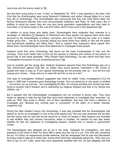now know who the enemy really is."{5}

Not that their suing policy is over. In fact, on September 30, 1970, it was reported in the *New York Post* that the Scientologists were suing Delacourt Publishers and author George Malko for a book they did on Scientology. (The Scientologists also announced that they had hired Melvin Belli, the famous flamboyant attorney who once unsuccessfully defended Jack Ruby, for their case.) But in addition to suing the press, they are now also suing psychiatric organizations, and they claim to have filed, or be about ready to file, over \$75 million worth of law suits in that department.  ${6}$ 

In addition to suing those who attack them, Scientologists have subjected their enemies to a campaign of vilification.{7} Members of Parliament who have spoken out against them have been accused by the Scientologists of bribery, corruption, and even "of following the order of a hidden foreign group that ... has as its purpose seizing any being whom they dislike or who will not agree and permanently disabling and killing them." And to support their suspicions about people who attack them, the Scientologists have hired detectives to investigate these people.

Hubbard wrote that since Scientology had found out the basic fundamentals of man and the universe, "How much easier then to find out the secrets or histories and motives of one person or group?"{8} In that same pamphlet, "Why People Fight Scientology," he also claims that they have "investigated thousands of such protesting persons."{9}

Lest an outsider get the wrong idea, Hubbard elsewhere assured them that Scientology was not a "law enforcement agency."{10} But, he added, they would become "interested in the crimes of people who seek to stop us. If you oppose Scientology we will promptly look up -- and will find and expose your crimes ... those who try to make life hard for us are at a risk."

One type of investigation Hubbard suggested was what he called "noisy investigations."{11} He wrote in 1966 that if someone gave Scientology trouble, "find out where he or she works or worked ... and phone 'em up and say `I am investigating Mr./Mrs. for criminal activities and he/she has been trying to prevent man's freedom and is restraining my religious freedom and that of my friends and children, etc.' "

But it appears that the Scientologists' investigations are not confined to phone calls. They have made no attempt to hide the fact that they have hired detectives to investigate their "enemies." As early as 1955, they wrote in *Ability*, one of their newsletters, that they had hired a detective to investigate and "disclose any criminal past or connection" of the editor of a British Dianetic magazine.{12}

During the New Zealand Inquiry into Scientology, it was also revealed that the Scientologists had placed an ad for an investigator in one of the local papers.{13} The man who answered the ad later told the Inquiry that he was told his job would be to check on people in New Zealand and Australia to see whether they had criminal convictions, debts or troubles. He claimed he was also asked whether he had any objections to investigating lawyers, medical men or people in government circles.

The Scientologists also allegedly put an ad in the *Daily Telegraph* for investigators, and were prepared to hire three of them for about \$80 a week plus the use of a car. One man who answered the ad, Vic Filson, an experienced private detective, told the newspaper that he was first interviewed by being made to take an E-meter test, during which time they repeatedly asked him, "Who sent you here to spy on us?" Later, when they were apparently satisfied with him, he was allegedly told that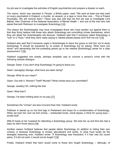his job was to investigate the activities of English psychiatrists and prepare a dossier on each.

The memo, which was reprinted in *People*, a British paper, read: "We want at least one bad mark on every psychiatrist in England, a murder, an assault, or a rape or more than one.... This is Project Psychiatry. We will remove them." Filson was also told that his first job was to investigate Lord Balniel, then Chairman of the National Association of Mental Health -- and one of the men who had asked Kenneth Robinson to investigate Scientology.{14}

The reason the Scientologists may have investigated those who have spoken out against them is that they firmly believe that those who attack Scientology are committing crimes themselves, which they are afraid the Scientologists will discover. Hubbard said that if someone called Scientology a "cult" or a "hoax," what they were really saying is "please please please don't find me out."{15}

Hubbard also said that if someone urged a Scientologist to leave the group or told him not to study Scientology "it should be answered by no praise of Scientology but by asking `What have you done?' and demanding that the protesting person go to the nearest [Scientology] center for a case assessment."{16}

Hubbard suggested one simple, perhaps simplistic way to uncover a person's crime with the following sample dialogue:

George: Gwen, if you don't drop Scientology I'm going to leave you.

Gwen: (savagely) George, what have you been doing?

George: What do you mean?

Gwen: Out with it. Women? Theft? Murder? What crimes have you committed?

George: (weakly) Oh, nothing like that.

Gwen: What then?

George: I've been holding back on my pay.{17}

Sometimes the "crimes" are less innocent than that. Hubbard wrote:

Politician A stands up on his hind legs in Parliament and brays for a condemnation of Scientology. When we look him over we find crimes -- embezzled funds, moral lapses, a thirst for young boys - sordid stuff.

Wife B howls at her husband for attending a Scientology group. We look her up and find she had a baby he didn't know about.{18}

Another reason Hubbard believes that people attack Scientology (in addition to hiding their own crimes), is because Scientology is honest, aboveboard and works. In what must surely be the strangest reasoning ever, Hubbard wrote: "If Scientology was fraudulent, if it had vast but covert plans, if it did not work, it would not be fought."{19}

Finally, Hubbard hinted that harm would come to those who fought Scientology -- although, of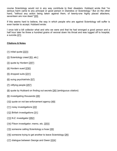course Scientology would not in any way contribute to their disasters. Hubbard wrote that "no serious harm came to any principal or good person in Dianetics or Scientology." But on the other hand, "without any action being taken against them, of twenty-one highly placed attackers, seventeen are now dead."{20}

If this seems hard to believe, the way in which people who are against Scientology will suffer is even harder to accept. Hubbard wrote:

I once told a bill collector what and who we were and that he had wronged a good person and a half hour later he threw a hundred grains of veronal down his throat and was lugged off to hospital, a suicide.{21}

### **Citations & Notes**

- {1} initial quote [223]
- {2} Scientology creed [63, etc.]
- {3} quote by Hordern [257]
- {4} Hordern sued [230]
- {5} dropped suits [231]
- {6} suing psychiatrists [57]
- {7} vilifying people [257]
- {8} quote by Hubbard on finding out secrets [26] {ambiguous citation}
- {9} investigating thousands [26]
- {10} quote on not law enforcement agency [49]
- {11} noisy investigations [22]
- {12} British investigations [31]
- {13} N.Z. investigator [262]
- {14} Filson investigator; memo, etc. [203]
- {15} someone calling Scientology a hoax [26]
- {16} someone trying to get another to leave Scientology [26]
- {17} dialogue between George and Gwen [224]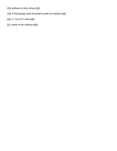- {18} politican & wife crimes [49]
- {19} if Scientology were fraudulent quote by Hubbard [26]
- {20} 17 out of 21 dead [26]
- {21} death of bill collector [80]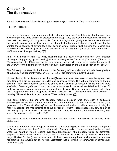# **Chapter 10 The Suppressives**

*People don't deserve to have Scientology as a divine right, you know. They have to earn it.*

-- L. Ron Hubbard{1}

Even worse than what happens to an outsider who tries to attack Scientology is what happens to a Scientologist who turns against or displeases the group. They too may be investigated, although in that case the investigation is quite simple. The Scientologists can go right to the preclear's file and his intimate secrets and confessions are all there.{2} Furthermore, Hubbard made it clear that he wanted these secrets. "If anyone feels like leaving," wrote Hubbard "just examine the records and sit down and list everything done to and withheld from me and the organization and send it along. We'll save a lot of people that way."{3}

In a Policy Letter of April 19, 1965, Hubbard also laid down similar guidelines. "Any preclear blowing an Org [getting up and leaving] without reporting to the [Technical] [Secretary], [Director] of [Processing] and the Ethics section first, and who will not permit an auditor to handle the matter at the Org where the auditing occurred, must be fully investigated by the Ethics section at any cost."{4}

The following is a letter Hubbard wrote to the Secretary of the Melbourne Australia headquarters about a boy who apparently "blew an Org" i.e. left, or did something equally heinous:

Horner blew up in our faces and had his cert[ificate]s canceled. We have criminal background on him. Rape of a girl pc [preclear] in Dallas and countless others. This will do something to [*name omitted*]. Now I firmly believe you will be able to find a criminal background this life on [*two more Australian Scientologists*] as no such occurrence anywhere in the world has failed to find one. I'd grab him when he comes in and security check it in to view. Run one on [*two names out*]. If they won't cooperate you have suspected criminal activities. It's a thrupenny push now. Horner ... possibly Nibs -- all tie in to a neat network. We're pulling it apart.{5}

This same Horner, the one who allegedly raped a preclear, was once such a dedicated Scientologist that he wrote a book on the subject, and in it referred to Hubbard as "one of the great geniuses of the Twentieth Century" whose "discoveries will make possible a new era of living for man." In addition, the man referred to above as "Nibs" -- whom Hubbard apparently saw as part of this "conspiracy" or whatever -- is the nickname for L. Ron Hubbard Jr., Hubbard's own son, who was a Scientologist until he quit in 1959.

The Australian Inquiry which reprinted that letter, also had a few comments on the veracity of the statements:

It is now said that accusations against Horner of "criminal background" and "of the rape of a girl pc in Dallas and countless others" were unfounded.... Subsequently ... Horner returned to the fold and when last heard of was a leading over-seas Scientologist who probably would be extremely surprised to know of his "criminal background" so irresponsibly publicized by Hubbard. There was no justification for the [other] accusations.... Hubbard was merely irresponsibly asserting, as was his practice, that anyone out of line with Scientology had a criminal or communist or homosexual background.{6}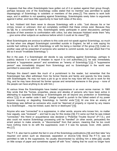It appears that few other Scientologists have gotten out of it or spoken against their group though, perhaps because one of the Scientology codes stated that no member was permitted to speak disparagingly of Scientology to outsiders or members of the press.{7} This seems to work both ways, and in addition to not speaking against Scientology, Scientologists rarely *listen* to arguments against it either, and have little opportunity to hear both sides of the story.

In fact, Hubbard told them never to discuss Scientology with a critic. "Just discuss his or her crimes, known or unknown. And act completely confident that these crimes exist. Because they do."{8} As a concomitant to this, Scientologists rarely participate in panel discussions, perhaps because of their aversion to confrontation with critics, but also because Hubbard wrote them "why ... give some other subjects an audience before which it could air its views?"{9}

Most Scientologists are anxious to adhere to this code and not speak against Scientology, so much so that when one alleged Scientologist committed suicide in England, he left a note saying his suicide had nothing to do with Scientology or with his being a member of the group.{10} (Later on, another case will be presented of someone who wanted to commit suicide, but was afraid that if he did so it would "invalidate Scientology.")

But in the past, if a Scientologist *did* decide to say something against Scientology, perhaps to publicly disavow it or report or threaten to report it to civil authorities, {11} he was immediately declared a "suppressive person" and sometimes an "enemy of Scientology."{12} A "suppressive person" was immediately dropped from Scientology and no Scientologist in the world was permitted to associate with him.

Perhaps this doesn't seem like much of a punishment to the reader, but remember that the Scientologist has often withdrawn from his former friends and family and spends his time mainly with Scientologists. He may not have a job to go to since he may have left his job to work for the Org, and he may have divorced his former spouse and remarried someone in the group -- none of the people can have anything to do with him.)

At various times the Scientologists have treated suppressives in an even worse manner. In 1965 they wrote that the "homes, properties, places and abodes of persons who have been active in attempting to suppress Scientology or Scientologists are all beyond any protection or Scientology ethics."{13} In an earlier code it said "I pledge myself to punish to the fullest extent of my power anyone misusing or degrading Scientology to harmful ends."{14} At one time an enemy of Scientology was defined as someone who could be "deprived of property or injured by any means by a Scientologist ... may be tricked, sued, lied to or destroyed."{15}

Anyone who was "connected" to a suppressive, in other words, anyone who knows him, no matter how vaguely, was "reviewed" -- and had to pay for this review. [16] If it came out that he was indeed "connected," this friend or acquaintance was declared a "Potential Trouble Source" (P.T.S.), and also could not receive Scientology processing until he "handled" (in other words, persuaded) the errant person to make amends, or "disconnected" from that person, meaning that he too could have *nothing* more to do with the suppressive, even if it was his spouse, lover, child, parent, etc.{17}

The P.T.S. also had to publish the fact in one of the Scientology publications,{18} and then take "any required civil action such as disavowal, separation or divorce."{19} Since the P.T.S. was not permitted to talk to the suppressive, he usually disconnected by sending him a letter,{20} usually on little scraps of paper and sometimes signed off with "love," stating that he could no longer have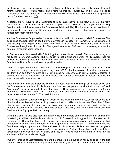anything to do with the suppressive, and implying or stating that the suppressive reconsider and reform himself{21} -- which meant taking more Scientology courses. {22} If the P.T.S refused to "disconnect" from the suppressive, *he* was charged with "high crimes" and became a "suppressive person" and outcast also.{23}

A person did not have to be a Scientologist to be suppressive. In the New York Org the night watchman was said to have been declared suppressive for misdeeds that ranged from stealing from the petty cash box to saying that Scientology didn't work.{24} Nor does the suppressive have to be an adult. One ten-year-old boy was declared a suppressive -- because he refused to "disconnect" from his father.{25}

Another Scientology "suppressive," now an outspoken critic of the group, called Scientology "the beginnings of a Nazi party" in court, during an American tax case. Mr. Raymond J. D. Buckingham, a very accomplished English basso who administers a voice school in Manhattan, initially got into Scientology through one of his pupils. She agreed to give him \$30 worth of processing in return for an equal amount in voice lessons.

At first he was so impressed with Scientology that he convinced several of his students, along with his fiancé to undergo auditing. But he began to get disillusioned when he discovered that his auditor was revealing personal information about him to a friend of hers, and worse still that his fiancée's auditor (a Reverend) was propositioning her.

When he complained about the situation to the Scientologists, however, they said they would speak to him about it only if he would agree to pay them \$25 for the first session of "advice." He agreed, but they then said they wouldn't talk to him unless he "disconnected" from a business partner. It seemed that the Scientologists had also labeled the partner a "suppressive person" because he was connected to a suppressive.

Buckingham then had the incredible courage to speak against Scientology on a radio show, and the Scientologists countered by declaring him a "suppressive person, outside their protection," and "fair game." Those of his students who had become Scientologists (at his recommendation) were ordered to "disconnect" from him -- and also from any money they legally owed him. (This represented a loss of about \$200 a week for him.)

One of his students, a famous singer, in whom he had invested almost \$30,000 as her agent, told him that she had learned in her auditing sessions that "you killed me in my past fifteen lives." Then she not only disconnected from him, but also from the arrangements he had made for her to perform in summer stock theatres. The loss almost ruined him, and her as well, since she was fined by Actors' Equity and left the country.

During this time, he was also receiving phone calls in the middle of the night from men and women threatening to kill him. And his fiancé, who at first didn't leave Scientology and join him, was held in a room at the Org for four hours until she agreed to sign a statement saying that Buckingham had threatened to kill her. The story does have a happy ending. Three in fact. Mr. Buckingham and his fiancé eventually did get married. The ten-year-old child who was declared suppressive four years ago is now one of Mr. Buckingham's voice students. And all three have left Scientology. (Scientology, however has not left them, and they still receive mail urging them to "step into the exciting world of the totally free."){26}

Two other stories of Scientologists who left the group did not have such happy endings. In the first case, the Director of the Scientology Institute in Bulawayo, Africa, a man named John Kennedy, was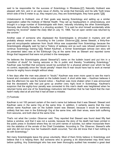said to be responsible for the success of Scientology in Rhodesia. [27] Naturally Hubbard was pleased with him, and in an early issue of *Ability*, he wrote that Kennedy and his wife "both knew which side of the E-meter is up, they respect you, they are Scientologists, they have goals."{28}

Unbeknownst to Hubbard, one of their goals was leaving Scientology and setting up a similar organization called the Institute of Mental Health. They set up headquarters in Johannesburg, and brought in a large number of Scientologists with them, naturally infuriating the other Scientologists. Kennedy died shortly thereafter in a shooting accident. "It is said he shot himself accidentally while cleaning his revolver" stated the *Daily Mail* on July 14, 1968, "but an open verdict was returned by the coroner."

Another case of someone who displeased the Scientologists is shrouded in mystery and will probably always remain so. According to the London *Observer*,{29} James Stewart, a thirty-fiveyear-old encyclopedia salesman from South Africa was suspended from Scientology because the Scientologists allegedly said he had a "history of epilepsy and as such was refused permission to continue Scientology training."{30} Robert Kaufman, a former Scientologist (whose own story will be presented later) was at the Edinburgh Org at the same time as Stewart and reported some things that happened that were not printed in the newspaper.

He believes the Scientologists placed Stewart's[\*] name on the bulletin board and put him in a "condition of doubt" for having seizures or fits in public and thereby "invalidating Scientology." Kaufman was horrified that someone would be punished for a physical ailment over which he had no control, especially since the "doubt penalty" meant this ill man would have had to work at menial chores for eighty hours straight *without sleep*.

A few days after the man was placed in "doubt," Kaufman was even more upset to see the man's funeral and cremation notice posted on the bulletin board. A short while later -- Kaufman believes it was the afternoon he saw the funeral notice -- Kaufman was more shaken when it was announced that the deceased's wife had just gone up another (very high) level in Scientology. Kaufman's suspicion that the eighty-hour penalty was connected to this man's death was heightened when he returned home and one of his Scientology instructors told Kaufman that he had heard that the man hadn't really died at all and that it had all been a mistake.

### [\*] *Footnote:*

Kaufman is not 100 percent certain of the man's name but believes that it was Stewart. Stewart and Kaufman were in the same Org at the same time. In addition, it certainly seems that the man whose name Kaufman saw on the bulletin board was Stewart, because it would be extremely unlikely that two men in the Edinburgh Org at the same time, with their wives, were both suffering from seizures, and both died at the same time.

That's not what the London *Observer* said. They reported that Stewart was found dead fifty feet below a window, and that it was not a suicide, because the story of his death had been printed in the public press in Scotland where they do not print names of suicides, but rather incorporate them into the statistics of the annals of the Chief Constables. According to *The Observer*, Stewart's wife said she did not know how her husband's death occurred, "but she did know that it had nothing to do with Scientology."

Not many Scientologists leave the group voluntarily. Most of them firmly believe in Scientology and believe that it is helping them. But someone who is growing a bit disenchanted may think twice before quitting. Any Scientologist who has ever been thoroughly audited has revealed a great deal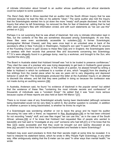of intimate information about himself to an auditor whose qualifications and ethical standards could be subject to some question.

*The Rand Daily Mail* in Africa reported that an auditor told the South African Inquiry that he was criticized because he kept the files on his patients "clean." The same auditor also told the Inquiry that the Scientologists wanted him to jot down the more "meaty" stuff people disclosed. He told the Inquiry that when he left Scientology, he removed his files for fear of blackmail, adding that he had often seen preclear's files with information circled, and with such statements as "we can use this" printed on it.{31}

Perhaps it is not surprising that he was afraid of blackmail. Not only is intimate information kept in files, but the contents of the files are sometimes discussed among Scientologists. At one time, these files were even accidentally accessible to outsiders.{32} A former Scientologist, photographer Michael Chassid, said they were once kept in an unlocked area in back of the secretary's office in New York; <a><a>3</a> in Washington, Hubbard's son said "it wasn't difficult for anyone of the Founding Church to gain access to these files;"{34} and in England, the Scientologists were so careless with their records that personal files and documents concerning two Scientology P.T.S.'s were allegedly found in a garbage dump, read by a workman, and brought to the *Sun*, who reported the story.{35}

The Board in Australia stated that Hubbard himself was "not to be trusted to preserve confidences." They cited the case of a preclear who was trying desperately to get back in Hubbard's good graces after he had been kicked out of the group. In the hopes of a pardon, he abased himself by writing a letter to Hubbard in which he confessed to a number of sins, which "range[d] from the stealing of five shillings from the mantel piece when he was six years old to very disgusting and depraved behavior in adult life." The Scientologists produced this letter at the Australian Inquiry in an attempt to discredit this witness, and felt that they were justified in doing so because the confession was not made during an auditing session.{36}

In Australia, Anderson said, he found "no evidence of blackmail in the popular sense" but added that the existence of these files "containing the most intimate secrets and confessions" of thousands of individuals was a "constant threat." He added that it was "even more serious because copies of these reports are also held at Saint Hill Manor."{37}

There is no known case of any Scientologist actually having been blackmailed (although someone being blackmailed would not be very likely to admit it). But another question to consider, in addition to whether a person is being blackmailed, is whether he thinks he *might* be.

If a Scientologist was wondering whether or not to leave the group and he heard his auditor discussing his case with a friend, as happened to Ray Buckingham,{38} or he had been criticized for not recording "meaty" stuff, and saw files ringed "we can use this," as in the case of the South African witness,{39} or if he knew that Hubbard had requested files of people who wanted to leave{40} and had said to "investigate at any cost" someone who had left,{41} or if he knew that his files were easily accessible and that they could be brought out and openly discussed at any time,{42} wouldn't he think that he *might* be blackmailed and hesitate to leave Scientology?

Hubbard may even *want* preclears to think that their secrets might at some time be revealed. It is hard to interpret his statement below, which he wrote in *Why People Fight Scientology*, in any other way. After ambiguously stating that the E-meter can be used "in other ways than mental health," he wrote: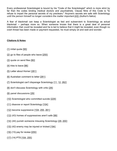Every professional Scientologist is bound by his "Code of the Scientologist" which is more strict by far than the codes binding medical doctors and psychiatrists. Clause Nine of this Code is "to refuse to impart the personal secrets of my preclears." Anyone's secrets are safe with Scientology *until the person himself no longer considers the matter important*.{43} (Author's Italics)

A fear of blackmail can keep a Scientologist as tied and subservient to Scientology as actual blackmail -- perhaps more so. When someone knows that there is a great deal of personal information that *could* be revealed and he is led to believe that it might be revealed, even though no overt threat has been made or payment requested, he must simply sit and wait and wonder.

### **Citations & Notes**

- {1} initial quote [95]
- {2} go to files of people who leave [255]
- {3} quote on send files [80]
- {4} tries to leave [96]
- {5} Letter about Horner [261]
- {6} Australian comment to letter [261]
- {7} Scientologist can't disparage Scientology [11, 12, 262]
- {8} don't discusss Scientology with critic [26]
- {9} panel discussions [29]
- {10} Scientologist who committed suicide [229]
- {11} disavow or report Scientology [104]
- {12} become suppressive [104, 255, 261]
- {13} (43) homes of suppressives aren't safe [99]
- {14} (44) punish someone misusing Scientology [29, 200]
- ${15}$  (42) enemy may be injured or tricked  $[194]$
- {16} (13) pay for review [255]
- {17} (14) PTS [104, 255]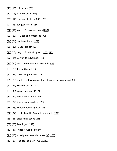- {18} (15) publish fact [99]
- {19} (16) take civil action [99]
- {20} (17) disconnect letters [262, 178]
- {21} (18) suggest reform [255]
- ${22}$  (19) sign up for more courses  $[255]$
- {23} (20) PTS can't be processed [99]
- {24} (21) night watchman [277]
- {25} (22) 10-year-old boy [277]
- {26} (23) story of Ray Buckingham [255, 277]
- {27} (24) story of John Kennedy [175]
- {28} (25) Hubbard comment on Kennedy [46]
- {29} (26) James Stewart [199]
- {30} (27) epileptics permitted [277]
- {31} (28) auditor kept files clean; fear of blackmail; files ringed [247]
- {32} (29) files brought out [255]
- {33} (30) files in New York [177]
- {34} (31) files in Washington [255]
- {35} (32) files in garbage dump [207]
- {36} (33) Hubbard revealing letter [261]
- {37} (34) no blackmail in Australia and quote [261]
- {38} (35) discussing cases [255]
- {39} (36) files ringed [247]
- {40} (37) Hubbard wants info [80]
- {41} (38) investigate those who leave [96, 255]
- {42} (39) files accessible [177, 255, 207]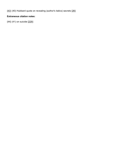{43} (40) Hubbard quote on revealing (author's italics) secrets [26]

## **Extraneous citation notes:**

{44} (41) on suicide [229]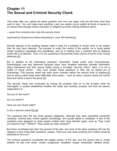# **Chapter 11 The Sexual and Criminal Security Check**

*They keep after you, asking the same question over and over again until you tell them what they want to hear. You can't keep back anything. Later you realize you've spilled all kinds of secrets to an almost total stranger whose character or integrity you know nothing whatever about.*

-- quote from someone who took the security check

(reprinted by Howard and Arlene Eisenberg in June '69 *Parents*){1}

Several aspects of the auditing session make it easy for a preclear to reveal more to his auditor than he may have intended. The preclear is under the control of the auditor, he is being asked certain questions repeatedly and relentlessly, and he is holding onto a machine that he believes works like a lie detector. Thus, it is not surprising if the preclear loses control of some of his normal defenses.{2}

But in addition to the information preclears "voluntarily" reveal under such circumstances, Scientologists may fear blackmail because many have revealed extremely intimate information about themselves and their sexual habits during a so-called "security check." Here, it is not a matter of losing control -- they *must* answer these questions or they can be kicked out of Scientology. This security check has been given routinely before the second level of auditing,{3} and at various other times when difficulties have arisen -- such as when a person wants his money back and wants to leave the group.{4}

The security check was conducted by having the preclear hold on to the E-meter while his interrogator or auditor established whether the meter was working correctly, and how the person responded to it:

Are you on the moon?

Am I an ostrich?

Have you ever drunk water?

Is this a security check?{5} {6}

The questions then fell into three general categories, although they were presented somewhat randomly: criminal acts, crimes against Scientology, and sexual deeds or misdeeds. A few of the questions were designed to make people confess their more altruistic goals, such as "How could you help the Org?" "Others?" "How could you help mankind?"

But these constituted less than five percent of the test, and most of the other questions fell into the category of one of the other questions, namely, "Have you ever done anything your mother would be ashamed to find out?"

The criminal questions constituted the largest portion of the test, and the person had to reveal whether he had ever stolen, looted, burglarized, shoplifted, forged, embezzled, falsified books,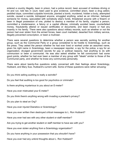entered a country illegally, been in prison, had a police record, been accused of reckless driving or hit and run, told lies in court, been paid to give evidence, committed arson, been a drug addict, peddled dope, committed culpable homicide, planted a bomb, murdered, hidden a body, attempted suicide, caused a suicide, kidnapped anyone, smuggled anything, acted as an informer, betrayed someone for money, speculated with somebody else's funds, threatened anyone with a firearm or been in illegal possession of one, plotted to destroy a member of his family, crippled a person, committed a misdemeanor, a felony or a capital offense, criminally avoided taxes, counterfeited money, fraudulently altered or issued certificates or documents, and been insane or had any insanity in his family. There were also questions about military records, such as whether or not the person had ever stolen from the armed forces, been court martialed, deserted from military service, illegally prevented conscription, or been a mutineer.

There were several questions to determine whether a person was secretly working for another group, such as the Communist Party or a group considered to be hostile to Scientology, such as the press. They asked the person whether he had ever lived or worked under an assumed name, given his right name in Scientology, been a newspaper reporter, a spy for the police, a spy for an organization, divulged government secrets for pay or political reasons, had anything to do with communism or been a communist. He was also asked whether he felt communism had some good points, whether he had ever been a member of any group with "ideals" similar to those of the Communist party, and whether he knew any communists personally.

There were about twenty-five questions solely concerned with their feelings about Scientology, Hubbard, and Mary Sue, Hubbard's current wife. Some of these questions were rather amusing:

Do you think selling auditing is really a swindle?

Do you feel that auditing is too good for psychotics or criminals?

Is there anything mysterious to you about an E-meter?

Have you ever mistrusted your E-meter?

Do you think there's anything wrong with invading a preclear's privacy?

Do you plan to steal an Org?

Have you ever injured Dianetics or Scientology?

Have you ever written then destroyed critical messages to L. Ron Hubbard?

Have you ever had sex with any other student or staff member?

Are you trying to get another student or staff member to have sex with you?

Have you ever stolen anything from a Scientology organization?

Do you have anything in your possession that you shouldn't have?

Have you ever had any unkind thoughts about L. Ron Hubbard?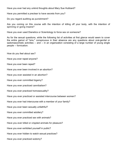Have you ever had any unkind thoughts about Mary Sue Hubbard?

Have you permitted a preclear to have secrets from you?

Do you regard auditing as punishment?

Are you coming on this course with the intention of killing off your body, with the intention of spinning or going insane?

Have you ever used Dianetics or Scientology to force sex on someone?

As for the sexual questions, while the following list of activities at first glance would seem to cover the entire gamut of "sins," conspicuous in their absence are any questions about oral-genital or sadomasochistic activities -- and -- in an organization consisting of a large number of young single people -- fornication.

How do you feel about sex?

Have you ever raped anyone?

Have you ever been raped?

Have you ever been involved in an abortion?

Have you ever assisted in an abortion?

Have you ever committed bigamy?

Have you ever practiced cannibalism?

Have you ever practiced homosexuality?

Have you ever practiced or assisted intercourse between women?

Have you ever had intercourse with a member of your family?

Have you ever been sexually unfaithful?

Have you ever committed adultery?

Have you ever practiced sex with animals?

Have you ever killed or crippled animals for pleasure?

Have you ever exhibited yourself in public?

Have you ever hidden to watch sexual practices?

Have you ever practiced sodomy?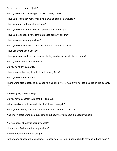Do you collect sexual objects? Have you ever had anything to do with pornography? Have you ever taken money for giving anyone sexual intercourse? Have you practiced sex with children? Have you ever used hypnotism to procure sex or money? Have you ever used hypnotism to practice sex with children? Have you ever been a prostitute? Have you ever slept with a member of a race of another color? Have you ever been a voyeur? Have you ever had intercourse after placing another under alcohol or drugs? Have you ever coerced a servant? Do you have any bastards? Have you ever had anything to do with a baby farm? Have you ever masturbated?

There were also questions designed to find out if there was anything *not* included in the security test:

Are you guilty of something?

Do you have a secret you're afraid I'll find out?

What questions on this check shouldn't I ask you again?

Have you done anything your mother would be ashamed to find out?

And finally, there were also questions about how they felt about the security check:

Are you upset about this security check?

How do you feel about these questions?

Are my questions embarrassing?

Is there any question the Director of Processing or L. Ron Hubbard should have asked and hasn't?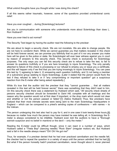What unkind thoughts have you thought while I was doing this check?

If all this seems rather traumatic, however, some of the questions provided unintentional comic relief:

Have you ever coughed ... during [Scientology] lectures?

Are you in communication with someone who understands more about Scientology than does L. Ron Hubbard?

Have you ever tried to act normal?

The Security Test began by having the auditor read the following to the preclear:

We are about to begin a security check. We are not moralists. We are able to change people. We are not here to condemn them. While we cannot guarantee you that matters revealed in this check will be held forever secret, we can promise you faithfully that no part of it nor any answer you make here will be given to the police or state. No Scientologist will ever bear witness against you in court by reason of answers to this security check. This security check is exclusively for Scientology purposes. The only ways you can fail this security check are to refuse to take the test, to fail to answer its questions truthfully or if you are here knowingly to injure Scientology. The only penalty attached to failure of this check is processing or our refusal to employ you or issue you a certificate, and this will happen only if we find that you are trying knowingly to injure Scientology. You can pass this test by 1) agreeing to take it, 2) answering each question truthfully, and 3) not being a member of a subversive group seeking to injure Scientology. [Later it stated that the person would flunk the test if they refused to take it or if "any compromising or important question" got a suspicious reaction from the E-meter after being asked repeatedly.]

While it's true that the auditor told the preclear that they "cannot guarantee ... that all matters revealed in this test will be held forever secret," there was something that they didn't read to him. On this security check there was a statement by Hubbard which said, "*All* security check sheets of persons security checked *should be forwarded to Saint Hill*, complete with all markings and the reason why the question would not at first clear if important, or the drop mark which would not clear and whether or not the person passed or failed."{7} (Italics Hubbard) Thus, few preclears have realized that their most intimate secrets were being sent to the main Scientology headquarters in England -- which can be compared to a priest's sending copies of confessions -- with names -- to the Vatican.

The person undergoing this test also had to *pay* for it, and in one case it took twenty-three hours,{8} because no matter how much the person may have insisted he was telling all, in Scientology the Emeter is always considered to be infallible. Hubbard even told the auditors to have a "thorough swinish suspicion and no belief in mankind or the devil -- only the meter."

Reading the E-meter could be difficult though, since it can react in a number of ways, which Hubbard called a "Theta Bop" (dancing needle) "Rock Slam" (irregular motion) etc. But Hubbard said a fall in the needle always meant "Oh! Oh! He got me!"

Thus, for example, if a preclear denied that he had ever practiced cannibalism and the needle fell, the checker had to repeat the question in a variety of ways until the person admitted that he had.{9} But what if the person honestly hadn't practiced cannibalism, never thought about it, never planned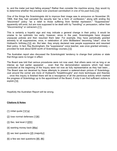to, and the meter just kept falling anyway? Rather than consider the machine wrong, they would try to determine whether the preclear ever practiced cannibalism *in one of his past lives*.{10}

One of the things the Scientologists did to improve their image was to announce on November 29, 1968, that they had canceled the security test "as a form of confession," along with ending the "disconnect" policy "as a relief to those suffering from familial repression." "Suppressives" apparently still exist, but are now supposed to be dealt with by "handling" or persuasion, rather than "disconnecting" or ostracism.{11}

This is certainly a hopeful sign and may indicate a general change in their policy. It would be unwise to be optimistic too early, however, since in the past, Scientologists have dropped unpopular policies and then resumed them later. For example, they have periodically granted amnesty to all suppressives, once, in celebration of John McMasters' becoming "clear"; once for Hubbard's birthday,{12} etc. But later, they simply declared new people suppressive and resumed their policy. In fact, Ray Buckingham, the "suppressive" voice teacher, was once granted amnesty - provided he took about \$200 worth of Scientology courses.{13}

The Australian report also discussed the Scientologists' tendency to change their policies or state that things were no longer in effect.

The Board was told that various procedures were not now used, that others were not as long or as intense as had earlier appeared ... even that the demonstration sessions which had been conducted at the beginning of the Inquiry were not now as fully representative as they had been.... The Board was not deceived by these attempts to present a watered-down picture of Scientology. Just around the corner are more of Hubbard's "breakthroughs" and more techniques and theories ... once this inquiry is finished there will be a resurgence of all the pernicious activity which marked the progress of Scientology up to the appointment of the Board, if only it can find sufficient victims to exploit.{14}

Hopefully the Australian Report will be wrong.

### **Citations & Notes**

- {1} initial quote [141a]
- {2} lose normal defenses [138]
- {3} Sec. test level 2 [255]
- {4} wanting money back [86a]
- {5} sec test questions [25 (majority)]
- {6} a few sec test questions [85, 86]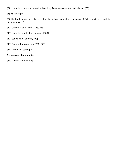{7} instructions quote on security; how they flunk; answers sent to Hubbard [25]

{8} 23 hours [187]

{9} Hubbard quote on believe meter; theta bop; rock slam; meaning of fall; questions posed in different ways [7]

- {10} crimes in past lives [7, 25, 255]
- {11} canceled sec test for amnesty [100]
- {12} canceled for birthday [90]
- {13} Buckingham amnesty [255, 277]
- {14} Australian quote [261]

### **Extraneous citation notes:**

{15} special sec test [48]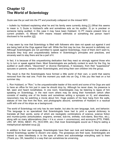# **Chapter 12 The World of Scientology**

#### *Suzie saw the pc well into the PT and practically collapsed on the missed W/H.*

-- bulletin by Hubbard explaining what he and his family were currently doing.{1} (What this seems to mean is 1) Suzie is Hubbard's wife and sometimes acts as his auditor. 2) pc is preclear or someone being audited; in this case it may have been Hubbard. 3) PT means present time or current problem. 4) Missed W/H means missed withholds or something the person hasn't disclosed to his auditor.){2}

It may seem by now that Scientology is filled with followers who dare not speak out against it and are being held at the Orgs against their will. While the first may be true, the second is definitely not. Although Scientologists are not permitted to speak against Scientology, most of them don't want to, because they truly and unquestionably believe in Scientology's principles and practices, and sincerely want to stay there and be a part of it.

In fact, it is because of this unquestioning dedication that they react so strongly against those who try to turn or speak against them. Most Scientologists are perfectly content to work for the Org, be audited or audit others, "disconnect" or divorce themselves, if necessary, from their "suppressive" spouses or parents, remarry other Scientologists, and bring their own children into the group.

The result is that the Scientologists have formed a little world of their own, a world that seems removed from the real one. From the moment you walk into an Org, it hits you like heat on a hot summer day.

L. Ron Hubbard, or "Ron," is the unquestionable leader of this world and some of his Orgs are said to have an office for him just in case he should drop by. Although he never does, his presence is felt, seen and heard nonetheless. In one room, Scientologists may be listening to tapes of him speaking on Scientology, in the next room others may be doing their homework (which often consists of reading one of his books and sometimes writing a synopsis on it), and elsewhere, newcomers may be watching a movie about him. Huge posters of his face hang from the walls, statues of him rise from the floor, and photographs abound, sometimes of Hubbard in a nautical outfit with one of his ships as a background.

The world of Scientology not only has its own leader, but also its own language, look, and behavior. This language is so specialized that Scientologists have had to print a special dictionary to translate all their words, some of which are neologistic combinations of science, science fiction and mumbo-jumbo (enturbulation, engrams, enmest, dub-ins, entheta, rock-slams, Boo-Hoo, etc.), along with so many abbreviations (itsa = it is a; uncon = unconscious), and acronyms (PTS, PABS, LRH, SP, WOG, MEST, PC, HCO-WW, etc.) that most Scientologists sound as if they're eating a metaphysical alphabet soup.{3}

In addition to their own language, Scientologists have their own look and behavior that enables a trained Scientology spotter to discern one easily. The giveaways are their eyes. Scientologists are trained to stare relentlessly in to the eyes of others and acknowledge everything said to them (Thank you, OK, beautiful) in a way that can sometimes be unnerving.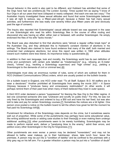Sexual behavior in this world is also said to be different, and Hubbard has admitted that some of the Orgs have had sex problems.{4} The London *Sunday Times* quoted him as saying "I know of four Orgs in all our years that have collapsed or nearly collapsed. And each one was sex crazy." The Australian Inquiry investigated these sexual attitudes and found that some Scientologists believed it was all right to seduce, say, a fifteen-year-old-girl, because a thetan has had many sexual activities, and furthermore she was really over seventy trillion plus fifteen years old (and obviously past the age of consent).

The Inquiry also reported that Scientologists' casual attitude toward sex was apparent in the case of one Scientologist who read his wife's Scientology files in the course of office routing and discovered she was having an affair, either real or fantasied, with another Scientologist. He simply endorsed the files of his wife "lacks morals."

The Board was also disturbed to find that abortions were "almost a regular coffee break topic" at the Australian Org, and they attributed this to Hubbard's constant mention of abortions in his writings. The Board also claimed to have found evidence that many of the staff, both married and unmarried had undergone abortions, but since this report was written in 1965 when attitudes toward such matters were less liberal, its importance today is questionable.{5}

In addition to their own language, look and morality, the Scientology world has its own definition of crime and punishment, with certain acts labelled as "misdemeanors" (e.g., refusing an E-meter check), "crimes" (e.g., heckling a Scientology supervisor) and "high crimes" (e.g., yielding a Scientologist to the demands of civil or criminal law).{6}

Scientologists must obey an enormous number of rules, some of which are outlined for them in HCO (Hubbard Communications Office) orders, which are usually posted on the bulletin boards.

On a bulletin board in England, one HCO order read: "To all Staff. Subject: B.O. All staffers are to wear a deodorant." Another prohibited all Scientologists from seeing the movie *2001 -- A Space Odyssey* because it "produces heavy and unnecessary restimulation" (in other words, it will perhaps remind them of their past lives when many of them believed they lived in outer space).

A third HCO order declared a person "suppressive" for likening the Sea Org to the Hitler regime. A last one concerned someone who was "unshaven and scruffy on public lines." For this, he was not only fined by the Scientologists and ordered to buy a \$50 suit and have his hair fixed, but was also told to take and pay for certain Scientology courses.{7} Sometimes the notices are a bit lighter. One person once posted a notice on the bulletin board to tell the others how great he felt the moment he had paid his Scientology bill!{8}

Punishment for infractions of the Scientology rules depends on the crime, but it sometimes seems well out of proportion. While some of the punishments may perhaps have some educational value, like writing additional words or adding case studies to their thesis{9} or even making them undergo additional auditing,{10} other punishments seem to be merely humiliating. Scientologists may be made to perform menial work, deliver a "paralysing blow to the enemy," admit their errors, and petition every other Scientologist in the Org for forgiveness.{11}

Other punishments are even worse: a person may be declared "nonexistent," and may not be allowed to bathe, wear makeup, go to their hairdresser, shave, take lunch hour, leave the premises. A person may be put into a "condition of liability" and be confined to the premises with a dirty grey rag on his left arm. For a greater infraction a person may be put into a "condition of doubt"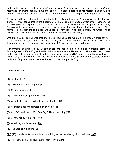and confined or barred with a handcuff on one wrist. A person may be declared an "enemy" and restrained or imprisoned,{12} have the label of "Treason" attached to his records, and be turned over to civil authorities with his "full background to be explored for the purposes of prosecution."{13}

Alexander Mitchell, who writes consistently interesting articles on Scientology for the London *Sunday Times*, found that in the basement of the Scientology Queen Street office, London, the Scientologists *actually had a prison* -- a tiny padlocked room known as the "dungeon" where erring Scientologists were locked up, sometimes for several days, on bread, butter and water. "If a member of the staff made an accounting slip, or infringed on an ethics order," he wrote, "he is taken to the dungeon to enable him to find out where he is in Scientology."

One Scientologist told Mitchell that after he was locked up for two days, "I signed an order saying I would observe all regulations of the org, but they weren't satisfied. I was told to go on a £6 (about \$14) an hour course to improve my ethics. I couldn't take anymore so I quit."{14}

Punishments administered by Scientologists are not restricted to erring members alone. In Tunbridge Wells, Kent, England, Willa Hickman, owner of the Harewood Hotel, decided not to cater to the Scientologists after they placed him in a "condition of liability" (which meant he would have to wear a dirty rag on his arm) and told him he would have to get his Scientology customers to sign a petition of forgiveness -- all because he had run out of apple pie.{15}

### **Citations & Notes**

- {1} initial quote [89]
- $\{2\}$  (15) meaning of initial quote  $[10]$
- {3} (2) special words [10]
- $\{4\}$  (3) orgs have sex problems  $[241a]$
- {5} (4) seducing 15 year old; wife's files; abortions [261]
- {6} (5) misdemeanors; crimes; high crimes [141a]
- {7} (6) HCO deodorant; 2001; Sea Org & Hitler; man dirty [227]
- $\{8\}$  (7) how happy to pay bill  $[141a]$
- $\{9\}$  (8) adding words to thesis [14]
- ${10}$  (9) additional auditing  $[25]$
- {11} (10) punishments manual labor, admitting errors, paralyzing blow; petitions [187]
- {12} (11) condition of liability; doubt; enemy [141a, 227]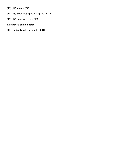{13} (12) treason [227]

{14} (13) Scientology prison & quote [241a]

{15} (14) Harewood Hotel [192]

## **Extraneous citation notes:**

{16} Hubbard's wife his auditor [261]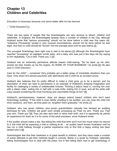# **Chapter 13 Children and Celebrities**

*Education is necessary because one earns better after he has learned.* 

-- "Child Dianetics"{1}

There are two types of people that the Scientologists are very anxious to attract: children and celebrities. In England, the Scientologists already have a number of children in the Org, although Hubbard wrote that "serious processing" should not be done before a child was five years old, "extensive Processing" except in very unusual circumstances, should not be done before he was eight, and that no child should be "forced" into the prenatal area until he was twelve.{2}

The youngest Scientology clear right now is said to be eleven,{3} although the Scientologists have reported "processing" an eighteen month baby, and a baby who was just a few days old (by saying to him repeatedly, "Lie in bed. Thank you.").{4}

Hubbard has an extremely permissive attitude toward child-rearing: "So he tears up his shirt, wrecks his bed, breaks up his fire engine. It's NONE OF YOUR BUSINESS," he wrote.{5} He also said in *Child Dianetics*:

Care for the child? -- nonsense! He's probably got a better grasp of immediate situations than you have. Only when he's almost psychotic with aberrations will a child be an accident prone.

Hubbard also believes that it's pretty difficult to make a child grow up to be a pervert, and his description of what can lead to perversions is an example of Hubbard's amazing imagination and facility for cataloging a variety of unbelievable tortures: "Kicking a baby's head in, running him over with a steam roller, cutting him in half with a rusty knife, boiling him in lysol, and all the while with crazy people screaming the most horrifying and unprintable things at him."{6}

Hubbard's permissiveness, however, does not always extend toward children who don't want Scientology auditing. "If the child is even faintly unwilling to be audited, you can coax the child into short sessions, and then, as time goes on, lengthen them gradually," he wrote.{7}

Hubbard, who has seven children, plus seven grandchildren naturally has devised an auditing technique for kids. Children are given such simple processing as "Feel my arm. Thank you. Feel your arm. Thank you."{8} They are also sent back to relive their birth, and it is apparently as painful an experience for them as it is for some of the adult preclears, since Hubbard wrote:

If the auditor should make a slip, like telling the child that birth won't hurt him much when he returns to it, the child will be expecting a mild or nothing at all ... an auditor hasn't known frustration until he has run a child halfway through a painful experience only to find that a happy ending has been tacked onto it.{9}

Scientologists feel that their treatment is of great benefit to children, and they have made a number of active attempts to get their methods taught in schools. Below is a quote by Hubbard, ostensibly telling Scientologists how to deal with the press, but in fact telling them how to get Scientology in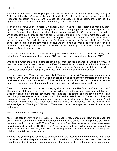schools.

Hubbard recommends Scientologists put teachers and students on "meters" (E-meters), and give "daily mental activities" -- which is what they do in Scientology. It is interesting to note that Hubbard's obsession with sex and violence become apparent once again, inasmuch as the hypothetical case he chose concerns a teen-age girl who was raped.

Teen-age girl shows up in H[ubbard] G[uidance] C[enter] who has been beaten and raped by teenage boys at High School and withholding it since. Audit it out, get parents to OK investigation. Call in press. Release story of vice and crime at local high school with the Org doing the investigation. On subsequent days, criticize laxity of police. Criticize principal. Finally, take more teen-age sex cases. Just day by day deal off a new action to the press. String the story out. Take an action. Hold a press conference. Put students on meters. Put teachers on meters. Get parents to sue. Finally, advise school hire a permanent mental consultant and give daily mental exercises to "teen-age monsters." Then wrap it up and skip it. You've made something evil become something good attained -- Scientology in schools.

At the end of this piece he gave the Scientologists another exercise to do: "Do a story design and calendar for Scientology Ministers demand FDA prove sterility pills aren't sex stimulants."{10}

One case in which the Scientologists did get into a school caused a scandal in England in 1960. At that time, Miss Sheila Hoad, owner of the East Grinstead Aston House Prep school for boys and girls from three-and-a-half to eleven, became friendly with an American Scientologist named Dr. (perhaps of Scientology) Thompson, who lived in an apartment adjoining the school.

Dr. Thompson gave Miss Hoad a book called *Creative Learning: A Scientological Experiment in Schools*, which was written by two Scientologists and was once actively promoted in Scientology publications. Miss Hoad proceeded to follow the instructions in the book, and for twenty minutes each day, instead of English grammar lessons, she gave the following exercises to do.

Session 1 consisted of 20 minutes of obeying simple commands like "stand up" and "sit down." The purpose of this was to have the "pupils follow the order without questions and happily." Session 4 consisted of the teacher saying "hello" and the kids saying "all right" for ten minutes, and then this process was reversed. In session 5, the teacher asked them to "remember a time that seems real to you," "remember a time when you were in good communication with someone" and "remember a time when you a felt some strange affinity for someone," and the teacher then acknowledged it. ("Thank you" "All right") There was a note that simpler words could be used for that lesson.

Then came the death lessons.{11}

Miss Hoad told twenty-five of her pupils to "close your eyes. Concentrate. Now imagine you are dying. Imagine you are dead. Now you have turned to dust and ashes. Now imagine you are putting the ashes back inside yourself." These "death lessons," as they came to be called, were given behind locked doors with a "Do Not Disturb" sign outside, and the children were told "never think about these lessons after they are over," which suggested to many that she was warning the children not to tell their parents about it.

But one nine-year-old pupil became so depressed after the lessons that her mother had to take her to a doctor and she whispered the secret to him. Another child, after ointment was rubbed on her chest for a cold said "Mummy, I am going to die. I feel funny inside." That mother, who had perhaps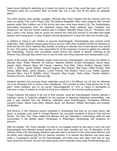heard about Hubbard's attaching an E-meter into plants to see if they could feel pain, said "Let Dr. Thompson inject his cucumbers when he thinks they are in pain. But let him leave my daughter alone."

The other parents were equally outraged, although Miss Hoad insisted that the lessons were the same as saying "The Lord's Prayer."{12} The parents disagreed. Miss Hoad resigned after several parents pulled their children out of the school and even more were absent.{13} The Scientologists dissociated themselves from the treatment saying that those methods were "outdated and dangerous" and that the current practice was to imagine "beautiful things."{14} Dr. Thompson, who had a child in the school, said he would not remove the child.{15} Rumors to the effect that death lessons were being given in other English schools persisted for a long time after the incident.{16}

In addition to trying to get children to become Scientologists, Scientologists also actively solicit celebrities. Their celebrity chasing goes back to around 1955 when Hubbard invited his followers to write and tell him which celebrity they wanted, promising to allocate one to each person who asked for one. The person, however, was responsible for all the expenses involved in getting the celebrity into Scientology. Anyone who succeeded would receive two weeks of special coaching at the Phoenix Org, although they would have to pay for their own living expenses and transportation.{17}

Some of the people whom Hubbard hoped would become Scientologists, and whom he offered to allocate, were: Walter Winchell, Ed Sullivan, Marlene Dietrich, Ernest Hemingway, Danny Kaye, Joseph Alsop, Stewart Alsop, Sid Caesar, Liberace, Fred Allen, Arthur Godfrey, George Gobel, Fulton J. Sheen, James Stewart, Howard Hughes, Billy Graham, Bob Hope, Pablo Picasso, Walt Disney, Milton Berle, Jackie Gleason, Lowell Thomas, Red Skelton, Henry Luce, Walter Lippman, Groucho Marx, Cecil B. DeMille, Arturo Toscanini, Bing Crosby, Greta Garbo, Charles Addams, Donald O'Connor, Edward R. Murrow.{18}

Hubbard admitted that pursuing these celebrities would be a bit difficult, but he told his followers not to be dismayed and to pursue them relentlessly. "Put yourself at every hand across his or her path," wrote Hubbard, and do not permit "discouragement or `no's' or clerks or secretaries to intervene in days or weeks or months to bring your celebrity in for a formal auditing session."

Project Celebrity still seems to be one of their policies, since the Scientologists recently opened a Celebrity Center in California allegedly for the purpose of attracting Hollywood personalities. Last year it was claimed that the following celebrities were Scientologists: Tennessee Williams, Leonard Cohen, Mama Cass Elliot, Stephen Boyd, Jim Morrison, William Burroughs and possibly the Beatles.

One famous, in fact infamous person interested in Scientology that they do not boast about, talk about, or probably even want is Charles Manson, the convicted murderer of Sharon Tate and her friends. *The New York Times* stated that Manson first got interested in Scientology while he was incarcerated in the McNeil Island Penitentiary in Washington (Scientology has programs for prisons).

After his release, *The Times* reported, he went to Los Angeles where he was said to have met local Scientologists and attended several parties for movie stars, possibly the July 18 dedication of the celebrity center.{19} Scientology literature was also said to be found at the ranch when Manson and his family were captured.{20} But for reasons unknown, it is claimed that Manson may have been made a "suppressive person" by the Scientologists, and there have also been hints that he may have joined the Process, the sex and satan group which originally broke away fromScientology.{21}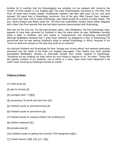Another bit of publicity that the Scientologists are probably not too pleased with concerns the murder of three people in Los Angeles.{22} Two were Scientologists. According to *The New York Post*, all three were brutally beaten, ritualistically stabbed, had their right eyes cut out, and were dumped 100 yards from a Scientology commune. One of the girls, Miss Doreen Gaul, nineteen, who came from New York to study Scientology, was naked except for a strand of Indian beads. The boy, James Sharpe was fifteen years old. The third was unidentified. Doreen Gaul's father allegedly told a *New York Post* reporter that she had lately become disenchanted with Scientology.

She was not the only one. For the past fourteen years, John McMasters, the first Scientology clear, appears to have been groomed by Hubbard to take his place when he dies. McMasters recently wrote a letter to Hubbard, and sent copies to "suppressives" and Scientology enemies.{23} Although McMasters declared that "I shall never withdraw my allegiance to Ron or Scientology" he announced that he was leaving Hubbard's ships to spread Scientology in Africa, because of his "horror at what such people on the Sea Org could do to mankind."

He criticized Hubbard and Scientology for their "savage and vicious ethics" and seemed particularly perturbed over the death of the three Los Angeles teen-agers. Their deaths may have partially precipitated McMasters' decision to dissociate himself from certain aspects of Scientology. "Somehow we are violating our basic ethics for such things to happen to us," he wrote. "These last two ghastly murders of our students, one of whom is a clear, need never have happened if we hadn't been mocking up [making] enemies so solidly."

### **Citations & Notes**

- {1} initial quote [4]
- {2} age to process [4]
- {3} youngest clear 11 [283]
- {4} processing 18 month and new born [47]
- {5} Hubbard quote on permissiveness [4]
- {6} Hubbard quote on perversions [6]
- {7} Hubbard quote on coaxing children into auditing [41]
- {8} children treatment [41]
- {9} prenatal area [4]
- {10} Hubbard quote on getting into schools; FDA assignment [261]
- {11} death lessons [166, 210, 211, 162]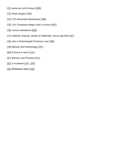- {12} same as Lord's prayer [209]
- {13} Hoad resigns [167]
- {14} (15) dissociate themselves [169]
- {15} (14) Thompson keeps child in school [167]
- {16} rumors elsewhere [209]
- {17} celebrity chasing; names of celebrities; how to get them [27]
- {18} who is Scientologist & famous now [138]
- {19} Manson and Scientology [151]
- {20} lit found at ranch [141]
- {21} Manson and Process [141]
- {22} 3 murdered [147, 275]
- {23} McMasters letter [122]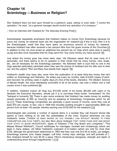## **Chapter 14 Scientology -- Business or Religion?**

*Ron Hubbard does not look upon himself as a patriarch, pope, bishop or even elder. "I control the operation," he says, "as a general manager would control any operation of a company."*

-- from an interview with Hubbard for *The Saturday Evening Post*{1}

Scientologists repeatedly emphasize that Hubbard makes no money from Scientology because he pours any money he receives back into the organization for research.{2} If this is true, then it is to the Scientologists' credit that they have spent an enormous amount of money for research, because Hubbard has often received a ten percent tithe from the gross income of the Churches.{3} In addition to this, he once levied an additional five percent tax on Orgs which were slow in paying up,{4} and also once requested that his Orgs send him "any extra money you have around."{5}

Just where the money goes has never been clear. His followers swear that he uses none of it personally, and there seems to be no question in their minds that his many homes, cars, boats, etc., are all necessary for the Scientology operation. His followers' faith is such that no one in the Orgs seemed particularly perturbed when they saw the picture of Hubbard and his wife next to their car, and the caption "Ron and Mary Sue beside their Jaguar."{6}

Hubbard's wealth may have also come from the publication of at least thirty-five books that he's written on Scientology and Dianetics. He writes one every six months, sells 6-9,000 copies of each, and recovers his printing costs in eighty days.{7} One of the books, *Dianetics: The Modern Science of Mental Health*, the most relentlessly promoted of all of his books, has sold a million and a half copies since it was published.{8}

In addition, Hubbard *makes* all Orgs buy \$10,000 worth of his books (\$5,000 with cash) or he declares the Executive Secretary, whose job it is to purchase these books "nonexistent" for this "betrayal to humanity."{9} There is also some evidence that Hubbard has made money by auditing people personally at \$50 an hour{10} and by speaking at Scientology Congresses which he set up.{11} These Scientology Congresses are generally a good source of income, since they cost at least \$75 per couple. In fact, one in 1958 that included auditing brought in approximately \$800 per person from at least 140 people, thereby earning over \$100,000 for the weekend.{12}

Scientologists also promote a number of special items in a booklet they call *Expand* whose title seems to have nothing to do with the potentialities of the mind. *Expand* advertises not only Hubbard's books ("ORDER AS MANY BOOKS AS YOU POSSIBLY CAN WITHOUT REGARD TO FIXED CONSUMPTION AND FLOG THEM"), but also films about Hubbard ("GET THESE FILMS NOW AND BOOST YOUR STATS TO BOOM PROPORTION"), tapes of Hubbard ("The Org Board and Livingness," "The Missed Missed Withhold"), Church certificates for marriages, funerals and christenings (which are legal in many states), old father Hubbard's cupboard of E-meters (which are sold for more than \$126, although the government determined in 1963 that they cost only \$12.50 to build), car badges, Scientology scarves, pins, blazer badges, cuff links, money clips, earrings, and self portraits of L. Ron Hubbard himself for only \$5.35 a piece ("Ron's tremendous beingness, strength and depth of understanding show through magnificently.").{13}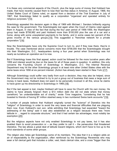It is these very commercial aspects of the Church, plus the large sums of money that Hubbard has made, that have recently caused them to lose their tax-free status in America. In August, 1968, the United States Court of Claims ruled, on appeal from a decision of the Trial Examiner in July of 1967, that Scientology failed to qualify as a corporation "organized and operated entirely for religious purposes."{14}

Scientology appealed this decision again in May of 1969 with Michael I. Sanders brilliantly arguing the case for the government. The Scientologists lost again when the Court of Claims ruled against them in August, in view of the fact that during the four year period of 1956-1959, the Washington group had made \$758,982 and paid Hubbard more than \$100,000 plus the use of a car and a home, along with some unexplained payments to his family, and in some cases ten percent of the gross income of the various groups.{15} This suggested a "franchise network for a private corporation."{16}

Now the Scientologists have only the Supreme Court to turn to, and if they lose there, they're in trouble. The case mentioned above concerns more than \$758,000 that the Scientologists brought into their Washington, D.C., headquarters during a four year period when Scientology was not nearly as lucrative an operation as it is now.

But if Scientology loses this final appeal, action could be followed for the more lucrative years *after* 1959 and interest would be due on the taxes for all of those years in question. In addition, this only concerns the Founding Church of Scientology in *Washington, D.C.* The Internal Revenue Department may hit the other Scientology groups in at least nine other United States cities with the same taxes since 1956 at six percent interest. (Action has already been started in New York.){17}

Although Scientology could suffer very badly from such a decision, they may also be helped, since the Government may not be inclined to try to put a group out of business that owes a large sum of money in back taxes. Hubbard does not seem to be personally involved in all this, since he claims to have given up his directorship in Scientology in 1966.{18}

But if the last appeal is lost, maybe Hubbard will have to save his Church with his own money. He claims to have already forgiven them a \$13 million debt (he did not state where that money camefrom) "an understandable act of charity," wrote *Time* magazine, "considering that he has boasted to friends of having \$7 million stashed away in two numbered Swiss bank accounts."{19}

A number of people believe that Hubbard originally turned the "science" of Dianetics into the "religion" of Scientology in order to avoid the very taxes and financial difficulties that are plaguing them now. Even Hubbard's own son, while admitting that Scientology had expanded "toward the addressing of the being" said it was also established as a religion because there was "more latitude in ... regard to corporate structure," and that it had certain tax advantages, most notably tax exemption.{20}

But the religious aspects have not only enabled Scientology to not pay taxes, but it has also enabled them to avoid prosecution or -- as they prefer to call it -- the persecution that threatened Dianetics. The law allows a great deal of latitude toward religions, which don't have to live up to the strict standards of some other groups.

The religion also helps get Scientology some of its members. The idea that it is a religion adds an air of respectability to the organization, often reinforced by the Scientology Reverends who may wear a full clerical garb that includes a collar, vest, black clerical robe, and a cross "bigger than the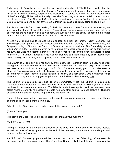Archbishop of Canterbury," as one London skeptic described it.{21} Hubbard wrote that the religious aspects also served another function: "Society accords to men of the Church an access not given to others. Prisons, hospitals, and institutions ... cannot do otherwise than welcome men of the Church."{22} Not only does the religion enable Scientologists to *enter* certain places, but also to get *out* of them. One New York Scientologist, by claiming he was a "student of the ministry of Scientology" was able to get out of the draft, although this case is currently being appealed.{23}

People who join this Church are Jewish, Catholic, Protestant -- it doesn't matter -- because anyone who joins the Church of Scientology joins a "nonsectarian religious corporation" and does not have to renounce the religion in which he was born. ${24}$  Just as it is not too difficult to become a member of this Church, it is not terribly difficult to become a minister either.

At one time, all one had to do was be an auditor, and then pay another \$150, memorize the Scientology creed, prepare his own ethical code, know several "ordinary" Church ceremonies, the Gospelaccording to St. John, the Church of Scientology sermons, and read *The Great Religions by which Men Live*.{25} He does not even have to attend any special classes and can do this work on his own.{26} Once he becomes a minister, he is also entitled to receive the benefits accorded other ministers.{27} In *Anent Rendering Unto Caesar*, Hubbard told them what they could deduct from taxes, namely, rent, utilities, office supplies, car for ministerial functions, etc.

The Church of Scientology also has Sunday church services -- although often in a very nonclerical setting, such as their summer outdoor services in Central Park in Manhattan.{28} These services are also more a pitch for Scientology than for God. Someone usually gets up and discusses a phase of Scientology, along with a testimonial on how it changed his life; this may be followed by an afternoon of Israeli songs, a blues guitarist, a pianist, or a folk singer, who sometimes sings what are probably the most suggestive lyrics ever heard within a clerical setting.{29}

The Church of Scientology also has its own ceremonies. While the Church of Scientology Ceremonies book states that the services must have "dignity and order," it also says that they do not have to be "solemn and reverent." The Bible is rarely if ever quoted, and the ceremony book states "there is certainly no necessity to quote from any other source." A taped lecture by Hubbard or question and answer periods might also be included.{30}

Some of the services in this book, such as the double ring marriage ceremony, sound more like an auditing session than a matrimonial one.

(Minister to the Groom) Are you ready to accept this woman as your wife?

(Groom) Thank you.

(Minister to the Bride) Are you ready to accept this man as your husband?

(Bride) Thank you.{31}

During a Christening, the thetan is introduced to the body, then introduced to his parents' bodies, as well as those of his godparents. At the end of the ceremony the thetan is acknowledged and thanked for his participation.

An "informal" Christening performed by Hubbard at one of the Scientology Congresses is discussed in the ceremony book. The Australian Report called the following christening by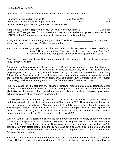Hubbard a "travesty."{32}

(Hubbard) O.K. The parents of these children will bring them front and center.

(Speaking to the child): This is Mr. \_\_\_\_\_\_\_\_\_\_\_\_\_\_\_ and this is Mrs. \_\_\_\_\_\_\_\_\_\_\_\_\_\_\_. I'm introducing to the audience right now. And \_\_\_\_\_\_\_\_\_\_\_\_\_\_\_\_ and \_\_\_\_\_\_\_\_\_\_\_\_\_\_\_ have decided to be a godfather and godmother. So we're all set.

Here we go. (To the child) How are you? All right. Now your name is example the state of the child) that? Good. There you are. Did that upset you? Now do you realize that you're a member of the HASI? [Hubbard Association of Scientologists International] Pretty good, huh?

All right. Now I want to introduce you to your father. This is Mr. \_\_\_\_\_\_\_\_\_\_\_\_\_\_\_. (to the parent): Come over here. (To the child): And here's your mother.

And now, in case you get into trouble and want to borrow some quarters, here's Mr. Latter and See him? He's your godfather. Now, take a look at him. That's right. And here's in case you want some real good auditors; she's your godmother. Got it?

Now you are suitably christened. Don't worry about it, it could be worse. O.K. Thank you very much. They'll treat you all right.

As to whether Scientology is really a religion, the Scientologists frequently boast that they were declared a bona fide religion. Actually this is not quite the victory they claim. The incident had its beginnings on January 4, 1963, when fourteen Deputy Marshals and several Food and Drug Administration Agents, or as the Scientologists said, "longshoremen posing as Marshals," raided the Scientology headquarters in Washington, D.C. and seized 100 E-meters along with several Scientology publications on the grounds that the E-meters were "misbranded."{33}

This was based on the fact that the attached literature, meaning Scientology literature, either claimed or implied that the E-meter was capable of diagnosis, prevention, treatment, detection, and elimination of the causes of all mental and nervous disorders such as neuroses, psychoses, schizophrenia and all psychosomatic ailments.{34}

Scientologists protested that seizing their meters and books was a form of "religious persecution," and they referred to the incident afterwards as the "book burning."{35} They even wrote letters at the time to President Kennedy and Attorney General Robert Kennedy asking them to protect the Scientologists' religion, "even though you are of a different faith."{36} Hubbard also expressed a desire to meet personally with President Kennedy for a conference to "come to some amicable answer on religious matters." No conference ever transpired.{37}

While in April of 1967 a decision was returned for the government, in February of 1969, the United States Court of Appeals, in a split decision overruled it, saying that the seizure of the meters was illegal.{38} The FDA said whether or not Scientology is a religion was "irrelevant to the case." In their summary they stated that "... *Scientology* has made out a prima facie case that *it* is a bona fide religion, and since no rebuttal has been offered, it must be regarded as a religion *for purposes of this case*." (Author's italics.)

So if the Scientologists have suffered a financial setback, it has been somewhat offset by a spiritual victory. Hubbard is really the winner all around. Not only has he become rich but no one has yet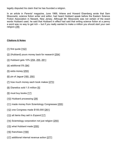legally disputed his claim that he has founded a religion.

In an article in *Parents'* magazine, June 1969, Arlene and Howard Eisenberg wrote that Sam Moscowitz, science fiction writer and editor, had heard Hubbard speak before the Eastern Science Fiction Association in Newark, New Jersey. Although Mr. Moscowitz was not certain of the exact words Hubbard used, he said that Hubbard in effect had said that writing science fiction at a penny a word was no way to get rich -- but if you really wanted to make a million you should start your own religion.{39}

## **Citations & Notes**

- {1} first quote [142]
- {2} {Hubbard} pours money back for research [254]
- {3} Hubbard gets 10% [254, 255, 261]
- {4} additional 5% [94]
- {5} extra money [255]
- {6} pix of Jaguar [160, 250]
- {7} how much money each book makes [273]
- {8} Dianetics sold 1.5 million [5]
- {9} must buy books [17]
- {10} Hubbard processing [28]
- {11} made money from Scientology Congresses [255]
- {12} one Congress made \$100,000 [261]
- {13} all items they sell in *Expand* [17]
- {14} Scientology corporation not just religion [255]
- {15} what Hubbard made [255]
- {16} franchises [159]
- {17} additional internal revenue action [277]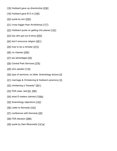- {18} Hubbard gave up directorship [236]
- {19} Hubbard gave \$13 m [156]
- {20} quote by son [255]
- {21} cross bigger than Archbishop [177]
- {22} Hubbard quote on getting into places [142]
- {23} boy who got out of army [255]
- {24} don't renounce religion [261]
- ${25}$  how to be a minister  $[272]$
- {26} no classes [255]
- {27} tax advantages [35]
- {28} Central Park Services [278]
- {29} who speaks [119]
- {30} type of sermons; no bible; Scientology lecture [3]
- {31} marriage & Christening & Hubbard ceremony [3]
- {32} christening a "travesty" [261]
- {33} FDA case, raid [24, 286]
- {34} what E-meters claimed [158a]
- {35} Scientology objections [142]
- {36} Letter to Kennedy [142]
- {37} conference with Kennedy [29]
- {38} FDA decision [286]
- {39} quote by Sam Moscowitz [141a]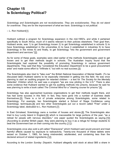# **Chapter 15 Is Scientology Political?**

*Scientology and Scientologists are not revolutionaries. They are evolutionaries. They do not stand for overthrow. They are for the improvement of what we have. Scientology is not political.*

#### -- L. Ron Hubbard{1}

Hubbard outlined a program for Scientology expansion in the mid-1950's, and while it pertained specifically to South Africa, much of it seems relevant to their policies elsewhere. Their goal then, Hubbard wrote, was 1) to get Scientology known 2) to get Scientology established in schools 3) to have Scientology established in the universities 4) to have it established in industries 5) to have Scientology in the mines 6) and finally, to get Scientology "into the government and government department and services."{2}

As for some of these goals, examples were cited earlier of the methods Scientologists used to get known and to get their methods taught in schools. The Australian Inquiry found that the Scientologists had explored the possibility of promoting Scientology in various government departments. They said that they "considered the Education Department to be a good procurement area" and made some effort to "infiltrate it," but with no real success.{3}

The Scientologists also tried to "take over" the British National Association of Mental Health. (To be discussed later) Hubbard seems to be especially interested in getting into this field. He was once planning to start an auditing program for retarded children -- a text for *The Society for the Mentally Retarded Children* which he said was a program "we are now piloting in the U.S." There is also some evidence that Hubbard wanted to get his auditing methods into prisons, because he said he was planning to write a book called *The Criminal Mind* for a "clearing course for prisons."{4}

Scientology has also approached business organizations to get their methods taught there, and has had some success in this field. In fact, they have gone into a number of business deals themselves.{5} There is a lot of private enterprise among Scientologists, some related to Scientology. For example, two Scientologists started a School of Stage Confidence using Scientology techniques,{6} and two other Scientologists put out a record called "Free" under a Scientology label, dedicated to L. Ron Hubbard.{7}

In East Grinstead, Scientology owns a number of houses and stores.{8} The Scientologists also tried to buy Lundy Island in England,{9} which is inaccessible for large portions of the year, "as a retreat for people with nervous disorders," one paper quoted the Scientologists as saying.{10} (According to another British paper, they were planning to buy it as a refuge for foreign students to beat the Government ban on their coming into the country.{11})

Scientologists once also sold a pill called "Dianezene" which Hubbard said would prevent and treat harmful effects caused by exposure to radioactivity. Twenty-one thousand of these tablets were seized on October 1, 1965, for being misbranded, adulterated, and containing less than the declared amount of stated ingredients.{12}

According to the London *Sunday Dispatch*, Hubbard allegedly sold stock at about \$65 a share in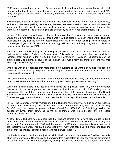1959 to a company that didn't exist.{13} Hubbard apologized afterward, explaining that certain legal formalities he thought were completed were not. He returned all the money, and allegedly said, "It's lucky the police did not become involved, otherwise something most unpleasant might have happened."

Scientologists attempt to expand into various fields (schools, prisons, mental health, businesses, and as shall be seen, politics) because they believe they have a method that can and will save this world, and they altruistically feel they must get as many people as possible to join them or the world will be doomed. The Scientologists are actively trying to increase their number.{14}

In one of their recent advertising brochures, they wrote that if every person who took the course would bring in two other people, etc., "this planet would be clear in eighteen months."{15} Hubbard must also be very pleased with the potentialities inherent in the moon landing, since he wrote in *Scientology Expansion*, "I don't think Scientology will be contained very long on this planet - expansion will be that swift."{16}

Another reason that Scientologists are trying to get into so many different areas may be found in their recently revised "Code of a Scientologist." This code not only states that their goal is to increase their number in the world, but also their *strength*.{17} Early in Hubbard's career, he claimed that Dianeticians, because of their higher I.Q.s, would form an aristocracy, and that this elite corps *would subjugate the rest*.

One sees with some sadness that more than three-quarters of the world's population will become subject to the remaining [one-quarter Dianeticians] as a natural consequence and about which we can do exactly nothing.{18}

"But even if they do want to take over," said one former Scientologist, "they can't become dangerous unless they become political and then somebody gives them a government or an army."

While the Scientologists may not see themselves as a political force yet, they do consider themselves to be as important as the major political forces today. A 1968 mailing from a Scientology Org said that Hubbard would compare the 1968 accomplishments of the United States, the United Kingdom and the Union of Soviet Socialist Republics with the achievements of Scientology.{19} Hubbard has also hinted that the Russians might like to see him on their side.

In 1964, the *Saturday Evening Post* reported that Hubbard had stated that he had been approached for the secrets of Scientology by Castro's government. And the Russians, who didn't mind stealing *My Fair Lady*, etc., were supposed to have offered *him* \$200,000 for Scientology. (When he supposedly turned them down, he claims his apartment was "blasted open" and his "basic manuscript disappeared.")

At other times, Hubbard has also said that the Russians offered him Pavlov's laboratories in 1938 and "large sums" to complete his work under their auspices. He repeated his charge that they had stolen part of his manuscript in 1942 and the rest of it in 1950, and connected this to his refusal of the Russian's 1938 offer. This 1938 manuscript, by the way, was called *Excalibur*{20} and Hubbard claims that the first four of fifteen people who read it went insane.{21}

Hubbard's interest in politics is not just verbal. In 1962 Hubbard wrote a letter to President Kennedy offering the services of Scientology and promising that "Scientology is very easy for the government to put into effect."{22} The letter begins by stating that it is as important as the letter sent to the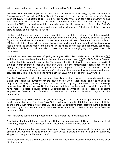White House on the subject of the atom bomb, signed by Professor Albert Einstein.

To show Kennedy how important he was, and how effective Scientology is, he told him that Scientology had "coached the British Olympic Team with the result that *not one team member blew up in the events*." (Hubbard's Italics) (He did not tell Kennedy that in an early issue of *Ability*, he had said that only *two* members of the British pentathlon team had received "Scientology ... processing."{23}) Hubbard also told Kennedy how the Russians had offered him Pavlov's laboratories, had been stealing his secrets, etc., and concluded with "I feel sure that there exists a growing library on Scientology in Russia."

He then told Kennedy not what the country could do for Scientology, but what Scientology could do for the country. "The government only need turn over to us anyone it desires to condition to space flight or anyone whose I.Q. it desires to have raised and we will take it from there," Hubbard offered. (At the cost of \$6,250 per pilot, although this was not spelled out.) Hubbard added that Scientology "could decide the space race or the next war in the hands of America" and generously concluded, "This is a duty letter ... I do not wish to seem the cause of denying my own government this technology."

Hubbard has also been accused of getting entangled with politics while he was in Rhodesia,{24} and, in fact, may have been barred from that country a few years ago.{25} The *Daily Mail* in England reported that this occurred because the Rhodesian authorities believed he was using the political situation in that country to expand Scientology. At first no one complained: Hubbard had invested nearly \$80,000 in Rhodesia; he bought a house for a reputed \$40,000 and a hotel to "show his confidence in the country and its government" -- although they were worthwhile investments for him, too, because Scientology was said to have taken in \$25,000 in a city of only 45,000 whites.

But the *Daily Mail* reported that Hubbard allegedly alienated people by constantly praising Ian Smith, expressing his sympathy for the cause of the white Rhodesians, and exploiting racial prejudices (allegedly by saying that the Africans wouldn't qualify for membership in Scientology because their I.Q. was too low). Such statements, had they ever been widely circulated, would not have made Hubbard popular among Scientologists in America, since Hubbard's constant emphasis of "freedom" and "equality" has recruited a number of American Negroes to the organization.

Scientologists may also have tried to get Scientology into the South African government -- but in much less subtle ways. The *Rand Daily Mail* reported on June 12, 1969, that one witness told the board of the South African Inquiry that Mr. Parkhouse, Scientology's chief executive there, planned to arm and organize 5,000 Africans to seize control of South Africa. Below is the quote from the newspaper.{26}

"Mr. Parkhouse asked me to process him on the E-meter" he [the witness] said.

"He had just returned from a trip to Mr. Hubbard's headquarters at Saint Hill Manor in East Grinstead, England. While processing him I discovered he had a terrific problem.

"Eventually he told me he was worried because he had been made responsible for organizing and arming 5,000 Africans to seize control of South Africa. I talked him out of it and he eventually stopped worrying about his instructions."

The witness also told the commission that he did not know what became of Hubbard's plans or of Mr. Parkhouse.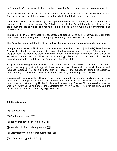In *Communication* magazine, Hubbard outlined ways that Scientology could get into government.

Locate its leaders. Get a paid post as a secretary or officer of the staff of the leaders of that race. And by any means, audit them into ability and handle their affairs to bring cooperation....

A nation or a state runs on the ability of its department heads, its governors, or any other leaders. It is easy to get posts in such areas.... Don't bother to get elected. Get a job on the secretarial staff or the bodyguard, use any talent one has to get a place close in, go to work on the environment and make it function better.

The cue in all this is don't seek the cooperation of groups. Don't ask for permission. Just enter them and start functioning to make the group win through effectiveness and sanity.{27}

The Australian Inquiry related the story of a boy who took Hubbard's instructions quite seriously:

One preclear who had affiliations with the Australian Labor Party saw ... [Hubbard's] Zone Plan as "a very able plan for infiltration and subversion of the key institutions of the country," the intention of the plan being "to create by those subversive means a Scientology government" and he was so enthusiastic about the possibilities which Scientology offered for political domination that he concocted a plan to scientologize the Australian Labor Party.{28}

His plan to scientologize the Australian Labor party concluded as follows: "With Australia led by a government employing Scientology principles we should soon have a civilization which can extend influence overseas." He submitted the plan to Hubbard, and supposedly gained his approval. Later, the boy ran into some difficulties with the Labor party and changed his affiliations.

Scientologists are obviously political and have tried to get into government positions. Do they also have an interest in getting into the army to realize their ambitions? Who knows? It is interesting to note, however, that in a story Hubbard published in *Astounding Science Fiction* magazine when he was in his twenties, he had one of the characters say, "Now you see, if you run the army you are bigger than the army and it won't try to get you."{29}

### **Citations & Notes**

- {1} 1st quote [48]
- {2} South African goals [30]
- {3} getting into schools in Australia [261]
- {4} retarded child and prison program [78]
- {5} Scientology tried to get into businesses [255]
- {6} (27) Scientology school [212]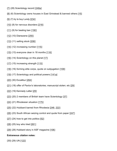- {7} (28) Scientology record [248a]
- {8} (6) Scientology owns houses in East Grinstead & banned others [15]
- {9} (7) try to buy Lundy [234]
- ${10}$  (8) for nervous disorders  $[218]$
- ${11} (9)$  for beating ban  $[190]$
- {12} (10) Dianezene [255]
- {13} (11) selling stock [208]
- {14} (12) increasing number [115]
- {15} (13) everyone clear in 18 months [116]
- {16} (14) Scientology on this planet [17]
- ${17}$  (15) increasing strength  $[115]$
- {18} (16) forming elite corps, quote on subjugation [109]
- {19} (17) Scientology and political powers [141a]
- {20} (30) Excalibur [264]
- {21} (18) offer of Pavlov's laboratories; manuscript stolen; etc [29]
- {22} (19) Kennedy Letter [29]
- {23} (20) 2 members of British team have Scientology [37]
- {24} (21) Rhodesian situation [175]
- {25} (22) Hubbard barred from Rhodesia [248, 222]
- {26} (23) South African seizing control and quote from paper [247]
- $\{27\}$  (24) how to get into politics  $[52]$
- {28} (25) boy who tried [261]
- {29} (26) Hubbard story in ASF magazine [106]

### **Extraneous citation notes:**

{30} (29) UN [122]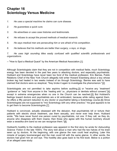# **Chapter 16 Scientology Versus Medicine**

- *1. He uses a special machine he claims can cure disease.*
- *2. He guarantees a quick cure.*
- *3. He advertises or uses case histories and testimonials.*
- *4. He refuses to accept the proved methods of medical research.*
- *5. He says medical men are persecuting him or are afraid of his competition.*
- *6. He believes that his methods are better than surgery, x-rays, or drugs.*

*7. He uses high sounding titles easily confused with qualified scientific professionals and organizations.* 

-- "How to Spot a Medical Quack" by the American Medical Association.{1}

Although Scientologists claim that they are not in competition with medical fields, much Scientology energy has been devoted in the past few years to attacking doctors, and especially psychiatrists. Hubbard and Scientology have never been too fond of the medical profession. Eric Barnes, Public Relations Chief of the New York Church allegedly told writer Howard Eisenberg about a boy whose broken leg had healed in two weeks instead of six through Scientology. Barnes was said to have claimed that doctors were so skeptical, "they broke it again to investigate the phenomenon."{2}

Scientologists are not permitted to take aspirins before auditing,{3} or "receive any `treatment' `guidance' or `help' from anyone in the `healing arts' i.e., physicians or dentists without consent,"{4} except in extreme emergencies when no one in the Church can be reached.{5} But Hubbard's feelings toward doctors and psychiatrists are a bit ambivalent, because while railing against them, he offers a fifty percent reduction to any doctor or psychiatrist taking a Scientology course.{6} Since Scientologists are not supposed to "mix Scientology with any other practice," his goal appears to be to get them to become Scientologists.{7}

Hubbard is convinced, actually obsessed with the delusion, that psychiatrists kill or torture their patients with electric shock treatment, use them sexually, and never ever help them. Hubbard wrote, "We have never found one person cured by psychiatrists, not one. If they call, as they do, anyone who disagrees with them insane, then those who agree with this human butchery should wear a swastika arm band so we can recognize them."{8}

Hubbard's hostility to the medical profession was apparent in the first story he wrote for *Astounding Science Fiction* in the late 1930's. The story told about a man who had the two halves of his brain sewn up by doctors. At the beginning, with one glance the man could heal anything. Later this miracle of surgery boomeranged and the man could kill with the same glance. In other words, the doctors had given him an evil eye. This hostility also goes back to his first book. Below is a portion of an alleged case study: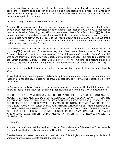... the mental hospital gets our patient and the doctors there decide that all he needs is a good solid series of electric shocks to tear his brain up, and if that doesn't work, a nice ice-pick into each eyeball after and during electric shock.... Our patient can't defend himself; he's insane and the insane have no rights, you know.

Only the cavalry ... arrived in the form of Dianetics....{9}

Although Scientologists claim they are not in competition with analysts, they have tried to lure people away from them: "A complete Freudian analysis can cost \$8,000-\$15,000. Better results can be achieved in Scientology for \$125, and on a group basis for a few dollars."{10} But their primary method of diverting people from psychiatrists and psychotherapy is not so subtle. Scientologists have actively tried to discredit their "competition," and in a manner so libelous that it is hard to believe that the epithets and accusations Scientologists hurl come from the same group that once sued everyone else for libel.

Nonetheless, the Scientologists blithely refer to members of what they call "the weird cult of psychiatry"{11} -- although Scientologists say that *they* resent being called a "cult" -- as "psychoracketeers," "insidious psychopoliticians," "mental con men," "frauds," "pimps," etc.,{12} who spend their time "giving away free supplies of marijuana and LSD,"{13} "banding together with the Better Business Bureau to stop Scientology,"{14} "killing, maiming and torturing helpless patients,"{15} "castrating them," and practicing "mental murder and sexual perversion" [sic].{16}

In a memo to a private investigator, urging him to investigate psychiatrists, Hubbard allegedly wrote:

A psychiatrist today has the power to take a fancy to a woman, drug or shock her into temporary insanity, use her sexually, sterilize her to prevent conception, kill her by a brain operation to prevent disclosure....{17}

In "A Warning to Brain Butchers," his language was even stronger. Hubbard telegraphed the following "news" to the New York Scientology headquarters to tell them his views on psychiatrists.

THEIR 19TH CENTURY METHODS MUST END. THEY ACT LIKE THE MAD SCIENTISTS IN A BAD MOVIE. THE TRUE MEDICAL DOCTOR IS ASHAMED TO BE ASSOCIATED WITH THEM. THE PSYCHIATRIC IDEA OF MAN IS A GODLESS SOULLESS PIECE OF MEAT.[\*] THEY DEMAND THEIR RIGHTS TO BUTCHER AT WILL. THEY MOCK CHRISTIAN SENTIMENT. ACCORDING TO THEM EVERYONE IS HOPELESSLY MAD AND ANYONE WHO OPPOSES THEM IS ESPECIALLY SO. YET WHERE ARE THEIR CURES? THEY ONLY HAVE VICTIMS. THEY TORTURE AND KILL OUT OF SIGHT IN THEIR INSTITUTIONS. SCIENTOLOGY ORGANIZATIONS OVER THE PLANET ARE URGING LAWS WHICH FORBID KILLING OR INJURING THE INSANE. MURDER IS MURDER.{18}

### [\*] *Footnote:*

Although Hubbard says that the psychiatrist thinks of his patients as a "piece of meat" the reader is reminded that Hubbard calls newcomers in Scientology "raw meat."

Besides being murderers, madmen, butchers, etc., the Scientologists also accuse psychiatrists of working with the government to control the populace: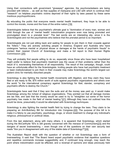Using their connections with government "giveaway" agencies, the psychoracketeers are being provided with billions ... as well as free supplies of marijuana and LSD with which to continue their "research" on helpless psychiatric victims deprived of their rights by laws passed by these same insidious psychopoliticians.

By educating the public that everyone needs mental health treatment, they hope to be able to control the morals, mores and the lives of the entire nation.{19}

Scientologists believe that the psychiatrist's ultimate goal is "domination of every man, woman and child through the use of `mental health' indoctrination programs even now being promoted and promulgated down to a prenatal level." The last words are an interesting slip, since it is the *Scientologists* and not the psychiatrists who believe that the prenatal period is so important.

Scientologists are not just sitting back and waiting for people to join them in their crusade against the "killers." They are actively soliciting people in America, England and Australia who have undergone "serious mental or physical abuse or damages at the hands of psychiatric frauds" to contact their nearest Church of Scientology and make a full report to their Human Rights Commission.{20}

They will probably find people willing to do so, especially since those who have been hospitalized might prefer to believe that psychiatric treatment was the cause of their problems rather than the result of it, exonerating themselves of all responsibility. The result of this campaign, though, could have an unfortunate effect for the Scientologists. Inviting people who have had psychiatric treatment or been institutionalized to join them in their crusade may make Scientology the world's largest outpatient clinic for mentally disturbed people.

Scientology is also fighting the mental health movements with litigation, and they claim they have filed or are ready to file, \$75 million worth of suits against psychiatric organizations and others over the world "in the international conspiracy against Scientology for libel, slander, conspiracy and psychiatric efforts to destroy the Church."

Scientologists have said that if they won the suits and all the money was paid up, it would make Scientology among the richest of religious organizations. They pointed out that all damage monies are tax free, and said that the money would be used to try to "straighten out some of the horror psychiatry has made in the field of mental healing."{21} Although they have not outlined how this would be done, presumably it would be attempted with Scientology techniques.

Scientology is also fighting the mental health field by trying to change the laws. They claim to be preparing an Anti-Butchery Bill for introduction into Congress.{22} The purpose of this bill is to make it a felony to use psychiatry, psychology, drugs, or shock treatment to change any individual's religious, philosophical or political ideas.

From this last statement, along with many others, it is apparent that Scientology, which started during the McCarthyite '50's is still gravely concerned with the menace of Communism{23} and the dangers of secret brainwashing -- even though one of the questions on their own security test reads "Are you in disagreement with any of the stable data of Scientology?"{24}

The Australian Report dealt with the question of whether or not Scientology was a form of brainwashing. It said that "The Board heard expert psychiatric evidence that repetitive questions and repetitive commands increase suggestibility and, if continued long enough, may reach the point where indoctrination could be effected, and a reversal of opinions and ideas previously held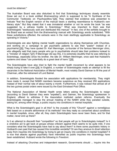could be obtained."

The Australian Board was also disturbed to find that Scientology techniques closely resemble those set out in a book entitled *Brainwashing* which is supposed to be "A Synthesis of the Communist Textbooks on Psychopolitics."{25} They claimed that evidence was presented to indicate "that the English version of the manual bears a startling resemblance to Hubbard's own literary style." But they stated that it was immaterial whether or not he wrote the book "as was suggested by a witness hostile to Scientology." What was important to them was that Scientologists "assiduously sold and distributed this manual." In fact, one of the exhibits brought to the Board was an extract from the *Brainwashing* manual with Scientology words substituted. "With these substitutions effected, the extracts were in the main startlingly applicable to Scientology as operating in Victoria."

Scientologists are also fighting mental health organizations by allying themselves with Churches, and working on a campaign to get psychiatric patients to see their "pastor" instead of a psychiatrist.{26} They have quoted Dr. Karl Menninger, co-founder of the famous Menninger clinic, who allegedly said that many people who go to psychiatrists should take their problems instead to a "minister of religion."{27} If Menninger did say this, it is extremely doubtful that he was referring to Scientology, especially since his brother, the late Dr. William Menninger, once said that Hubbard's systems and ideas "can potentially do a great deal of harm."{28}

The Scientologists have also tried to fight the mental health movement by what appears to be simply trying to take it over. [29] In England, a number of Scientologists made an attempt to fill the vacancies in the National Association of Mental Health, most notably David Gaiman to fill the post of Chairman, after the retirement of Lord Balniel.

In addition, Scientologists flooded the association with applications for membership. They might have made it, except that NAMH members became suspicious as they received 250 applications instead of their normal rate of about twenty a month. Furthermore, it was noticed that almost all of the two guinea postal orders were issued by the East Grinstead Post Office.

The National Association of Mental Health wrote letters asking the Scientologists to resign (according to David Gaiman they were "expelled"), and Gaiman, the Scientology spokesman in England, offered to withdraw if the Association instituted certain reforms. Eventually the Scientologists managed to stop the annual meeting of the NAMH while they paraded outside, asking for, among other things, a public inquiry into conditions in mental hospitals.

What is the Scientologist's goal in all this? Is the crusade of this "Church" against a nonreligious field based on a sincere abhorrence of its methods? Are they really so concerned about conditions in mental hospitals, since, after all, they claim Scientologists have never been there, and for that matter, never end up there?

Is it an attempt to discredit their "competition" so that people will go to Scientologists instead? Is it a vindictive act to get back at groups whose criticism against them seems to be quite mild, if one considers what the Scientologists have had to say about them? Is there some psychiatric history in Hubbard's own past that has caused this incredible vendetta? Or are they anxious to divert attention away from inquiries into Scientology by trying to get an inquiry into conditions in mental hospitals? It is true that attacks against psychiatry have intensified as public inquiries into Scientology have been established. Hubbard wrote the following in *Freedom*:

Instead of attacking Churches and independent research, Governments should ... inquire into the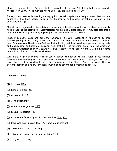abuses ... by psychiatry.... For psychiatric organizations to criticize Scientology is the most fantastic hypocrisy on Earth. These men are not healers, they are trained killers.{30}

Perhaps their reasons for wanting an inquiry into mental hospitals are really altruistic. Lest anyone doubt this, they have offered to sit in on the inquiry, and possibly contribute, "as part of our charitable work."{31}

Mental health organizations have taken an amazingly tolerant view of the whole situation, probably hoping that like the plague, the Scientologists will eventually disappear. They may also fear that if they attack Scientology they might give it publicity and draw more attention to it.

Thus, if someone calls and asks the American Psychiatric Association whether to go into Scientology or psychiatry, they do not try to convert them to psychiatry. Instead they sometimes send them Scientological literature *against* psychiatry, hoping that they would be appalled at the epithets and accusations and make a decision from that.{32} The following quote from the American Psychiatric Association's lively *Psychiatric News* is not the official policy of the APA, but it presents one opinion of how to handle this situation:

Well, it's a religion of course. It is for you to decide whether to join the Church. If you wonder whether it has anything to do with psychiatric treatment the answer is no. You might also like to know that it costs a significant sum to be "processed" in the Church. And if you would like my personal opinion as a fellow American, I wouldn't be caught dead entering its doors.{33}

#### **Citations & Notes**

- {1} first quote [263]
- {2} quote by Barnes [283]
- {3} (4) no aspirin [121]
- $\{4\}$  (3) no treatment  $[14]$
- {5} except in emergencies [255]
- {6} discount to doctors [116]
- {7} (8) don't mix Scientology with other practices [146, 261]
- {8} (22) psych has Russian flavor [77] {ambiguous citation}
- {9} (33) Hubbard's first story [106]
- ${10}$  (9) cost of analysis vs Scientology  $[25a, 142]$
- {11} (10) weird cult [57]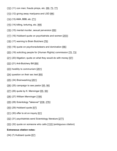- {12} (11) con men; frauds pimps, etc. [69, 73, 77]
- {13} (12) giving away marijuana and LSD [66]
- {14} (13) AMA, BBB, etc. [71]
- {15} (14) killing, torturing, etc. [68]
- {16} (15) mental murder, sexual perversion [69]
- {17} (16) Hubbard quote on psychiatrists and women [203]
- {18} (17) warning to Brain Butchers [76]
- {19} (18) quote on psychoracketeers and domination [66]
- {20} (19) soliciting people for {Human Rights} commission [70, 73]
- {21} (20) litigation; quote on what they would do with money [57]
- {22} (21) Anti-Butchery Bill [69]
- {23} hostility to communism [261]
- {24} question on their sec test [85]
- {25} (34) Brainwashing [261]
- {26} (25) campaign to see pastor [55, 56]
- {27} (26) quote by K. Menninger [55, 56]
- {28} (27) William Menninger [158]
- {29} (28) Scientology "takeover" [238, 276]
- {30} (29) Hubbard quote [57]
- {31} (30) offer to sit on inquiry [61]
- {32} (31) psychiatrists send Scientology literature [277]
- {33} (32) quote on someone who calls [133] {ambiguous citation}

## **Extraneous citation notes:**

{34} (7) Hubbard quote [57]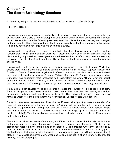# **Chapter 17 The Secret Scientology Sessions**

*In Dianetics, today's obvious nervous breakdown is tomorrow's most cheerful being.*

-- L. Ron Hubbard{1}

Scientology is perhaps a religion, is probably a philosophy, is definitely a business, is potentially a political force, and is also a form of therapy, or as they call it now, pastoral counseling. Most people do not realize this, since the Scientologists draw attention only to the idea that they are a religion and a philosophy. Thus, they have been able to keep the public in the dark about what is happening -- and they have also been largely able to avoid public outcry.

Scientologists have devised a series of methods that they believe can and will save this "enturbulated" world. Some of their practices -- those that have been widely criticized, such as disconnecting, suppressives, investigations -- are based on their belief that anyone who questions, criticizes or tries to stop Scientology from utilizing these methods is harming not only themselves but the world.

Scientologists try to keep their methods of pastoral counseling a very strict secret. While this shields them from criticism, it also makes doctors doubtful as to its efficacy. "Suppose Newton had founded a Church of Newtonian physics and refused to show his formula to anyone who doubted the tenets of Newtonian physics?" wrote William Burroughs.{2} (In an earlier stage, when Burroughs was apparently more enchanted with Scientology, he wrote "There is nothing secret about Scientology, no talk of initiates, secret doctrines or hidden knowledge."{3}) But only someone who takes advanced Scientology courses or "grades" can find out what Scientology methods are.

If any Scientologist divulges these secrets after he takes the courses, he is subject to expulsion. But even though he doesn't know what the courses are until he takes them, he must agree that they are correct in advance and cannot question them. "It's like a physicist saying `you can't see my formulae unless you first agree that they are correct sight unseen,' " said Burroughs.{4}

Some of these secret sessions are done with the E-meter, although other sessions consist of a series of exercises to "raise the preclear's ability." When working with the meter, the auditor may first show the preclear the auditing room and ask if there is anything about it that upsets him. ${5}$ The preclear may also be told to remove his watch and wedding ring to prevent interference by outside metals.{6} Then the auditor and preclear face each other in chairs, with the E-meter on a table between them.

The auditor watches the needle of the meter, and if it reacts in a manner that he believes indicates that an engram is present, the auditor repeats the question until the needle "floats," which presumably means that the engram has been "erased."{7} The preclear, who cannot see the dials, does not have to accept the word of the auditor to determine whether an engram is really gone. Hubbard stated that when a patient succeeds in erasing an engram, he will feel a sense of wild elation -- which explains, perhaps, why when one Scientologist got rid of an engram, he laughed for two days without stopping.{8}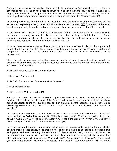During these sessions, the auditor does not tell the preclear to free associate, as is done in psychoanalysis, but rather he is told to return to a specific incident, say one that caused grief, anger, fear, humiliation. The preclear then tries to determine the date of the incident, and if he cannot, picks an approximate date and keeps reeling off dates until the E-meter reacts.{9}

Once the preclear has found the date, he must then go to the beginning of the incident and tell the entire story, repeating it many times until all the details become clear.{10} By the end of that time, the story supposedly loses its emotional charge and is no longer a source of problems or pain.

At the end of each session, the preclear may be made to focus his attention on five or six objects in the room, presumably to bring him back to reality, before he is permitted to leave.{11} Some sessions end more formally with the auditor saying, "Tell me I am no longer auditing you," at which point the preclear says, "You are no longer auditing me."{12}

If during these sessions a preclear has a particular problem he wishes to discuss, he is permitted to talk about it but only briefly. Then, instead of working on it, he may be told to invent a problem of comparable magnitude, to lie about the problem he has,{13} or even to invent a worse problem.{14}

There is a strong tendency during these sessions not to talk about present problems at all. For example, Hubbard wrote the following to show auditors what to do if the preclear had what they call a "present-time" problem.

AUDITOR: What do you think is wrong with you?

PRECLEAR: I'm impatient.

AUDITOR: Can you think of someone who's impatient?

PRECLEAR: My father.

AUDITOR: O.K. We'll run *a* father.{15}

But most of these sessions are devoted to past-time incidents or even past-life incidents. The preclear, while holding onto the cans of the E-meter, will be made to answer two or three questions asked repeatedly during the auditing session. For example, several sessions may be devoted to alternating commands, like "recall something real," "recall a communication," and "recall an emotion."

In other sessions they may be told to "recall a loss," "recall a misemotion," "tell me a problem," "tell me a solution," or "What have you said?", "What have you done?", "What are you willing to tell me about?", "What are you willing to tell me about it?", "What is the problem?", "What is the solution?", "What have you done?", and "What haven't you said?"{16}

In other sessions, the person has been asked questions or ordered to do things that to an outsider seem to make far less sense, for example to "not know" something, to put things in the wrong time and place, and even to deny the existence of objects around him, so that portions of the environment, such as the walls or the door have disappeared in his mind. $\{17\}$  The preclear has also had to answer such questions as "Who isn't here?", "What aren't you thinking?", "Where don't you have a headache?", "Have you a headache in last week?", "Was your body in 1210 while you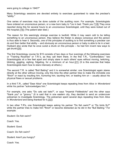were going to college in 1940?"

Many Scientology sessions are devoted entirely to exercises guaranteed to raise the preclear's "ability."

One series of exercises may be done outside of the auditing room. For example, Scientologists have ordered an unconscious person, or a new born baby to "Lie in bed. Thank you."{18} They once reported doing this for several hours to an unconscious Scientologist, until they were kicked out of the hospital. ${19}$  (The patient later died.)

The reason for this seemingly strange exercise is twofold. While it may seem odd to be telling something to an unconscious person, they believe the thetan is always conscious and the person is thus able to hear it. Secondly, one of the principles of auditing is to find something a preclear can do and then better that ability -- and obviously an unconscious person or baby is able to lie in a bed. Hubbard also wrote that he once cured a drunk on this principle -- he had him invent new ways to get drunk!{20}

The first Scientology course for \$15 consists of two days or four evenings of the following exercises or "Training Routines" or T.R.'s, as they call them there. In the first T.R., "Confrontation," two Scientologists sit a few feet apart and simply stare in each others' eyes without moving, twitching, blinking, giggling, sighing, fidgeting, for a minimum of an hour.{21} (It is this exercise that helps Scientologists learn how to stare intensely at others.)

The second T.R. is called "Bull Baiting" and it is somewhat similar; one Scientologist again stares directly at the other without moving, only this time the other partner tries to make the immobile one "flinch" or react by insulting him, humoring him, taunting him, or leading him on -- usually about his physical flaws or sexual problems.

In a third T.R., called "Dear Alice" one Scientologist keeps repeating lines from *Alice in Wonderland* while his partner "acknowledges him."

For example, one asks "Do cats eat bats?", or says "Imperial Fiddlesticks" and the other says "thank you" or "groovy." (It is said that in one eastern city, they decided to send an undercover policeman to investigate Scientology. The policeman spent several days repeating lines from *Alice in Wonderland* and being thanked for it.{22})

In two other T.R's, one Scientologist keeps asking his partner "Do fish swim?" or "Do birds fly?" while the partner tries to make him "flinch" or become distracted as he did in the "Bull Baiting." For example:

Student: Do fish swim?

Coach: Yes.

Student: Good.

Coach: Do fish swim?

Student: Aren't you hungry?

Coach: Yes.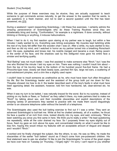#### Student: [You] flunk[ed]

While the purpose of these exercises may be elusive, they are actually supposed to teach someone to get commands across naturally, to get the answer to the question that he wants, to ask questions in a fresh manner, and not to start a second question until the first has been answered, etc.{23}

During a weekend I spent researching Scientology, I did these five exercises. I certainly admire the amazing perseverance of Scientologists who do these Training Routines since they are unbelievably tiring and boring. "Confrontation," for example is a nightmare. If done correctly, without blinking or thinking or anything, it induces hallucinations.

When I had to do it, my first reaction upon staring at my partner was to laugh, but within a few minutes I really wanted to cry. Everything was itching everyplace. My muscles kept twitching while the rest of my body felt stiffer than the wooden chair I was on. After a while, my eyes started to blur, and then so did my mind, and I watched in horror as my partner turned into a breathing Rorschach card. His eyes, eyelashes and brows met, his nostrils merged and became a cruel, flaring cavern in the center of his face, and the shadows cast by this disfigured nose gave his entire face a sinister and terrifying quality.

"Bull Baiting" was not much better. I was first assisted to make someone else "flinch," but *I* was the one who flinched the minute I laid my eyes on him. There was nothing I couldn't insult him about - from the top of his too-tiny head to the bottom of his hundred pound five-foot frame. He had a Pinocchio-type nose, closely set black beady eyes, parched thin lips, large red ears, a scattering of post-adolescent pimples, and a chin like a slightly used rapier.

I couldn't bear to insult someone as unattractive as he, who must have been hurt often throughout his life. But the Scientology leader and the assistant of the group both put me down for this. Theyalso showed me how to do it: the leader described each of the boy's faults in what must have been agonizing detail; the assistant, however, told him how handsome, tall, clear-skinned etc. he was.

When it was my turn to be baited, I was naturally braced for the worst. But to my surprise, instead of picking on my faults or flaws, or "buttons" as they called it there, my male partners tried to make me "flinch" by talking about sex, and their incredible obscenities and explicit descriptions of the amazing variety of perversions they wanted to practice with me made them sound disgustingly similar to an obscene telephone caller without the benefit of a telephone.

The Scientologists also used the bull baiting exercise to find out if I was a writer. They sent an advanced Scientologist to bull-bait me. While at first he chatted aimlessly, all of a sudden, he thrust his face a quarter of an inch from mine, looked directly into my eyes, and said, ominously, "We've been watching you since you first came in here. We think you're really a writer." He kept questioning me repeatedly, while all the color drained my face. So I purposely threw my eyes slightly out of focus, fixed my gaze an inch above his eyes, and concentrated intently on what it would be like to kiss him, hoping this would imbue my features with an acceptable amount of disgust and despair and I wouldn't "flinch."

It worked and he finally changed the subject, like the others, to sex. He was so filthy, he made the obscenities of the earlier "bull baiters" sound as if they'd come from pre-pubescent children. His final statement was to ask me whether I'd like to join the Scientologists "in some of the great orgies we have over here on Tuesday [or Thursday, I forget] night." I'm sorry I can't report to you whether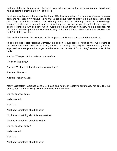that last statement is true or not, because I wanted to get out of that world as fast as I could, and had no desire to attend an "org-y" at the org.

In all fairness, however, I must say that these TRs, however tedious (I mean how often can you ask someone "do birds fly?" without feeling that you're about ready to also?) did have some benefit for me. They helped teach me to talk with my voice and not with my hands, to acknowledge somebody's statements before I rambled on with my own, to look people straight in the eye, and to be more persistent with someone when I wanted to get an answer from him. And it is probably not the fault of Scientology but my own incorrigibility that none of these effects lasted five minutes past that Scientology weekend.

The relation between the exercise and its purpose is a bit more obscure in other sessions.

In one exercise called "Holding Corners," the person is supposed to visualize the two corners of the room and then "hold them" there, thinking of nothing else.{24} For some reason, this is supposed to make you act younger. Another exercise consists of "confronting" various parts of the body:

Auditor: What part of that body can you confront?

Preclear: The elbow.

Auditor: What part of that elbow can you confront?

Preclear: The wrist.

Auditor: Thank you.{25}

Many Scientology exercises consist of hours and hours of repetitive commands, not only like the above, but like the following. The auditor says to the preclear:

Do you see that book?

Walk over to it.

Pick it up.

Not know something about its color.

Not know something about its temperature.

Not know something about its weight.

Do you see that bottle?

Walk over to it.

Pick it up.

Not know something about its color.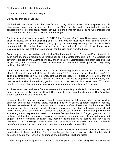Not know something about its temperature.

Not know something about its weight.

Do you see that book? Etc.{26}

Hubbard said the above should be done "without ... lag, without protest, without apathy, but only cheerfulness, each time seeing the items newly." $\{27\}$  He also said it was better to run this consecutively for several hours, rather than run it a short time for several days. One preclear was run for nine hours on the above without any breaks!{28}

Another Scientology exercise is called "S.C.S." (Stop, Change, Start). Most Scientology courses are given on levels, and in the beginning of S.C.S., the preclear must move small objects around a table, stop them, change their direction, etc., "quickly and accurately without protest" at the auditor's command.{29} On higher levels, a person is commanded to get out of his body, since Scientologists believe that the thetan or spirit can function apart from the body.

To accomplish this, the preclear is first told to "be three feet in back of your head" and then told to be in more and more difficult places "until he can sit in the center of the sun."{30} This exercise was severely criticized by the Australian Inquiry, and in 1965, the Scientologists told them that it was no longer being run. (However, in 1970, a book was for sale at the Washington D.C. Org telling auditors about S.C.S.)

It has been criticized because its effects can be devastating. Hubbard wrote that "If a preclear is about to fly out of his head he'll fly out of his head on S.C.S. If he does fly out of his head on S.C.S. or on any other process, you, of course, continue the process."{31} He also wrote of S.C.S. that if a preclear suddenly "flies to pieces," started "flip flopping" and had to be picked up off the floor, etc., that the auditor should immediately get him back on to his feet and into the session. "This is no time for you to be changing processes simply because a preclear collapses," he wrote.

All these exercises, and even E-meter sessions for recounting incidents in the real or imagined past, can be extremely tiring and difficult. Some people even think it is dangerous. The Australian Report commented on this as follows:

... during this, the preclear is very frequently experiencing mental torture, which shows itself in contorted and flushed features, tears, moaning, inability to speak, apparent deafness, nausea, dizziness, sensations of pain, coma and unconsciousness. One witness said that he almost killed his auditor, a close personal friend, who was questioning him about withholds [non-disclosed items] he had as to "sexy thoughts" concerning a female staff member.... Sometimes preclears are so distraught that they scream, develop murderous feelings, have bouts of anger, grief and morbid feelings and thoughts; their sexual passions are aroused, they act insanely, laugh hysterically and engage in other hysterical behavior; they become violent and try to escape and have to be restrained.... In Scientology parlance, when such manifestations as these occur, the preclear is being "restimulated"; in fact, he is being debased and mentally crippled.{32}

Hubbard was aware that a preclear might have these reactions, but warned auditors to continue nonetheless. Hubbard said that if a preclear begged his auditor not to make him talk about someone's death "that is the first engram he should get."{33} Hubbard wrote:

... when the preclear is apparently in the most intense pain ... you must calmly continue to run the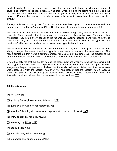incident, asking for any phrases connected with the incident, and picking up all sounds, sense of touch, and kinesthesia as they appear.... And then, when the incident seems to be over, and the pain has subsided, command the somatic strip to go to the beginning of the incident and roll it again! ... Pay no attention to any efforts he may make to avoid going through a second or third time.{34}

Perhaps it is not surprising that S.C.S. has sometimes been given as punishment -- and one person said he had been "sentenced" to S.C.S. for twenty-five hours for some infraction.{35}

The Australian Report devoted an entire chapter to another danger they saw in these sessions - hypnosis. They concluded that these various exercises were a type of hypnosis. To support their hypothesis, they listed every aspect of the Scientology auditing session along with its hypnotic counterpart. They also mentioned the fact that Hubbard admits he was "schooled in hypnotism and mysticism" although Hubbard claims he doesn't use hypnotic techniques.

The Australian Report concluded that Hubbard *does* use hypnotic techniques but that he has simply changed the name of various hypnotic phenomena to names of his own invention. The report pointed out that it was a common practice for Scientology auditors to ask the preclear at the end of the session whether he had achieved his goals and was satisfied with that session.

Since they believed that the auditor was asking these questions when the preclear was coming out of a "hypnotic trance," while the "hypnotic rapport" with the auditor was in effect, the post hypnotic suggestions helped the preclear to believe that the goals had been obtained and that the session was successful. After the session was over, the "suggestion" that the session was a success could still persist. The Scientologists believe these exercises have helped them, while the Australian Inquiry concluded they've been used to hypnotize them.{36}

### **Citations & Notes**

- $\{1\}$  first quote  $[6]$
- {2} quote by Burroughs on secrecy & Newton [187]
- {3} quote by Burroughs on nonsecrecy [130a]
- {4} must be Scientologist to know what happens, etc.; quote on physicist [187]
- {5} showing preclear room [130a, 261]
- {6} removing ring [130a, 139]
- {7} needle floats [130a]
- {8} man who laughed for two days [6]
- {9} remember grief anger; get date [130a]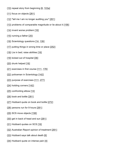- {10} repeat story from beginning [6, 103a]
- {11} focus on objects [261]
- {12} "tell me I am no longer auditing you" [261]
- {13} problems of comparable magnitude or lie about it [158]
- {14} invent worse problem [16]
- {15} running a father [20]
- {16} Scientology questions [14, 139]
- {17} putting things in wrong time or place [252]
- {18} Lie in bed; raise abilities [16]
- {19} kicked out of hospital [36]
- ${20}$  drunk helped  $[16]$
- {21} exercises in first course [111, 178]
- {22} policeman in Scientology [142]
- {23} purpose of exercises [111, 277]
- {24} holding corners [142]
- {25} confronting elbow [14]
- {26} book and bottle [261]
- {27} Hubbard quote on book and bottle [272]
- {28} persons run for 9 hours [261]
- {29} SCS move objects [158]
- {30} get in back of head and sun [261]
- {31} Hubbard quotes on SCS [16]
- {32} Australian Report opinion of treatment [261]
- {33} Hubbard says talk about death [6]
- {34} Hubbard quote on intense pain [4]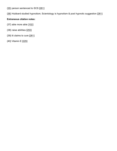{35} person sentenced to SCS [261]

{36} Hubbard studied hypnotism; Scientology is hypnotism & post hypnotic suggestion [261]

## **Extraneous citation notes:**

- ${37}$  able more able  $[102]$
- {38} raise abilities [255]
- {39} lit claims to cure [261]
- {40} Vitamin E [229]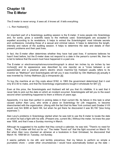# **Chapter 18 The E-Meter**

*The E-meter is never wrong. It sees all; it knows all. It tells everything.*

-- L. Ron Hubbard{1}

An important part of a Scientology auditing session is the E-meter. It lures people into Scientology and, for some, gives a scientific basis to the methods used. Scientologists are accepted or expelled according to its revelations. It helps to extract the Scientologists' most intimate secrets and confessions, including those of a sexual and criminal nature. It helps to determine the length, intensity and nature of the auditing session. It helps to determine the date and details of their present problems and their past lives.

In fact, the E-meter often determines whether they have had past lives. If someone believes he hasn't lived before, but the E-meter does not respond to a date in the person's current life, then he is led to believe that the event must have happened in a past one.

The E-meter or *electroencephaloneuromentimograph* is about ten inches by six inches by two inches{2} and its appearance was described by one reporter as a "cross between a car speedometer and a practical joker's electric shock machine."{3} Hubbard usually refers to its inventor as "Mathison" and Scientologists will tell you it was invented by Olin Mathison;{4} actually it was invented by *Volney* Mathison,{5} a chiropractor.{6}

To buy the machine at an Org costs about \$162; in 1963 the government determined that it cost only \$12.50 to make, and that the Scientology organizations bought it wholesale for \$47.{7}

Even at this price, the Scientologists and Hubbard will tell you that it's infallible. It is said that it never fails to pick out the date on which an incident occurred. Scientologists will tell you to the exact second when something happened to them a trillions of years ago.

Apparently, it is less than perfect in picking dates in their current life. Its failure in this task is what caused author Alan Levy, who wrote a piece on Scientology for *Life* magazine, to become disenchanted with the organization. (Along with the fact that his New York contract said Grades V-VII would cost him \$390 at Saint Hill, but when he got there he discovered it was \$3,150 "plus living expenses.")

Alan Levy's problems in Scientology started when he was told to use the E-meter to locate the date on which he had a fight with his wife. (Present one, current life.) Without the meter, he knew the year was 1958, and that it was a Sunday morning in March.

Although he suggested to his auditor that they consult a calendar, he was told, "There's no need for that.... The E-meter will find out for us." The meter "found out" that the fight occurred on March 18. But when Alan Levy checked an almanac at a bookstore in East Grinstead, he discovered that March 18, 1958 fell on *Tuesday*, not Sunday.

It seems pathetic to me still, and terribly precarious, that my failure to perform so simple a journalistic chore -- under other circumstances I would have automatically looked up the date --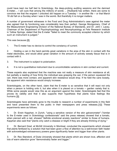could have kept me half tied to Scientology, the deep-probing auditing sessions and the damned E-meter.... I am sure that among the millions of words ... [Hubbard] has written, there are some to convince me that the engram I unlocked *did* happen on a Tuesday -- in another life -- or that March 18 *did* fall on a Sunday when I was in the womb. But thankfully it no longer matters.

A number of government witnesses in the Food and Drug Administration's case against the meter also agreed that its functioning was considerably less than perfect. George Montgomery, Chief of the Measurement Engineering Division of the National Bureau of Standards, and Dr. John I. Lacey, Chairman of the Department of Psychophysiology and Neurophysiology at Fels Research Institute in Yellow Springs, stated that the E-meter "failed to meet the commonly accepted criterion by which such an instrument is judged."

This was because:{8}

1. The E-meter has no device to control the constancy of current.

2. Holding a can in the hand permits great variations in the area of the skin in contact with the metal electrodes, and would allow great variation in the amount of actively sweaty tissue that is in contact with it.

- 3. The instrument is subject to polarization.
- 4. It is not a quantitative instrument due to uncontrollable variations in skin contact and current.

These experts also explained that the machine was not really a measure of skin resistance at all, but partially a reading of how firmly the individual was grasping the can; if the person squeezed the can, there was more contact, and apparent skin resistance would drop. If he held the cans loosely, the apparent skin resistance would simply increase.

Scientologists, on the other hand, claim that the E-meter is so sensitive that it will react not only when a person is holding onto it, but also when it is placed on a tomato -- garden variety that is. While some people would view this as an argument *against* the meter, Scientologists feel that this proves its validity and that it also supports their hypothesis that plants have feelings like humans.{9}

Scientologists have admirably gone to the trouble to research a number of experiments in this field and have presented them to the public in their newspapers and press releases. {10} These experiments were as follows:

1. Dr. Erwin Kapphan, in Zurich, "using a sensitive version of the skin galvanometer" ("similar to the E-meter used in Scientology confessionals" said the press release) showed that a tomato, when pierced with a nail, showed "definite emotional anxiety reactions" similar to those of humans. Kapphan also said that "plants only catch a disease or blight if they are already thinking of dying."

2. Dr. Bernard Grad, at McGill University in Montreal, conducted the experiments which showed that plants fertilized by a solution that had been given a flow of attention by a well-known faith healer with acknowledged extrasensory powers grew significantly faster and bigger than other plants.

3. Dr. Rex Standord, of Duke University showed that plants which are shown love, affection and lots of warm attention grow "demonstrably faster and bigger."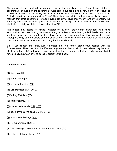The press release contained no information about the statistical levels of significance of these experiments, or even how the experiments were carried out (for example, how did they give "love" or a "flow of attention" to a plant?) nor how the results were analyzed (how does a tomato show "definite emotional anxiety reactions"? etc.) They simply stated, in a rather unscientific but sincere manner, that three experiments proved beyond doubt that Hubbard's theory (and by extension, the E-meter) was valid. "After ten years of ridicule for his theory ... L. Ron Hubbard has finally been vindicated ... totally validated ... it was about time."{11}

The reader may decide for himself whether the E-meter proves that plants feel pain, have emotional anxiety reactions, grow faster when given a flow of attention by a faith healer, etc., -- or whether to accept the word of the chairman of the Department of Psychophysiology and Neurophysiology at one institute and the Chief of the Medical Engineering Division that the E-meter is not an accurate instrument for measuring the flow of electricity.

But if you choose the latter, just remember that you cannot argue your position with the Scientologists. They claim that the E-meter registers the thetan, which they believe may have an electrical voltage,{12} and since no non-Scientologist has ever seen a thetan, much less checked it for electricity, how can anyone possibly disprove this theory?

### **Citations & Notes**

- {1} first quote [7]
- {2} size of meter [261]
- {3} car speedometer [202]
- {4} Olin Mathison [136, 30, 277]
- {5} Volney Mathison [254]
- {6} chiropractor [277]
- {7} cost of meter really [254, 255]
- {8} gov & Dr.'s claims against E-meter [254]
- {9} plants have feelings [65a]
- {10} 3 experiments [166, 57]
- {11} Scientology statement about Hubbard validation [66]
- {12} electrical flow of thetan [261]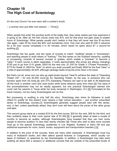# **Chapter 19 The High Cost of Scientology**

*It's the only Church I've ever seen with a cashier's booth.*

-- a woman who quit after one session. -- *Time*{1}

When people first enter this exciting world of the totally free, they rarely realize just how expensive it is going to be. After all, the first course costs only \$15, and for that price one gets close to sixteen hours of Scientology. What people usually don't realize is that they will never see this \$1-an-hour rate again. Later it'll be more like \$25, and sometimes more. One man who paid \$1,200 in advance for a 50 hour course completed it in 20 minutes, which meant he spent about \$1 *a second* for auditing.{2}

Scientology has two goals, and two types of courses to match: "auditing" people or "processing"; and teaching people to audit others or "training." The first series on the Hubbard hierarchy, auditing or processing, consists of several courses or grades, which enable a "preclear" to become a "clear." If each course is taken separately, it costs approximately (the prices are always changing) *\$750* just to go from O-IV grade, *\$500* for the next one, *\$1,200* for Grade V ("Power Processes"), *\$775* for Grade VI, *\$600* for "Solo" (in which you audit yourself) and finally *\$800* for the final "clear" or a total of approximately *\$4,625*, although package deals bring the price down a bit lower.

But that's not all, since one can also go eight levels beyond "clear"to achieve the state of "Operating Thetan VIII" -- for only *\$2,850* more.{3} An Operating Thetan, by the way, is someone who can function apart from his body,{4} and OTs (Operating Thetans) are said to be able to lift telephones off the hook in another room and read books while some distance away from them.{5} The value of this accomplishment may not be readily apparent, but one practical Scientologist claimed she could visit her parents in Texas while her body remained in Washington, D.C.{6} Fortunately for the travel industry, not too many Scientologists can do this.

But processing or auditing is only half the story. Scientology also trains its followers to audit others.To qualify for this doesn't even require a high school education -- just *another* prescribed series of Scientology courses. {7} Scientologists generally suggest people start with this series, and, in fact, unless specifically asked, they don't even tell them about the prices of the other group until later.

This second group starts at a modest \$15 for the first course, \$30 for the next, \$45 for the third, and then suddenly leaps to their more typical rate of \$1,300.{8} It generally takes at least a couple of months to become an auditor, although Scientologists have boasted that they can train some people to become auditors "in less than twenty minutes."{9} Those who wish to take more courses must go to the special Scientology academies in Los Angeles, Scotland or Saint Hill and pay additional expenses for room, board, books, equipment and transportation besides.{10}

In addition to the price of the courses, there are many other expenses. A Scientologist must buy many of Hubbard's books, and often attend special lectures or Congresses, which usually run tapes of Hubbard, or speeches by top Scientologists. In addition, a Scientologist may take extra auditing (at about \$25 a session) or additional courses that are outside of the prescribed levels of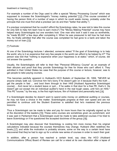treatment or training.{11}

For example a number of the Orgs used to offer a special "Money Processing Course" which was supposed to increase the Scientologist's "money making potential."{12} (This course consisted of having the person think of a number of ways in which he could waste money, probably under the principle that one must find what a preclear can do and then "better that ability.")

If a preclear complained that he couldn't afford the Scientology rates, he was told to take this course for only \$35 to help him learn how to earn more.[\*] The "Money Making Potential" course may have helped many Scientologists but one wonders how. One man who took it said it was so worthwhile, he "made \$5,000" a few days after completing it. When he was pressured to tell how he had done this, he finally admitted that after the course was completed he had gone to a bank and taken the money out on loan.{13}

[\*] *Footnote:*

At one of the Scientology lectures I attended, someone asked "If the goal of Scientology is to help the world, why is it so expensive that very few people in the world can afford to be helped by it?" The person was told that "nothing is expensive when your happiness is at stake," which, of course, did not answer the question.

Usually, the Scientologists will refer to their free "Personal Efficiency Course" as an example of their altruism and proof that they provide Scientology for free for those who can't afford it. They admitted in their United States tax case that the purpose of this course or lecture, however, was to get people to take paying courses.

This becomes painfully apparent in Hubbard's HCO Bulletin of September 29, 1959. "NEVER let anyone simply walk out. Convince him he's loony if he doesn't gain on it because that's the truth ... get the people in fast ... and boot them through to their HAS [Hubbard Apprentice Scientologist course].... And never let a student leave or quit.... If he walks in that door for a free PE, that's it. He doesn't get out except into an individual auditor's hand in the real tough cases, until he's an HAS." This PE "course," by the way, is the first night lecture, film of Hubbard and personality test.{14}

If a Scientologist decides he doesn't want to spend extra money on additional auditing or courses, he may not have a choice in the matter. Scientologists progress at their own speed and are not permitted to continue until the Student Examiner is satisfied that he's mastered the previous lessons.

Thus a Scientologist can be made to take *and pay for* more hours than he originally signed up for at the discretion of the leaders.{15} These extra courses are sometimes given as punishment, and it was said in Parliament that a Scientologist could be made to take additional courses if he tried to leave Scientology or if he questioned the accepted doctrines of the group.{16}

A Scientologist may also discover that Scientology is costing him more money than his original calculations indicated because the courses themselves may change. Hubbard often redefines the levels,{17} and while the motivation is probably sincere, some on the way to a certain level have discovered that they've had to sign up for a whole new series of courses in order to reach their goal.

In addition, after a person has reached a certain level, say clear, the HCO (Hubbard Communications Office) Board of Review can call for a retest at its own discretion after a lapse of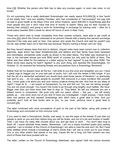time.{18} Whether the person who fails has to take any courses again, or even new ones, is not known.

It's not surprising that a really dedicated Scientologist can easily spend \$15,000{19} in this "world of the totally free," and one wealthy Floridian, who had complained of "nervousness" but was told he was in good health at the Mayo Clinic and Johns Hopkins, spent \$28,000 in Scientology.{20} But most people who join it don't have that kind of money to spend. Many pay for their courses by leaving their jobs{21} and going to work for Scientology in exchange for training units -- often for a small salary besides (\$40 a week for about 40 hours of work in New York).

Those who didn't wish to break completely from their outside contacts, were able to get credit at one time,{22} which the Church extended at six percent interest with a twenty-five percent surcharge returned if the note was paid on time. One person who wrote the Church and said he couldn't pay his bill, was written back not to feel that way because "there's nothing a thetan can't do."{23}

But they haven't always been that kind to debtors. Unpaid notes have been turned over to collection agencies, legal action has been threatened,{24} and debtors and their family have been harassed and intimidated, sometimes quite cruelly as shown in the letter below. This letter was received by a man in the mid-west whose son took \$550 worth of courses but only paid for \$200 of them. The father was then billed for the balance in a letter saying he had "agreed" to pay the other \$350. The father wrote back saying he hadn't "agreed" to any such thing, and reported the Scientologists. On October 13, he received the following threats and accusations from a Scientology Reverend.

Rather than let my lawyers have *all* the fun, I will write to you this once and straighten you out. I have a great urge to beggar you to your last pair of socks, but I will curb the desire a little longer. If you had the wit of a demented swineherd you would have read those pieces of literature I so graciously had sent to you ... do not judge people by yourself. Not everyone is a mass murderer like yourself. Yes, I know quite a bit about you and your various projects during the war. And how do you sleep at night? I hope tis ill.... I am expert at harassment, try me and find out. You are not strong enough. You are not smart enough. You haven't the funds to go through long lengthy court battles. We have. Bigger men than you have done their best to stop us. They failed. So will you because you are a blatant moron in comparison. We joust only with our peers, others -- like you -- we will simply gobble up ... one more word out of you and I'll have you investigated. I might anyway. I have never seen one person yet that resisted Scientology who didn't have a great deal to hide. And you evidently won't look at free books sent to you, so you must, perforce have a great deal to conceal.{25}

The letter continued with more accusations of guilt on the part of the father, along with praise of Scientology and concluded on this ominous note.

If you want to start a Donnybrook, Buddy, wail away; to use the argot of the streets I'll just start my people to work on you and then before long you will be broke, and out of a job and broken in health. Then I can have my nasty little chuckle about you and get back to work.... You won't take long to finish off. I would estimate three weeks. Remember: I am not a mealy mouthed psalm [sic] canting preacher. I am a minister of the Church of Scientology! I am able to heal the sick and I do. But I have other abilities which include a knowledge of men's minds that I will use to crush you to your knees. You or any other wretch that stands in our way. Cause the list is long, but their careers are very short of those that have jousted with us.

The letter, written on the Church of Scientology letterhead, was signed "with the utmost sincerity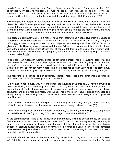possible" by the Reverend Andrew Bagley, Organizational Secretary. There was a short P.S. appended: "Don't reply to this letter. If I want to get in touch with you, I'll be able to find you. Anywhere." P.S. The father paid the bill. P.P.S. His son took approximately \$4,500 worth more courses in Scientology, paying for them himself the next time from a \$5,000 inheritance.{26}

Scientologists get people to pay substantial fees by promising to refund their money if they are dissatisfied with Scientology -- and they are quick to point out that no psychotherapist returns money if therapy proves unsuccessful (although they are just as quick to point out that they are not a form of therapy).{27} In fact, the Scientologists haven't always returned the money either, and have sometimes set up certain conditions that have made it difficult for people to collect.

The person must usually ask for his money within thirty (sometimes ninety) days after the course is completed.{28} Some people have also been made to take the security test before they can get a refund.{29} Others have signed a contract that obligates them to obey their Ethics Officer "in advice given me to facilitate my case progress and that any failure to do so renders this contract null and void without rebate." (The Ethics Officer can, of course, tell them not to ask for their money back, because that would be hindering their progress, and tell them to facilitate it by signing up for more courses instead.{30})

In one case, an Australian woman signed up for three hundred hours of auditing, took 175, and then asked for her money back. The register wrote her back that "the only way out is the way through," in other words, that she would have to take *all 300 hours* before she could leave Scientology and ask for her money back. This could cost her another \$600 which she didn't have, so she wrote them back again. Again they wrote her "I repeat, the only way out is the way through."

The following is a portion of her extremely pathetic reply, listing the emotional and financial difficulties that she felt Scientology was responsible for.

... my situation has in every way worsened under the influence of Scientology.... I have to struggle to even stay awake, and as a consequence, I fear to lose my job and the little security that gives me. It takes a frightful effort not to go to sleep.... I am slow in my work and make mistakes.... I am always exhausted and sometimes can hardly walk along. This is the result I have obtained from spending all my money on something that is claimed to increase alertness and intelligence and generally benefit people....

Under these circumstances it is no help to be told "the way out is the way through." I have no money left for further auditing and no chance of saving any since I barely make ends meet.{31}

When nothing happened, she wrote directly to Hubbard, as do many Scientologists, putting letters in special boxes in the Orgs that say "You can always communicate with Ron."

At the commencement I had a job I liked, which paid me fairly well, and enough money put away to feel reasonably secure. Now I have a job I don't care for, which does not pay so well, my money is largely gone, and instead of being reasonably content I feel that nothing is worth doing, having periods of absolute exhaustion, and look forward to the remaining years of my life with complete hopelessness, as just a dreary round of work, work, work at something I don't care for to earn enough to exist to go on working.

Hubbard referred this letter to the Melbourne Org, where it was diagnosed as a case of "Missed W/H."{32} She was persuaded to undergo twenty-five hours of free processing for her "Missed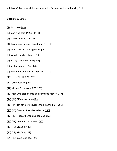withholds." Two years later she was still a Scientologist -- and paying for it.

### **Citations & Notes**

- {1} first quote [156]
- {2} man who paid \$1200 [141a]
- {3} cost of auditing [126, 277]
- {4} thetan function apart from body [254, 261]
- {5} lifting phones; reading books [261]
- {6} girl with family in Texas [256]
- {7} no high school degree [255]
- {8} cost of courses [277, 126]
- {9} time to become auditor [255, 261, 277]
- {10} go to St. Hill [277, 261]
- {11} extra auditing [255]
- {12} Money Processing [277, 278]
- {13} man who took course and borrowed money [277]
- {14} (31) PE course quote [79]
- {15} (14) pay for more courses than planned [97, 255]
- {16} (15) England if he tries to leave [257]
- {17} (16) Hubbard changing courses [255]
- {18} (17) clear can be retested [38]
- {19} (18) \$15,000 [139]
- {20} (19) \$28,000 [142]
- {21} (20) leave jobs [255, 278]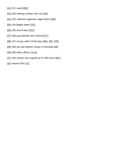{22} (21) credit [255]

- ${23} (22)$  nothing a thetan can't do  $[124]$
- {24} (23) collection agencies; legal action [255]
- {25} (24) Bagley letter [123]
- {26} (25) end of story [273]
- {27} (26) psychiatrists don't refund [277]
- {28} (27) money within 30-90 days [254, 255, 278]
- {29} (28) sec test {before money is refunded} [25]
- {30} (29) ethics officer [141a]
- {31} (30) woman who signed up for 300 hours [261]
- {32} missed W/H [10]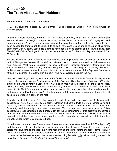# **Chapter 20 The Truth About L. Ron Hubbard**

*For heaven's sake, tell them I'm not God.*

-- L. Ron Hubbard, quoted by Eric Barnes, Public Relations Chief of New York Church of Scientology{1}

Lafayette Ronald Hubbard, born in 1911 in Tilden, Nebraska, is a man of many talents and accomplishments, although not quite as many as he claims. In a number of biographies and autobiographies,{2} both types of which were said to have been written by him, he claims to have been descended from Count de Loup,{3} to be part French and Scotch and to have part of his family come from Little Clacton, Essex. He claims to have been a blood brother of the Pikuni Indians, "fast friends" with Calvin Coolidge Jr., and to be the real life model for the book, play, and movie, *Mister Roberts*.{4}

He also claims to have graduated in mathematics and engineering from Columbian University (a part of George Washington University), sometimes claims to have graduated in civil engineering from George Washington University, to have attended Princeton University (sometimes the Princeton School of Government) and to have gotten a Ph.D. from Sequoia University. He was a prolific writer, a singer, an explorer (and claims to have been a member of the Explorers Club since 1936{5}), a seaman, a Lieutenant in the navy, who was severely injured in the war.

Many of these things are true; for example, his family does come from Little Clacton, Essex, he was a writer, he was an explorer (and a member of the Explorers Club, but since 1940, not 1936 as he claimed), he was severely injured in the war (and in fact was in a lifeboat for many days, badly injuring his body and his eyes in the hot Pacific sun). But there are a number of small unimportant things in his *Brief Biography of L. Ron Hubbard* (which his son claims his father really wrote{6}) that were exposed by the *Daily Mail* in England as false.{7} Because of these errors, it tends to cast suspicion, perhaps unjustly, on the rest.

Actually, most of the "errors" in that biography and others, with the exception of his academic background, were simply sins by omission. Although Hubbard admits he wrote screenplays and westerns, it was in science fiction that he made his mark, a fact he conveniently omitted in his *Brief Biography* and frequently underplayed elsewhere. This is important because a science fiction background is not considered good preparation for the understanding of true scientific phenomena and also because Hubbard wrote so *much* science fiction at one time that it would seem almost impossible that he could have carried on the careful research he claimed he did to formulate Dianetics upon which Scientology is based.

Nonetheless, Hubbard says Dianetics was based on his exhaustive research with 270 subjects,{8} and this research formed the basis of his engram and other theories. A recent article in *Freedom* stated that Hubbard spent thirty-five years researching the mind before Dianetics came out.{9} If this is true, it means that he started researching at the age of three. Generally, Hubbard is content to have people believe he spent twelve years researching Dianetics{10} before coming out with his basic book, *Dianetics: The Modern Science of Mental Health*.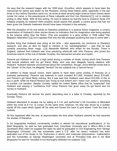He says that the research began with his 1938 book, *Excalibur*, which appears to have been the manuscript he claims was stolen by the Russians. During these twelve years, especially in the last three or four before Dianetics came out, he wrote at least seventy-eight science fiction stories alone (under his name, or the pseudonyms of Rene Lafayette and Kurt Van Strachen){11} not to mention writing in other fields. With all this writing, it's hard to believe he had the time to research those 270 subjects properly (to research them properly would require 540 people; a control group that has not been given the Dianetic treatment should have been included in the sample).

With the exception of his one article on Dianetics published in a science fiction magazine, a cursory examination of Hubbard's other stories shows no indication that his imagination was being applied to the science rather than the fiction. (The one exception is a story written in 1938 called "Her Majesty's Aberration"{12} but it appears that only the title presaged anything that was to come later.)

Another thing that Hubbard was doing at the time -- also apparently not conducive to Dianetics research, and also an item he failed to mention in his "autobiographies" -- was that he was possibly practicing black magic. {13} Alexander Mitchell, who writes for the *Sunday Times* in England, claimed that Hubbard was once practicing witchcraft with John Parsons, who joined the American branch of the cult of Aleister Crowley, the reknowned sorcerer and mystic.

Parsons got Hubbard to act as a high priest during a number of rituals, during which time Parsons had sexual relations with his girl friend, Betty, who was also allegedly having relations with Hubbard. Hubbard seemed unconcerned about the competition, though, since Mitchell wrote that in the "climax" of the ritual, he allegedly "worked" his two subjects into a "sexual frenzy."

In addition to these sexual unions, there seems to have been some pooling of finances on a business partnership. Parsons was believed to have invested \$17,000, Hubbard about \$10,000, and Parson's girl friend Betty nothing. But it was said that Hubbard used about \$10,000 of this to buy a yacht, while his friend Parsons was "living at rock bottom and I mean *rock bottom*," according to another cult member. Aleister Crowley cabled his United States office that he "suspected" that Hubbard was playing a "confidence trick" since Parsons had given away his girl friend and his money to Hubbard.

Eventually Parsons did recover the yacht, describing how in a letter to Crowley, reprinted by the *Sunday Times*.

Hubbard attempted to escape me by sailing at 5 P.M. and performed a full invocation to Bartzabel within the circle at 8 P.M. (a curse). At the same time, however, his ship was struck by a sudden squall off the coast which ripped off his sails and forced him back to port where I took the boat in custody.

All this happened after the war, at approximately the time when Hubbard claimed he had resumed his studies of Dianetics.

In his biographies Hubbard conveniently omitted or altered his educational qualifications. In his *Brief Biography*, he said he had graduated from Columbian University and in *Who's Who in the Southwest* (they claim he supplied the data) he said he graduated in Civil Engineering from George Washington University. (He has sometimes used a C.E. after his name.) Hubbard has even dedicated one of his books to his "instructors in atomic and molecular phenomenon, mathematics and the humanities at George Washington University and at Princeton,"{14} and in his *Brief Biography* he said he "excelled in but thoroughly detested his subjects."{15}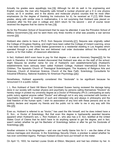Actually his grades were appallingly low.{16} Although he did do well in his engineering and English courses, the man who frequently calls himself a nuclear physicist got a D in one physics course, an E in another, and in the atomic and molecular physics courses that he most often emphasizes (to the degree of thanking his instructors for it), he received an F.{17} With those grades, along with similar ones in mathematics, it is not surprising that Hubbard was placed on probation after his first year in college and didn't return for his second -- and of course never received the degrees that he claims he has.{18}

As for the Princeton School of Government that he says he attended, it was the Princeton School of *Military* Government,{19} and he went there only three months in what was possibly a war service course.{20}

Hubbard also claims to have a Ph.D. from Sequoia University.{21} Sequoia was originally called the College of Drugless Healing, and might have been called the College of Instant Learning, since it has been traced by the United States government to a residential dwelling in Los Angeles which operated through a post office box and delivered mail order doctorates without the formality of exams, or for that matter, of classroom attendance.

In fact, Hubbard didn't even have to *pay* for that degree -- it was an Honorary Degree{22} for his work in Dianetics. A Harvard student discovered that Hubbard was also on the staff of the school; might Sequoia be another name for one of Hubbard's own establishments?{23} (Hubbard's establishments have variously been called Hubbard College, Hubbard International School for Children, The Apostolic Church of Theological Scientologists, The Academy of Religious Arts and Sciences, Church of American Science, Church of the New Faith, Scientology Consultants for Industrial Efficiency, National Academy for American Psychology.{24})

Nonetheless, Hubbard apparently considered this "doctorate" to be significant because he renounced it in a public notice:

I, L. Ron Hubbard of Saint Hill Manor East Grinstead Sussex having reviewed the damage being done in our society with nuclear physics and psychiatry by persons calling themselves "Doctors" do hereby resign in protest my university degree as a Doctor of Philosophy (Ph.D.) anticipating an early public outcry against anyone called "Doctor" and although not in any way connected with bombs or "psychiatric treatment" or treatment of such and interested only and always in philosophy and the total freedom of the human spirit, I wish no association of any kind with these persons and so do publicly declare and request my friends and the public not to refer to me in any way with this title.{25}

Even so, Hubbard is referred to as "doctor," has used the title himself, and he does indeed have a D. Scn., or Doctor of Scientology. But that even this degree is haphazardly awarded became apparent when Hubbard's son, L. Ron Hubbard Jr., who also has a D. Scn, testified at the United States Court of Claims that he didn't have to do anything special to get the degree, and in fact, wasn't certain whether he got his Bachelor of Scientology before or after he got his Doctorate of Scientology. {26}

Another omission in his biographies -- and one can hardly blame him for it -- are the dates of his various marriages and divorces. In the Scientology Security Check, a preclear is asked whether he has ever committed bigamy. Perhaps Hubbard should have put himself on the meter.

On April 13, 1933, he married Louise Grubb at Elkton, Maryland, and had two children by her. In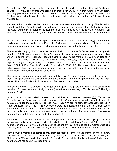December of 1945, she claimed he abandoned her and the children, and she filed suit for divorce on April 14, 1947. The divorce was granted on December 24, 1947, in Port Orchard, Washington. The only problem is that on August 10, 1946, in Chestertown, Maryland, Hubbard married Sara Northrup 8 months before the divorce suit was filed, and a year and a half before it was finalized.{27}

Also omitted, obviously, are the speculations that have been made about his sanity. The Australian Report said that "expert psychiatric witnesses" were of the opinion that Hubbard's writings indicated "symptoms of paranoid schizophrenia of long standing with delusions of grandeur."{28} There have been rumors for years about Hubbard's sanity, and he has acknowledged these rumors:

Two million traceable dollars were spent to halt this work [Dianetics and Scientology].... All that has survived of this attack by the two A.P.A.'s, the A.M.A. and several universities is a clutter of rumors concerning your sanity and mine -- and rumors no longer financed will some day die.{29}

The Australian Inquiry finally came to the conclusion that Hubbard's "sanity was to be gravely doubted."{30} Certainly some of Hubbard's statements, even coming from a former science fiction writer, do sound rather strange. Hubbard claims to have visited Venus, the Van Allen Radiation belt,{31} and heaven -- twice. The first time in heaven, he said, was from "the moment of the implant to forget ... 43,891,832,611,177 years 344 days, 10 hours, 20 minutes and 40 seconds from 10:02 to 2 P.M. Daylight Greenwich Time, May 9, 1963."{32} The second time was about a trillion years later. Lest anyone doubt he was there, or think that he might have ended up in the wrong place, he described Heaven as follows:

The gates of the first series are well done, well built. An Avenue of statues of saints leads up to them. The gate pillars are surmounted by marble angels. The entering grounds are very well kept, laid out like Bush Gardens in Pasadena, so often seen in the movies.

The second series ... is shabby. The vegetation is gone. The pillars are scruffy. The saints have vanished. So have the angels. A sign on one (the left as you enter) says "This is Heaven." The right one says "Hell."

In addition to having visited Heaven, Hubbard has also rewritten Genesis.{33} "Before the Beginning was a Cause and the entire purpose of the Cause was the creation of effect," etc. He has also rewritten the calendar {34} to read "A.D. 1, A.D. 10," etc., (to stand for "After Dianetics 1951," "After Dianetics 1960"), as if his discoveries were as important as the birth of Christ. When Hubbard first came out with Dianetics he wrote that it was a "milestone for Man comparable to his discovery of fire and superior to his invention of the wheel and arch."{35} Now he sees Scientology as purer than Buddhism, Taoism and Christianity.{36}

Hubbard's "case studies" contain a constant repetition of torture themes in which people are held in bondage, inflicted with pain or violently killed. He often attributes (or projects) the cause of neurosis or engrams to the father's committing violent physical acts against the mother while she was pregnant or in the act of conceiving, as in the following "case study" Hubbard presented.

Fight between mother and father shortly after conception. Father strikes mother in the stomach. She screams ... and he says "Goddamn you, I hate you! You are no good. I'm going to kill you." Mother says, "Please don't hit me again. Please don't. I'm hurt. I'm frantic with pain." Father says, "Lie there and rot, damn you, good-bye."{37}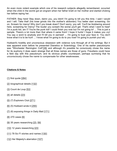An even more violent example which one of his research subjects allegedly remembered, occurred when the child in the womb got an engram when her father knelt on her mother and started choking her before raping her.

FATHER: Stay here! Stay down, damn you, you bitch! I'm going to kill you this time. I said I would and I will. Take that! (his knee grinds into the mother's abdomen) You better start screaming. Go on, Scream for mercy! Why don't you break down? Don't worry, you will. You'll be blubbering around here, screaming for mercy! The louder you scream the worse you'll get. That's what I want to hear! I'm a punk kid, am I? You're the punk kid! I could finish you now but I'm not going to! ... This is just a sample. There's a lot more than that where it came from! I hope it hurts! I hope it makes you cry! You say a word to anybody and I'll kill you in earnest! ... I'm going to bust your face in. You don't know what it is to be hurt! ... I know what I'm going to do to you now! I'm going to punish you! etc.

Hubbard's hostility and unconscious obsession with violence runs through all of his writings. But it was apparent even before he presented Dianetics or Scientology. One of his earlier pseudonyms was "Winchester Remington Colt"{38} and although it's possible he consciously chose the name for its euphony it does seem strange that all three names are those of guns. Freudians could have a field day with this pseudonym, and its obvious phallic counterpart, perhaps surmising that he unconsciously chose the name to compensate for other weaknesses.

### **Citations & Notes**

- {1} first quote [284]
- {2} biographical details [132]
- {3} Count de Loup [53]
- ${4}$  all details  $[23]$
- {5} (7) Explorers Club [271]
- {6} (5) Hubbard wrote it [255]
- {7} (6) exposing things in Daily Mail [171]
- {8} 270 cases [6]
- {9} 35 years researching [23, 59]
- {10} 12 years researching [23]
- {11} 78 Sci Fi stories and names [130]
- {12} Her Majesty's aberration [107]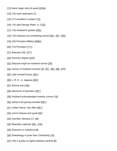- {13} black magic story & quote [240a]
- {14} (16) book dedication [1]
- {15} (17) excelled in subject [13]
- {16} (14) said George Wash. U. [132]
- {17} (18) Hubbard's grades [255]
- {18} (19) Hubbard not completing school [261, 267, 255]
- {19} (20) Princeton Military [268a]
- {20} (15) Princeton [171]
- {21} Sequoia [142, 277]
- {22} honorary degree [223]
- {23} Sequoia might be Hubbard school [28]
- {24} names of Hubbard schools [33, 261, 262, 266, 279]
- {25} calls himself Doctor [261]
- {26} L. R. H., Jr. degrees [255]
- ${27}$  divorce suit  $[148]$
- {28} delusions of grandeur [261]
- {29} Hubbard acknowledged insanity rumors [16]
- {30} sanity to be gravely doubted [261]
- {31} visited Venus; Van Allen [261]
- {32} visit to Heaven and quote [92]
- {33} rewritten Genesis [11, 58]
- {34} Rewritten calendar [261, 278]
- {35} Dianetics is milestone [6]
- {36} Scientology is purer than Christianity [16]
- {37} (39) 2 quotes on fights between parents [6]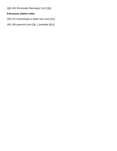{38} (40) Winchester Remington Colt [140]

## **Extraneous citation notes:**

{39} (37) Scientologist is better than God [101]

 ${40}$  (38) paranoid schiz  $[26, 1$  {probably  $261$ }]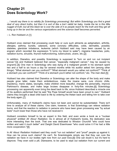# **Chapter 21 Does Scientology Work?**

*... I would say there is no validity [to Scientology processing]. But within Scientology you find a great deal of very direct truths, but then it is sort of like a bre'r rabbit tar baby. Inside the tar is this little nugget of truth; but all this black tar is over the side of it so people reach for the truth and they get all hung up in the tar and the various organizations and the science itself becomes perverted.*

-- L. Ron Hubbard Jr.{1}

Hubbard once claimed that processing could help or cure such ailments as astigmatism, arthritis, allergies, asthma, bursitis, cataracts, some coronary difficulties, colds, dermatitis, possibly diabetes, glandular imbalance, leukemia (which Hubbard said may have been caused by an engram which recorded the expression "it turns my blood to water"), migraine headaches, polio, radiation burns, sinusitis, thyroid malfunctioning, tuberculosis, ulcers, etc.{2}

In addition, Dianetics, and possibly Scientology is supposed to "turn on and run out incipient cancer,"{3} and Hubbard believed that cancer, "especially malignant cancer," may be caused by engrams.{4} One man in Scientology who was dying of a malignant growth in his stomach spent two and a half to six hours a day for several months while his auditor asked him (among other things): "What stomach can you confront?" "What stomach would you rather not confront?" "Think of a stomach you can confront?" "Think of a stomach you'd rather not confront," etc. The man died.{5}

Hubbard has also claimed that Dianetics or Scientology can alter the shape of the body and make people grow taller, make them ambidextrous, make the insane sane, cure chronic chills, impotency, manic states, laryngitis, make children more beautiful, change the personality, improve Parkinson's disease, and make large bruises disappear in forty-five minutes.{6} Scientology processing can apparently even bring the dead back to life, since Hubbard described a miracle one of his auditors performed that he said "the Pope himself would have been proud to own." Hubbard claims they brought a dead child back to life by ordering the thetan back and telling him to take over the body again. ${7}$ 

Unfortunately, many of Hubbard's claims have not been and cannot be substantiated. There isn't time to analyze all of these claims. One claim, however, is that Scientology can relieve radiation burns, and that the reaction to radiation in persons who have been given processing was "by actual tests" much lower than those who have not received it.

Hubbard considers himself to be an expert in this field, and even wrote a book as a "nuclear physicist" entitled *All About Radiation*. As in almost all of Hubbard's books, the dedication was more interesting than the book. That one was dedicated to Winston Churchill "who could have written and said it much better" and Dwight David Eisenhower "who could solve it if he had a little more cooperation."{8}

In *All About Radiation* Hubbard said they could "run out radiation" and "proof" people up against it. How can he prove such claims? He can't. So Scientologists simply say that they can cure the radiation we have in our bodies right now *from our past lives*.{9} One can doubt it, but it's hard to disprove. They even sold a pill, Dianezene, to be used to wipe out radiation from our current and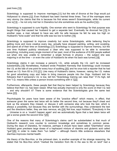#### past lives.{10}

Scientology is supposed to improve marriages,{11} but the rate of divorce at the Orgs would put Hollywood to shame.{12} Even Hubbard has been married three times. Two of the marriages were very stormy (he claims that this is because his first wives weren't Scientologists, while his current one is{13} -- he not only met her in Dianetics but she sometimes acts as his auditor{14}).

Scientology is supposed to cure frigidity. One woman who went to Scientology for that purpose was taught things that caused her husband to get a separate bed. Eventually he divorced her.{15} In another case, a man refused to have sex with his wife because he felt he was too high on Hubbard's "tone scale" and that his wife was too low to bother.{16}

Scientology is supposed to improve creativity but some Scientologists, while believing they're getting more and more creative every day, actually have stopped painting, writing, and sculpting, and spend all of their time on Scientology.{17} Scientology is supposed to improve memory, but the one time Hubbard publicly introduced a clear who was supposed to be able to remember everything, including every single moment of her past, most of the audience of 6,000 people walked out when she was unable to remember a single formula in physics -- the subject she was majoring in at the time -- or even the color of Hubbard's tie when his back was turned.{18}

Scientology claims it can increase a person's I.Q., while actually the I.Q. can't be increased substantially.{19} Nonetheless, Hubbard wrote President Kennedy that Scientology could increase the I.Q. at the rate of one point for every hour of auditing, {20} and he once told a reporter that he had raised an I.Q. from 83 to 212.{21} Like many of Hubbard's claims, however, raising the I.Q. makes for good advertising copy and helps to bring insecure people into the Orgs. Hubbard told his followers that if someone's I.Q. is low, tell him "Scientology training can raise that." If it's high, tell him "I.Q. means little unless a person knows something with it."{22}

Furthermore, afterwards, these people feel that they've been helped by Scientology because they believe that their I.Q. has been raised. What has actually improved is only the *score* on their I.Q. test -- and why shouldn't it? There is some evidence that the Scientologists give the same test twice.{23}

Psychologists for years have been aware of the "practice effect" which means, in effect, that someone given the same test twice will do better the second time, not because they'll cheat and look up the answers they missed, or discuss it with someone else who took the test, which is always a possibility, but because they are familiar with the surroundings, they understand the test and the directions better, they are less nervous, etc.{24} Not true, says Hubbard, "Everybody in the ... Universe is on a `mustn't happen again' and we automatically figure that a test taken twice will get a worse grade the second time."{25}

One of the reasons that many of Scientology's claims can't be substantiated is that much of Hubbard's research runs counter to common knowledge and sometimes to common sense. During the days of Dianetics, for instance, perhaps it should have been called "Diarrhetics" since Hubbard gave preclears large doses of a haphazard mixture of vitamins and glutamic acid called "guk"{26} in order to make them "run better" -- although there's little evidence elsewhere that diarrhea improves mental health.

His theory of the Boo-Hoo, or the primeval clam, is another example of his strange reasoning. He stated that his Boo-Hoo which "marked the transition from life in the sea to life on land" had a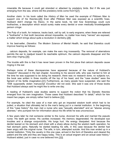miserable life because it could get stranded or attacked by predatory birds. But if life was just emerging from the sea, where did the predatory birds come from?{27}

Another claim: In his book called the *History of Man* he used the example of Piltdown Man to support one of his theories.{28} Even after Piltdown Man was exposed as a scientific hoax, Hubbard didn't change his theory. In the same book, he told how Scientology could cure toothaches, a description which would surely make every dentist or even medically knowledgeable person cringe:

The Pulp of a tooth, for instance, tracks back, cell by cell, to early engrams; when these are relieved a "toothache" in that tooth becomes almost impossible, no matter how many "nerves" are exposed, a matter which brings about quite a revolution in dentistry.{29}

In his best-seller, *Dianetics: The Modern Science of Mental Health*, he said that Dianetics could improve hearing as follows:

... calcium deposits, for example, can make the ears ring incessantly. The removal of aberrations permits the ear to readjust toward its reachable optimum, the calcium deposits disappear and the ears stop ringing.{30}

The trouble with this is that it has never been proven in the first place that calcium deposits cause ringing in the ear.

Perhaps some of these discrepancies have appeared because of the nature of Hubbard's "research" discussed in the last chapter. According to his second wife, who was married to him at the time he was supposed to be doing his research, there was *no* research done, *no* subjects run, the book was written in three months off the top of his head, and the "case studies" were the figment of his fertile imagination.{31} Furthermore, as many people have suspected, she said the 1938 supposedly stolen manuscript *Excalibur* did not exist. She said it was one of those books that Hubbard always said he might like to write one day.

A reading of Hubbard's case studies seems to support the notion that his Dianetic theories emerged from his own imagination. Those cases that Hubbard described "in detail," which for him meant two pages, are simply rather hard to believe.{32}

For example, he cited the case of a man who got an impacted wisdom tooth which had to be pulled, a situation that ultimately led to the man's being put in a mental institution. In the beginning of this "case history" the man met a nurse who was "sexually aberrated" and an "aberee among aberees," who pumped him for information about his life while he was unconscious.

A few years later he met someone similar to the nurse, divorced his wife and married the pseudo nurse. His teeth got worse. His cavities increased. His memory degenerated. He developed eye troubles and a strange conjunctivitis. His lungs hurt. His energy dissipated. And because the dentist leaned on his stomach and chest with a sharp elbow during the wisdom teeth operation, he had stomach pains. Naturally he started beating his wife, in this case because the dentist had been angry with the original nurse. The wife, in turn, attempted suicide. And this man ended up in a mental institution. "Only the cavalry in this one case, arrived in the form of Dianetics and cleared the patient and the wife and they are happy today. This is an actual engram and an actual case history," Hubbard added, just in case no one believed him.{33}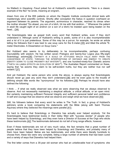Ira Wallach in *Hopalong Freud* poked fun at Hubbard's scientific experiments. "Here is a classic example of the flex" he wrote, meaning an engram,

drawn from one of the 855 patients on whom the Diapetic Institute conducted clinical tests with maddeningly strict scientific controls. Shortly after conception the foetus in question overheard an argument between its parents. The argument, acrimonious in character, reached its climax when the mother shouted "Go ahead, you son of a bitch, hit me with that andiron...." Whenever the patient in adult life caught sight of an andiron (or a son of a bitch) he insisted upon being beaten on the head....{34}

Yet Scientologists take as gospel truth every word that Hubbard writes, even if they don't understand it. Although some of Hubbard's writing is poetic, some of it is also incomprehensible and a lot of it is just pretentious. Some of this may be a put-on; for example, he wrote an article telling his followers that it was best to use soup cans for the E-meter,{35} and titled the article "Emeter Electrodes: A Dissertation on Soup Cans."

But Hubbard also seems to try deliberately to be incomprehensible, perhaps confusing inscrutability with wisdom. He has written seven Prelogics and twenty-four Logics plus fifty-eight Scientology axioms{36} ("AFFINITY IS A SCALE OF ATTITUDES WHLCH FALLS AWAY FROM THE COEXISTENCE OF STATIC, THROUGH THE INTERPOSITIONS OF DISTANCE AND ENERGY TO CREATE IDENTITY DOWN TO CLOSE PROXIMITY BUT MYSTERY"), and one hundred-ninety-four Dianetic axioms ("THETA VIA LAMDA EFFECTS AN EVOLUTION OF MEST"). The Australian Report commented on these, saying that "as axioms they claim to be self-evident truths, but they are neither true nor self evident."{37}

And yet Hubbard, the same person who wrote the above, is always saying that Scientologists should never go past any word they don't understand,{38} and he even goes to the trouble of defining simple little words like "synonymous" for his followers.{39} Perhaps he should have also defined the following:

I think ... if what we really observed was what we were observing that we always observed to observe. And not necessarily maintaining a skeptical attitude, a critical attitude, or an open mind. But certainly maintaining sufficient Personal Integrity and sufficient personal belief and confidence in self and courage that we observe what we observe and weigh what we have observed.{40}

Still, his followers believe that every word he writes is The Truth. In fact, a group of Hubbard's admirers wrote a book comparing his statements with the Bible (along with Saint Thomas Aquinas) where they believed the meanings were parallel.{41}

It's hard to believe that Scientology or Dianetics has actually ever helped anybody. Yet the Scientologists have testimonial books in their lobby filled with "success stories" of people who have been helped by Scientology, and they even have a Director of Success at the Orgs who elicits these testimonials.{42} The testimonials delivered do not tell of long range effects, however.

Even if these testimonials are not of very much value, the fact remains that a great number of people believe that they have been helped by Scientology and Dianetics, and probably many of them *have* been helped. Below are two testimonials, and while there were literally hundreds to choose from, these two were very complete, listing a large number of ailments that had been cured and a variety of ways that Dianetics had helped them.

The first letter comes from a 35-year old woman who had an unbelievable host of symptoms: she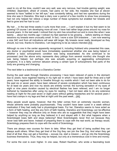used to cry all the time, couldn't see very well, was very nervous, had trouble gaining weight, was inhibited, dependent, afraid of crowds, had pains on her side, the measles she had at eleven seemed to have "settled in her left eye," was constantly talking, and had two operations during the time she was in Dianetics. She kept a diary over a period of a few months to show how processing had not only helped her relieve a large number of these symptoms but enabled her breasts and feet to grow and her hair to curl:

My hair ... in the last three weeks it curls more than ever.... I can't explain it but my feet seem to be growing! Of course I am developing more all over. I have had rather large pores around my nose for several years. In the last week I noticed that my skin has smoothed out and is more like when I was twenty ... about two months ago I noticed my feet seemed to be growing ... before starting on these sessions my breasts were unusually small. In fact, I wore a size 32A brassiere ... I am now wearing a size 34C and from all indications will wear still larger. My breasts never really developed as they should, but now, thanks to Dianetics, I am beginning to be as nature intended.{43}

Although no one in the center apparently recognized it, including Hubbard who presented this case, any doctor or psychiatrist would have immediately questioned whether she was being helped or whether a basic schizophrenic condition was being exacerbated. As she continued to be processed (and the above entry represents diary jottings from several months) she thought she was being helped, but perhaps she was actually acquiring or aggravating schizophrenic symptoms. It is a fairly common delusion among a certain type of schizophrenic that parts of the body are growing and changing.

The next letter is a testimonial to a Dianetics Center:

During the past week through Dianetics processing I have been relieved of pains in the stomach due to ulcers; have regained hearing in my right ear in which I have been deaf for three and a half years; have regained the ability to breathe through my nostrils which I had not been able to do for the past six or seven years; have been relieved of severe constipation which has been continuous for at least six years and now my stools are entirely normal; the burning sensation of my eyes of eight or nine years duration caused by electrical flashes has been relieved, and I am no longer bothered by headaches after using my eyes for reading. I had not been able to do any extensive reading at night for the past seven or eight years without getting headaches and for several years I have had cramps in my legs and feet at night until the past week....{44}

Many people would agree, however, that this letter comes from an extremely neurotic woman, whose ailments were probably psychosomatic. They couldn't have been cured in a week without medication if they had really had a physiological basis. For her, Dianetics seems to have acted as a form of faith healing, and like any form of faith healing, Dianetics and Scientology *can* be effective -- however they may be effective only on those who are so suggestible that they might have been helped by *anything* so long as they believed in it and stayed with it. But what happens when a Scientologist loses faith and stops believing? Most Scientologists never find out because they never lose faith and leave. Instead of preparing them to cope with the real world, as therapy would, Scientology prepares them to cope with the world of Scientology.

There are always new courses for them to take. When they get tired of being audited they can always audit others. When they get tired of the Org they can join the Sea Org. And when they get tired of all that, they can get a franchise -- excuse me, start a mission -- and go into the Scientology business themselves. Thus, they may be helped, but only at a tremendous cost in time and money.

For some the cost is even higher. In one case, Robert Kaufman, who wrote a fascinating book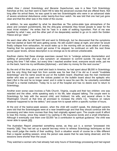called *How I Joined Scientology and Became Superhuman*, was in a New York Scientology franchise at first, but then went to Saint Hill to take the advanced courses that are offered there. Not long after his arrival there, he was upset to see two Scientologists who were in an advanced state of severe emotional disturbance under twenty-four-hour watch. He was told that one had just gone clear and that the other was in the midst of the course.

In addition, he was appalled by what he describes as "the police-state type atmosphere of the place and constant punishments, like the dirty-gray armbands they forced people to wear for the most trivial mistake." He writes that he "was in a state of walking hypnotism. Part of me was repelled by what I saw, and the other part of me desperately wanted to go on to catch the Golden Fleece and go `clear.' "

He went clear after he left Saint Hill and went to Edinburgh, but he discovered that the symptoms that had started at Saint Hill were getting worse. He still couldn't sleep at night, and when he would finally collapse from exhaustion, he would wake up in the morning with an acute attack of anxiety. Fearing that his symptoms would get worse if he stopped, he continued on with the next three secret upper levels, whose description is so strange as to be almost unbelievable.

Kaufman claims that these strange exercises caused him to "undergo extreme disorientation and splitting of personality" plus a new symptom: an obsession to commit suicide. He says that all during this time "I felt rotten, but every time I reached another level, everyone would smile, pat me on the back, hand me my certificates [diplomas] -- and take my money for the next course."

By the end of this time, plus a brief stint back in America, he had spent about \$8,000 in Scientology and the only thing that kept him from suicide was his fear that if he did so it would "invalidate Scientology" and his name would be put on the bulletin board. (Kaufman was the man mentioned earlier who was so upset over the notices posted on the bulletin board about the epileptic who died.) But in the end he no longer cared, and in order to save his own life, he voluntarily committed himself to a mental institution. Today he is out of the hospital and has no desire ever to return to Scientology.

Another even worse case involves a Falls Church, Virginia, couple and their two children: one was retarded and the other, while speaking early in his life, later stopped talking. The couple went to Scientology for help with the second child, and Hubbard, his wife, and several others in the Washington Church at that time all promised to increase the child's I.Q., "improve on nature whatever happened to be the defect," and cause him to speak within a specific number of hours.

At the end of the twelve-week session, when the child still couldn't speak, the distraught parents were told that the Scientologists were at a near breakthrough and that they should continue with the processing and take more courses than they had originally agreed upon. The couple could ill afford to lose this money, since they raised it by cashing in life insurance bonds and a small inheritance. Although it eventually cost them over \$3,000 "as a contribution to spiritual guidance," the child was never able to speak.{45}

The Australian Report presented something worse, as they put it, a woman "processed into insanity."{46} They had set up a special two-way mirror to witness Scientology techniques so that they could judge the merits of their auditing. Such a situation would of course be a little different than a regular auditing session, since the person was aware that he was being observed, and the sessions were shorter than the usual.

They watched a woman who had already had sixty hours of Scientology processing and had signed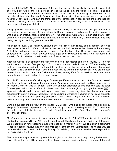up for a total of 300. At the beginning of the session she said her goals for the session were that she would get "wins" and feel more positive about things, that she would feel calmer, and she could handle situations at home. At the conclusion of the session, when her goals were read out to her, she claimed she had made "gains" in all of them. Nine days later she entered a mental hospital. A psychiatrist who saw the transcript of the demonstration session told the board that her behavior obviously indicated she was in a state of mania -- not ecstasy -- and that this would have been apparent to a psychiatrist.

A slightly similar case occurred in England. In March, 1967, Mr. Peter Hordern got up in Parliament to describe the case of one of his constituents, Karen Henslow, a thirty-year-old manic-depressive who had been institutionalized three times.  $\{47\}$  Scientologists were aware of her background. Her contact with Scientology started when she met at a dance an Australian, Murray Youdell, who was taking the highest auditing grade at Saint Hill.

He began to audit Miss Henslow, although she told him of her illness, and in January she was interviewed at Saint Hill. Karen told her mother that she had mentioned her illness to them, saying "I told her all about my illness and I cried. She [probably the Registrar] was sweet and understanding." Later, in May, she was offered a job as a "Progress and Filing Clerk" for about \$18 a week, of which she had to relinquish about \$10 for bed and breakfast.

After two weeks in Scientology she disconnected from her mother and wrote saying, "... I do not want to see you or hear from you again. From now on you don't exist in my life...." The same day the mother received a second letter, with no date, apologizing for the first letter and saying she wanted to "nullify it as a communication," and that it was mailed without her permission. "You are the last person I want to disconnect from" she wrote. Later, among Karen's possessions were four more letters labeling friends and relatives suppressive.

On July 27, two months after she began Scientology, Karen arrived at her mother's house dressed in only a nightgown and raincoat and shoes and "in a completely deranged condition," according to her mother. With her was Mr. Youdell, along with another Scientologist. Mrs. Henslow said the other Scientologist had processed Karen for three hours the previous night to try to get her better. {48} It apparently didn't work. Later that night, Karen went screaming from her house and was subsequently put in a mental institution. The consulting psychiatrist in charge of her case allegedly said that Scientology had "probably precipitated" her collapse.{49} Karen felt she had benefited from Scientology and stated that she wanted to return to it when she left the hospital.

During a subsequent interview on the matter, Mr. Youdell, who had gotten Karen into Scientology allegedly "answered ... questions ... with an unblinking stare and a colleague said Mr. Youdell was `in cycle' and not to be interrupted," and referred inquiries to Mr. Reg. Sharpe, Mr. Hubbard's personal assistant.

Mr. Sharpe, a man in his sixties who wears the badge of a "clear"{50} and is said to work for Hubbard for no pay,{51} said "We tried to help this girl. We did not know she had a mental history. We do not take on for processing anyone who has got a mental history."{52} That such a statement is not true seems obvious not only from this case (although the Scientologists claim that *they* did not know about her illness but that only Murray Youdell did), but also from another letter reported by the *Daily Mail* in England.

This letter was allegedly written by two Scientologists to tell the "success story" of a girl who went to Saint Hill: "At that time Hilary was completely broken down in mind and body; having spent the past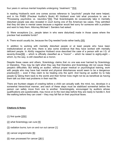four years in various mental hospitals undergoing `treatment.' "{53}

In reading Hubbard's work one comes across reference to "psychotic" people that were helped, and in his PABS (Preclear Auditor's Book) #3 Hubbard even told what procedure to use in "Processing psychotics vs. neurotics."{54} That Scientologists do occasionally take in mentally disturbed people was also revealed in court during one of the American tax cases. They admitted that they did take in mental cases because a registrar would feel sorry for someone with a problem and want to help them. Attorney Michael I. Sanders had asked:

Q: Were exceptions [i.e., people taken in who were disturbed] made in those cases where the preclear had available funds?

A: There would usually be, because the Org needed funds rather badly.{55}

In addition to working with mentally disturbed people or at least people who have been institutionalized at one time, there is also some evidence that they have worked with mentally deficient people. In *Ability* magazine Hubbard once described the case of a person with an I.Q. of seventy-three{56} -- which is officially classified as a "moron" -- which he raised to eighty-eight -which, by the way, is still classified as a moron.

Despite these cases and others, Scientology claims that *no one* was ever harmed by Scientology or Dianetics. They may be right when they say that Dianetics and Scientology did not *cause* these people's difficulties. But letting an auditor, without proper medical or psychological training, work with people who may have had mental and physical disturbances would seem to be a dangerous practice{57} -- even if they claim to be treating only the spirit. And having an auditor try to help people by taking them back to the womb and their former lives might not be as beneficial as having them talk out their real problems in their real life.

There are fourteen stages of crawling before a child can actually walk; the mind, too, develops in a somewhat hierarchical manner, and each of these steps must be stabilized somewhat before the person can safely move from one to another. Scientologists, encouraged by auditors whose qualifications are questionable, may move on to the next step before they are ready to handle it. And like walking before they can crawl -- they may fall flat on their psychical faces.

### **Citations & Notes**

- {1} first quote [255]
- {2} what Scientology can cure [6]
- {3} radiation burns; turn on and run out cancer [1]
- {4} cancer engrammatic [6]
- {5} man processed for cancer [261]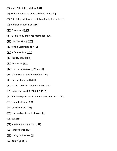- {6} other Scientology claims [254]
- {7} Hubbard quote on dead child and pope [29]
- {8} Scientology claims for radiation; book; dedication [1]
- {9} radiation in past lives [255]
- {10} Dianezene [255]
- {11} Scientology improves marriages [126]
- {12} divorces at org [278]
- {13} wife a Scientologist [142]
- {14} wife is auditor [261]
- {15} frigidity case [158]
- {16} tone scale [261]
- {17} stop being creative [141a, 278]
- {18} clear who couldn't remember [264]
- {19} IQ can't be raised [261]
- {20} IQ increases one pt. for one hour [24]
- {21} raised IQ from 88-212 {83?} [142]
- {22} Hubbard quote on what to tell people about IQ [84]
- {23} same test twice [261]
- {24} practice effect [261]
- {25} Hubbard quote on test twice [21]
- {26} guk [154]
- {27} where were birds from [142]
- {28} Piltdown Man [171]
- {29} curing toothaches [9]
- {30} ears ringing [6]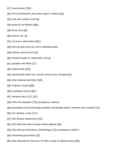- {31} inaccuracies [135]
- {32} Freud {Hubbard?} discussed cases in detail [143]
- {33} man with wisdom tooth [6]
- {34} quote by Ira Wallach [265]
- {35} Soup cans [20]
- {36} axioms, etc. [2]
- {37} not true or self-evident [261]
- {38} don't go past word you don't understand [23]
- {39} defines synonymous [10]
- {40} Hubbard quote on observation [141a]
- $\{41\}$  parallels with Bible  $[11]$
- {42} testimonials [278]
- {43} {testimonial} letter from woman whose body changed [27]
- {44} other {testimonial} letter [125]
- {45} Virginian couple [255]
- {46} Australian woman [261]
- {47} Henslow story [172, 257]
- {48} drills she repeated [173] {ambiguous citation}
- {49} psychiatrist said Scientology probably precipitated attack; interview with Youdell [172]
- {50} (51) Sharpe a clear [171]
- {51} (52) Sharpe statements [172]
- {52} (53) claim they don't accept mental patients [29]
- {53} (50) other girl disturbed in Scientology [172] {ambiguous citation}
- {54} processing psychotics [18]
- {55} take disturbed for feel sorry for them; quote on taking money [255]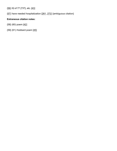{56} IQ of 77 {73?}, etc. [43]

{57} have needed hospitalization [261, 272] {ambiguous citation}

## **Extraneous citation notes:**

{58} (60) poem [42]

{59} (61) Hubbard poem [45]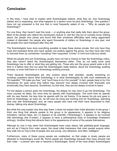# **Conclusion**

In this book, I have tried to explain what Scientologists believe, what they do, how Scientology started and is expanding, and what happens to a person once he joins Scientology. One question I have not yet answered is the one that is most frequently asked of me -- "Why do people join Scientology?"

For one thing, they haven't read this book -- or anything else that really tells them about the group. Most of the people who attend the introductory lecture or visit the Org out of curiosity know nothing about: the people who joined and found that their emotional difficulties were being aggravated instead of alleviated; the people who spent thousands of dollars on Scientology in one year; and the people who were harassed after they left.

The Scientologists have done everything possible to keep these stories private. Not only have they sued and harassed those who have spoken out publicly against the group, but they have also tried to discredit them by sometimes "revealing" their supposed "crimes" in lurid and ludicrous detail.

While the people who join Scientology usually have not had a chance to hear the Scientology critics, they also haven't heard the *Scientologists* themselves either. They do not really know what Scientology has to offer or what they are getting into. Those who join the group spend quite a bit of time in it before they find out what the Scientologists really believe, about the Scientology auditing process, or even that there *is* a Scientology auditing process.

That's because Scientologists are very evasive about their activities, usually answering (or avoiding) questions about what Scientology is or what Scientologists do with such statements as "it's beautiful," "it'll make you free," and "you'll have to try it for yourself." In fact, people have to try it for themselves for quite some time before they discover how deeply involved both financially and emotionally they have become. Sometimes, by that time, they are too deeply involved to leave.

For the deeper a person goes into Scientology, the deeper he may *have* to go into Scientology. The more courses he takes, the more time he spends with Scientologists. The more time he spends with his new friends, the less time he spends with his old friends. If he leaves his job and goes to work for Scientology, as many do, he will soon be living and working only for Scientology, spending time only with Scientologists, and, as many people who have met them have discovered to their dismay, talking only about Scientology.

But while this may explain why they stay there, it does not explain their initial attraction to the group. I think one thing that attracts people to the group is its appearance. It appears to be religious (ministers, clerical robes, etc.) It appears to be scientific ("Scientology"). It appears to be involved with technology (the E-meter). It appears to have a philosophical body of knowledge (Hubbard's writings). Another thing that attracts them is the appearance of some of the people themselves.

Although by now it may seem that Scientologists have crazy stares, talk gobbledy-gook language, and act as if they're from outer space, the usual initial impression that most people acquire when they walk into an Org is that of people who are young, very attractive, and often, intelligent.

Furthermore, many of these young people are unattached, so that single or lonely people are attracted to Scientology's social life. Some people join Scientology because they have *already* met their mate -- a person who was or became a Scientologist. Some of the most ardent Scientologists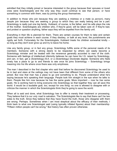admitted that they initially joined or became interested in the group because their spouses or loved ones were Scientologists and the only way they could continue to see that person, or have something in common with them, was by joining the group themselves.

In addition to those who join because they are seeking a mistress or a mate (a *person*), many people join because they are seeking a *group* to which they can really belong and be a part. Scientology is really just one big family. Hubbard, of course, is the father, and his wife plays the role of the mother. Scientologists are children who, if they're good, will be taken care of; if they're bad, and protest or question anything, father says they will be expelled from the family unit.

Everything in their life is planned for them. There are certain courses for them to take and certain goals they must achieve in each course. If they disobey, or balk at any level, the punishments are rigidly set forth. Fortunately for the Scientologists, Hubbard treats his children somewhat kindly - so long as they don't ever grow up and try to leave his home.

Like any family group, or in fact any group, Scientology fulfills some of the personal needs of its members. Someone with a strong desire to be respected by others can easily become a Scientology minister and be treated with the reverence generally accorded to men of the cloth. Someone with feelings of intellectual inferiority believes he can have his I.Q. raised by Scientology, and can, in fact, get a (Scientology) B.A. or a (Scientology) Doctorate degree. Someone who feels lonely has a place to go to and friends to see once he joins Scientology -- Scientology brings meaning into his life where once there was only emptiness.

The man I described in the first chapter who said that before he discovered Scientology he used to lie in bed and stare at the ceilings may not have been that different from some of the others who joined. But now that man has a place to go and something to do. People understand what he's saying because he's speaking their language. People look him straight in the eye when he talks to them. People like him now because he has the same goals. More important -- now he *has* some goals. He is working hard to bring everyone into Scientology so that together they can all save this world. It would be a laudable goal, too, except for one thing: no one is allowed to disagree with or criticize the manner in which the Scientologists think they're going to save the world.

When all is said and done, what Scientology has to offer is merely their treatment or processing. They believe that it is our *only* road to salvation. The Scientologists like to say that there can't be two sides to the truth. Since they believe that *they* have found the truth, those who disagree with them are wrong. Perhaps. Sometimes when I am most skeptical about the efficacy of their methods, I think back to what one Scientologist said (using typically inflated figures) about their membership: "Fifteen million people can't be wrong." But history has often proven otherwise.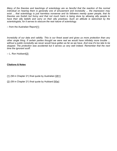*Many of the theories and teachings of scientology are so fanciful that the reaction of the normal individual on hearing them is generally one of amusement and incredulity ... the impression may exist ... that scientology is just harmless nonsense and its followers merely queer people, that its theories are foolish but funny and that not much harm is being done by allowing silly people to*  have their silly beliefs and carry on their silly practices. Such an attitude is welcomed by the *scientologists, for it serves to obscure the real nature of scientology.* 

-- from the Australian Report{1}

*Incredulity of our data and validity. This is our finest asset and gives us more protection than any other single thing. If certain parties thought we were real we would have infinitely more trouble ...*  without a public incredulity we never would have gotten as far as we have. And now it's too late to be *stopped. The protection was accidental but it serves us very well indeed. Remember that the next time the ignorant scoff.*

-- L. Ron Hubbard{2}

### **Citations & Notes**

{1} (58 in Chapter 21) final quote by Australian [261]

{2} (59 in Chapter 21) final quote by Hubbard [93a]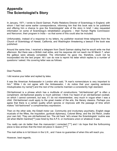# **Appendix The Scientologist's Story**

In January, 1971, I wrote to David Gaiman, Public Relations Director of Scientology in England, with whom I had had some earlier correspondence, informing him that this book was to be published and offering him a chance to give the Scientologists' side of the story in brief. I also requested information on some of Scientology's rehabilitation programs -- their Human Rights Commission and Narconon, their program in India -- so that some of this could also be included.

Unfortunately, instead of a response to my letters, my publisher received three telegrams from the Church of Scientology of Hawaii, California, and Washington threatening a lawsuit if the book was published.

Around the same time, I received a telegram from David Gaiman stating that he would write me that afternoon. But there was a British mail strike, and his response did not reach me till March 7, when the galleys were already completed. The information he gave me, therefore, could not be incorporated into the text proper. All I can do now is reprint his letter which replies to a number of questions I asked. His covering letter was as follows:

Dear Paulette,

I did receive your letter and replied by telex.

It was the American Ambassador in London who said, "A man's nomenclature is very important to him." While I do not agree with the Ambassador, I do notice that your opening sentence misduplicates my name[\*] and the rest of the contents maintain a consistently high standard.

Old-fashioned is a phrase which has a multitude of constructions; "old-fashioned girl" is often a compliment; old-fashioned jewelry is much admired; I think I've heard of an old-fashioned cocktail, on which I cannot comment, but was, if I do not misremember, very much in vogue when I was a child. Old-fashioned could apply to the great master of the arts, the literary classics. Perhaps you agree that there is a certain quality which ignores or improves with the passage of time which makes "old-fashioned" a complimentary expression.

Then on the other side, the Edsell motor car, Community and involuntary psychiatry, English stage musicals of the fifties, the Inquisition, gunboat diplomacy, Colonel Blimp, and the 3rd Reich, (make your own list). They are old-fashioned too. The old hack `let's smear the Scientologists' routine was old when Martin Gardner[\*\*] was hired by the A.P.A. or morticians union or whatever it was.

You really can do better than the manuscript I corrected [\*\*\*] and I do hope that the forthcoming piece is less archaic that the tired old piece in *Queen*.[\*\*\*\*]

The mail strike is in full bloom in the U.K., and I have no guarantee of when this will reach you.

However, best regards,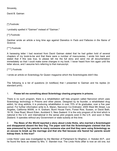Sincerely,

David B. Gaiman

[\*] *Footnote:*

I probably spelled it "Gaimen" instead of "Gaiman."

[\*\*] *Footnote:*

Gardner wrote an article a long time ago against Dianetics in *Fads and Fallacies in the Name of Science*.

[\*\*\*] *Footnote:*

A harassing letter I had received from David Gaiman stated that he had gotten hold of several chapters of my book-to-be and that there were a number of inaccuracies. I wrote him back and stated that if this was true, to please tell me the full story and send me all documentation immediately so that I could make some changes in my book. I never heard from him again until the letter above, and I assume he's referring to that manuscript.

[\*\*\*\*] *Footnote:*

I wrote an article on Scientology for *Queen* magazine which the Scientologists didn't like.

The following is a list of questions (in boldface) that I presented to Gaiman and his replies (in standard print).

### 1. **Please tell me something about Scientology clearing programs in prisons.**

There is no such program, there is a rehabilitation self help program called Narconon which uses Scientology technology in Prisons and other places. Designed by its founder, a rehabilitated drug addict, for drug addicts, it is producing rehabilitation in over 70% of its graduates, over a five year period. For further information write to A. Maren, Narconon Co-Ordinator, 2005 West 9th Street, Los Angeles, California 90006, or A. Graham, Burnt House Farm, Forest Row, Sussex, or David Bath, 16-18, View Road, Mount Eden, Auckland 3, New Zealand. It is the only program of its kind which is national in the U.S. and international in the sense pilot projects exist in the U.K. and soon in New Zealand. It operates without any Government or state subsidy at this time.

2. **The** *News of the World* **reported a story about Linda Hicks, who married a Scientologist and disappeared aboard the Sea Org. The paper said that the Scientologists claimed that she was pressured by her parents to marry someone else and that they were using Scientology as an excuse to break up the marriage and that she fled because she feared her parents would kidnap them. Is this true?**

Linda Hicks' case was investigated by the Member of Parliament for Brighton, d. Hobden M.P., and he found the facts as related by Mrs. V. Standen true. The Linda Hicks affair is now an old one, but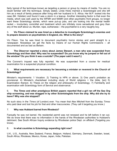fairly typical of the technique known as targeting a person or group by means of media. You are no doubt familiar with the technique. Simply stated, Linda Hicks married a Scientologist and she left him as a result of family pressure after living with her husband in S. Africa. Her M.P. looked into the case (Mr. Hobden) and found it was a storm in a teacup. Another interesting factor is that even the media, which was well used by the WFMH and NAMH and other psychiatric front groups, no longer want these Scientology stories, which were put-up jobs, and are looking into the mental health racket -- involuntary committal and treatment which are infinitely more sensational and gory than any of the stuff about us. Murder, rape, euthanasia -- the psychiatrist is a very naughty boy.

#### 3. **Vic Filson claimed he was hired as a detective to investigate Scientology's enemies and to prepare dossiers on psychiatrists in England, etc. What is the story?**

Vic Filson. Yes he was hired to document psychiatric horror stories and went straight to a newspaper. Nowadays we get the facts by means of our Human Rights Commissions -- all documented and as bad as Belsen.

#### 4. **The** *Observer* **reported a story about James Stewart, a man who was suspended from Scientology and then died. Why was he suspended? Do you know why he jumped or fell out of the window? Do you think it was a suicide? (The paper said it wasn't.)**

The Coroner's inquest was fully reported. He was suspended from a course for medical examination for a suspected physical condition.

#### 5. **What requirements are necessary for becoming a minister or reverend in the Church of Scientology?**

Minister's requirements: 1 Vocation. 2) Training to HPA or above. 3) One year's probation as provisional. 4) Minister's checksheet including study of World religions + the bible. [sic] 5) Examination thereon. 6) Thesis on the religion and philosophy of Scientology. 7) Familiarity and examination with Scientology form of Service and observance.

#### 6. **The** *Times* **and other prestigious British papers reported that a girl ran off the Sea Org ship screaming, and was dragged in by other Scientologists from the ship. Why did she try to leave? Why was she stopped?**

No such story in the *Times* (of London) ever. You mean that Alex Mitchell from the Sunday *Times* who paid dear and lost his job for that and other inaccuracies. (They call it targeting you know.)

#### 7. **Why was Hubbard barred from Rhodesia?**

Factually he was not barred. His residential permit was not renewed and he left before it ran out. We do know that there was no information in the hands of the Rhodesian authorities to Hubbard's detriment. See South African Inquiry evidence by Rhodesian police Dept. on affidavit (Targeting you know).

#### 8. **In what countries is Scientology expanding right now?**

U.K., U.S., Australia, New Zealand, France, Belgium, Holland, Germany, Denmark, Sweden, Israel, South Africa, Rhodesia, Mexico, Korea, Japan, India, Pakistan.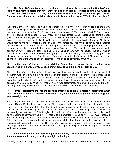9. **The** *Rand Daily Mail* **reprinted a portion of the testimony being given at the South African Inquiry. The witness stated that Mr. Parkhouse had been told by Hubbard to arm 5,000 Africans to seize control of South Africa. Do you think the witness was wrong? Do you think perhaps Mr. Parkhouse was fantasizing (or lying) about what his instructions were? What is the story here?**

Re *Rand Daily Mail* report. The nameless witness who told the story of Parkhouse and the 5,000 spear brandishing Bantu. Parkhouse didn't lie or fantasize. The anonymous witness did. Paulette my dear, have you seen the S. African internal security forces? The thought of 5,000 Bantu taking over the country is analogous to 500 Arabs taking over Israel. Good headlines but terrible odds. (Documents enclosed.) [Mr. Parkhouse's testimony on the situation was as follows: "... Hubbard jokingly remarked that should South Africa ever be attacked by black hordes from the North, he would require me to organise an Impi of Zulus and personally lead them, spear in hand, against the enemies of South Africa, across the Limpopo. And I at that time, also jokingly pleaded with him to rather let me be a general who planned things from a desk. The joke in this matter was not in connection with Hubbard's desire to help South Africa in any way he could. The joke was in connection with what was well-known among my acquaintances, of my reluctance to engage in any physical exertion whatsoever. And the idea of me charging in front of a crowd of Africans against the enemies of the State was so out of character for me as to be extremely amusing...."]

#### 10. **In the case of Karen Henslow, did the Scientologists know she had had nervous breakdowns or did only Murray Youdell know? Why do you think she got sick again?**

The Henslow affair has finally been blown. We now have documentation which clearly shows that a) Karen was driven frantic by her mother on that fateful night, b) Her mother was prepared to commit her daughter for a year to prevent her from marrying Youdell, c) There is no evidence, according to the Ministry of Health, to show her breakdown physical or mental was caused by her contact with Scientology. When her mental history was discovered, Karen was not permitted to work or study at St. Hill, a month before her committal. Youdell did apparently know her history.

#### 11. **In your last letter to me, you mentioned something about a Scientology charity program in India. Would you tell me a little bit more about that, and also about any other charity programs you have right now.**

Re Charity works: See a) India enclosure b) Apartments in Parkland c) Citizens Commission for Human Rights. [As for these documents a) There was no India enclosure. b) An enclosure from the East Grinstead Observer stated that the Scientologists hoped to build and probably finance (at a cost of \$10 million dollars) an estate there for the benefit of the local people which would not necessarily be restricted to Scientologists, in the hopes of solving the local housing problem and as "a gesture of community spirit.") c) There was a pamphlet included on the Victor Gyory story, a Hungarian refugee who was brought to a mental hospital in Philadelphia after slashing his wrists. After other forms of treatment failed, he was given shock treatment, and one of the hospital aides, a Scientologist, reported it to their Citizens Commission on Human Rights. The patient was discharged (under rather strange circumstances) through the help of the Scientology commission and their attorneys.]

#### 12. **How much money does Scientology gross weekly? George Malko wrote \$1.4 million in America weekly but I thought this figure might be too high.**

No way of obtaining figures as Orgs are autonomous, and missions self-funding in their National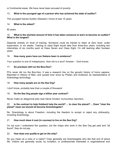or Continental areas. We have never been accused of poverty.

#### 13. **What is the youngest age of a person who has achieved the state of auditor?**

The youngest trained Auditor (Dianetic) I know of was 15 years.

#### 14. **What is the oldest?**

82 years.

#### 15. **What is the shortest amount of time it has taken someone to learn to become an auditor? What is the longest?**

Depends entirely on level of training. Someone could be trained to listen at Zero level, under supervision, in six weeks. Training to class Eight would take from three-four years, including two internships of six months each at Class Seven and Class Eight. I'm still learning after fourteen years.

#### 16. **How many years have our thetans been in existence?**

Your question is one of metaphysics. How old is a soul? Answer -- God knows.

#### 17. **Do preclears still run the Boo-Hoo?**

PCs never did run the Boo-Hoo. It was a research line on the *genetic* history of homo sapiens. Reported in History of Man, and quoted ever since by Phelan and Anderson as representative of Scientology technology.

#### 18. **How many people are on the Sea Org?**

I don't know, probably less than a couple of thousand.

#### 19. **Do the Sea Org people sign a billion year contract?**

Never make an allegorical joke near literal minded, humourless reporters.

#### 20. **Is the contract to help Hubbard help the world? ... to clear the planet? ... Does "clear the planet" mean we should all become Scientologists?**

No. Scientology is about Freedom, including the freedom to accept or reject any philosophy, including Scientology.

#### 21. **How much does it cost (in courses) to live on the Sea Org?**

I'm not sure I understand the question, but the chaps who work in the Sea Org get paid and "all found"; they do not pay.

#### 22. **How does one qualify to get on the ship?**

Do you mean as a crew or a visitor? Crew generally are Scientologists who like that sort of active life. Visitors are generally social, by invitation, or professionals interested in organisational and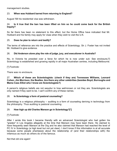management studies.

### 23. **When was Hubbard barred from returning to England?**

August '68 his residential visa was withdrawn.

#### 24. **Is it true that the ban has been lifted on him so he could come back for the British Inquiry?**

So far there has been no statement to this effect, but the Home Office have indicated that Mr. Hubbard and his family may apply for visas when they wish to visit the U.K.

### 25. **Does he plan to return and testify?**

The terms of reference are into the practice and effects of Scientology. Sir J. Foster has not invited Mr. Hubbard to give evidence.

### 26. **Did Anderson alone play the role of judge, jury, and executioner in Australia?**

No, in Victoria he presided over a farce for which he is now under suit. See enclosure.[\*] Scientology is established and growing rapidly in all major Australian centres, including Melbourne.

[\*] *Footnote:*

There was no enclosure.

#### 27. **Which of these are Scientologists: (check if they are) Tennessee Williams, Leonard Cohen, Jim Morrison, the Beatles. Are there any other celebrities (besides Boyd, Burroughs and Mama Cass Elliot who I know are Scientologists?)**

A person's religious beliefs are not sequitur to how well-known or not they are. Scientologists are only named if they want to be. I can't confirm any of these names.

#### 28. **Is Scientology a form of pastoral counseling?**

Scientology is a religious philosophy -- auditing is a form of counseling deriving in technology from the philosophy. Thus auditing is pastoral counseling.

### 29. **How high up did Charles Manson go in Scientology?[\*]**

#### [\*] *Footnote:*

After I wrote this book I became friendly with an advanced Scientologist who had gotten his "grades" in Los Angeles allegedly at the time that Manson may have been there. He claimed to have frequently seen Manson at the Org and he also claimed that Manson had reached the level of PC IV in Scientology (a high level but not yet clear). I don't know if this information is at all accurate because some people phantasize about the relationship of (and their relationships with) the infamous as much as others do of the famous.

Not that old one again!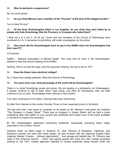#### 30. **Was he declared a suppressive?**

No, he never joined.

### 31. **Do you think Manson was a member of the "Process" at the time of the alleged murder?**

I've no idea! Do you?

### 32. **Of the three Scientologists killed in Los Angeles, do you think they were killed by a) people who hate Scientology (like the Process), or b) people who hated them?**

I think not a or b but C. As far as I know only two members of the Church of Scientology were murdered in L.A. A senseless brutal killing, still under investigation by the police.

### 33. **How much did the Scientologists have to pay to the NAMH when the Scientologists lost their case?[\*]**

[\*] *Footnote:*

NAMH -- National Association of Mental Health. This case had its roots in the Scientologists' attempt to stop the annual meeting of the NAMH.

Nothing. We've not lost the case, only the injunction hearing, the trial is due in 1971.

### 34. **Does the thetan have electrical voltage?**

No, it does have energy potential. Read the Axioms of Scientology.

#### 35. **Ten years from now, what percentage of the world will be Scientologists?**

There is no doubt Scientology grows and grows. We are dealing in a philosophy not Volkswagens. If people continue to talk to each other, read books, and think for themselves, then we shall continue to do our jobs. Percentages mean nothing in that context.

Two other enclosures in the letter I received also bear mentioning:

A) letter from Gaiman to the London Sunday *Times* re their supposed prison in Scotland:

The last time that I had cause to complain on an article by Mr. Mitchell it was given the headline "The Dungeon in Queen Street." There was no dungeon in Queen Street, and we held a press conference after that edition of your journal was published and invited most of the press available in Scotland to inspect the premises.

B) The Scientologists' statement concerning Hubbards' supposedly practicing black magic (reprinted in the London *Times*):

Hubbard broke up black magic in America: Dr. Jack Parsons of Pasadena, California, was America's number one solid fuel rocket expert, he was involved with the infamous English black magician Aleister Crowley ... [whose organization] ... had savage and bestial rites. Dr. Parsons was head of the American branch ... which had paying guests who were the USA nuclear physicists working at Cal Tech. Certain agencies objected to nuclear physicists being housed under the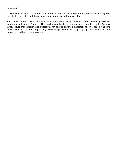same roof.

L. Ron Hubbard was ... sent in to handle the situation. He went to live at the house and investigated the black magic rites and the general situation and found them very bad.

Parsons wrote to Crowley in England about Hubbard. Crowley, "The Beast 666," evidently detected an enemy and warned Parsons. This is all proven by the correspondence unearthed by the Sunday *Times*. Hubbard's mission was successful far beyond anyone's expectations. The house was torn down. Hubbard rescued a girl they were using. The black magic group was dispersed and destroyed and has never recovered.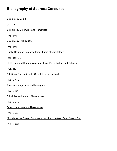# **Bibliography of Sources Consulted**

Scientology Books

[1] .. [12]

Scientology Brochures and Pamphlets

[13] .. [26]

Scientology Publications

[27] .. [65]

Public Relations Releases from Church of Scientology

[61a]; [66] .. [77]

HCO (Hubbard Communications Office) Policy Letters and Bulletins

[78] .. [104]

Additional Publications by Scientology or Hubbard

[105] .. [132]

American Magazines and Newspapers

[133] .. 161]

British Magazines and Newspapers

[162] .. [242]

Other Magazines and Newspapers

[243] .. [252]

Miscellaneous Books, Documents, Inquiries, Letters, Court Cases, Etc.

[253] .. [286]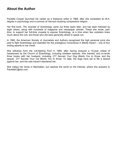# **About the Author**

Paulette Cooper launched her career as a freelance writer in 1968, after she completed an M.A. degree in psychology and a summer at Harvard studying comparative religion.

Her first book, *The Scandal of Scientology* came out three years later, and has been followed by eight others, along with hundreds of magazine and newspaper articles. These she wrote, parttime, to support her full-time crusade to expose Scientology, at a time when few outsiders knew much about the cult, and those who did were generally afraid to speak out.

In 1982, the American Society of Journalists and Authors recognized the high personal price she paid to fight Scientology and awarded her the prestigious Conscience in Media Award -- one of four writing awards to her credit.

She withdrew from the cult-fighting front in 1985, after having endured a 15-year ordeal of harassment by the Church of Scientology, including nineteen lawsuits. She married, and co-wrote three books with her husband, including *277 Secrets Your Dog Wants You to Know*, and the sequel, *277 Secrets Your Cat Wants You to Know*. To date, the dogs have yet to file a lawsuit against her, and the cats haven't slandered her.

She makes her home in Manhattan, but reaches the world on the Internet, where she answers to PauletteC@aol.com.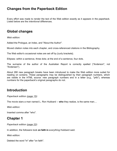# **Changes from the Paperback Edition**

Every effort was made to render the text of the Web edition exactly as it appears in the paperback. Listed below are the *intentional* differences.

# **Global changes**

*Web edition:*

Added the Prologue, an Index, and "About the Author".

Moved citation notes into each chapter, and cross-referenced citations in the Bibliography.

The Web editor's occasional notes are set off by {curly brackets}.

Ellipses: within a sentence, three dots; at the end of a sentence, four dots.

The surname of the author of the Australian Report is correctly spelled ("Anderson", not "Andersen").

About 280 new paragraph breaks have been introduced to make the Web edition more suited for reading on screens. These paragraphs may be distinguished by their paragraph numbers, which are visible in the HTML source: new paragraph numbers end in a letter (e.g., "p4b"), whereas numbers for the paperback's original paragraphs do not.

# **Introduction**

*Paperback edition (page 15):*

The movie stars a man named L. Ron Hubbard -- **who** they realize, is the same man....

*Web edition:*

Inserted comma after "who".

# **Chapter 1**

*Paperback edition (page 22):*

In addition, the followers took **on faith in** *everything* Hubbard said.

*Web edition:*

Deleted the word "in" after "on faith".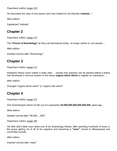*Paperback edition (page 23):*

He discussed the case of one person who was treated by the Dianetic **institute**...."

*Web edition:*

Capitalized "institute".

# **Chapter 2**

*Paperback edition (page 27):*

The **"Church of Scientology"** as they call themselves today, no longer claims to cure people....

*Web edition:*

Inserted comma after "Scientology".

# **Chapter 3**

*Paperback edition (page 31):*

Hubbard's theory never makes it really clear ... exactly how engrams can be planted before a foetus had developed a nervous system or the sense **organs which which** to register an impression, ....

*Web edition:*

Changed "organs which which" to "organs with which".

# **Chapter 4**

*Paperback edition (page 37):*

One Scientologist claims he fell out of a spaceship **55,000,000,000,000,000,000,** years ago ....

*Web edition:*

Deleted comma after "55,000,...,000".

*Paperback edition (page 39):*

His faith didn't falter even when one of his Scientology friends, after spending hundreds of hours in the group getting rid of all of his engrams and becoming a **"clear"** moved to Albuquerque and committed suicide.

*Web edition:*

Inserted comma after "clear".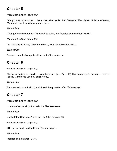# **Chapter 5**

*Paperback edition (page 44):*

One girl was approached ... by a man who handed her *Dianetics; The Modern Science of Mental Health* told her it would change her life, ....

*Web edition:*

Changed semicolon after "*Dianetics*" to colon, and inserted comma after "Health".

*Paperback edition (page 46):*

**"In** "Casualty Contact," the third method, Hubbard recommended....

*Web edition:*

Deleted open double-quote at the start of the sentence.

# **Chapter 6**

*Paperback edition (page 50):*

The following is a composite ... over the years: 1) .... 2) .... 10) That he agrees to "release ... from all liability ... methods used by **Scientology.**

*Web edition:*

Enumerated as vertical list, and closed the quotation after "Scientology."

# **Chapter 7**

*Paperback edition (page 51):*

... a trio of secret ships that sails the **Mediteranean**.

*Web edition:*

Spelled "Mediterranean" with two Rs. (also on page 53)

*Paperback edition (page 51):*

**LRH** or Hubbard, has the title of "Commodore"....

*Web edition:*

Inserted comma after "LRH".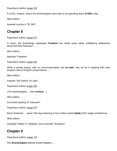*Paperback edition (page 52):*

In Corfu, Greece, where the Scientologists were said to be spending about **\$1500** a day....

*Web edition:*

Inserted comma in "\$1,500".

# **Chapter 8**

*Paperback edition (page 61):*

In return, the Scientology newspaper **Freedom** has made some rather unflattering statements about Kenneth Robinson....

*Web edition:*

Italicized "Freedom".

*Paperback edition (page 63):*

While a private inquiry, with no cross-examination and **on oath**, may not be in keeping with most people's idea of English jurisprudence, ....

*Web edition:*

Inserted "not" before "on oath".

*Paperback edition (page 65):*

(The Scientologists ... their **markee**....)

*Web edition:*

Corrected spelling of "marquee".

*Paperback edition (page 67):*

Kevin Andersen ... spent 160 days listening to four million words **totally** 8,921 pages of testimony....

*Web edition:*

Changed "totally" to "totalling"; and corrected "Anderson".

# **Chapter 9**

*Paperback edition (page 70):*

The **Scientologists** attitude toward litigation....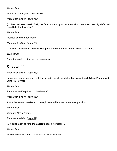*Web edition:*

Made "Scientologists'" possessive.

*Paperback edition (page 71):*

(... they had hired Melvin Belli, the famous flamboyant attorney who once unsuccessfully defended Jack **Ruby** for their case.)

*Web edition:*

Inserted comma after "Ruby".

*Paperback edition (page 78):*

... until he "handled" **in other words, persuaded** the errant person to make amends,....

*Web edition:*

Parenthesized "in other words, persuaded".

# **Chapter 11**

*Paperback edition (page 85):*

quote from someone who took the security check **reprinted by Howard and Arlene Eisenberg in June '69** *Parents*

*Web edition:*

Parenthesized "reprinted ... '69 *Parents*".

*Paperback edition (page 88):*

As for the sexual questions, ... conspicuous in **its** absence are any questions....

*Web edition:*

Changed "its" to "their".

*Paperback edition (page 92):*

... in celebration of John **McMaster's** becoming "clear"....

*Web edition:*

Moved the apostrophe in "McMaster's" to "McMasters'".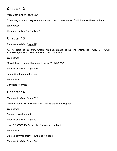# **Chapter 12**

*Paperback edition (page 95):*

Scientologists must obey an enormous number of rules, some of which are **outlines** for them....

*Web edition:*

Changed "outlines" to "outlined".

# **Chapter 13**

*Paperback edition (page 99):*

"So he tears up his shirt, wrecks his bed, breaks up his fire engine. It's NONE OF YOUR **BUSINESS,** he wrote. He also said in *Child Dianetics*:...."

*Web edition:*

Moved the closing double-quote, to follow "BUSINESS,".

*Paperback edition (page 100):*

an auditing **tecnique** for kids.

*Web edition:*

Corrected "technique".

# **Chapter 14**

*Paperback edition (page 107):*

from an interview with Hubbard for *"The Saturday Evening Post"*

*Web edition:*

Deleted quotation marks.

*Paperback edition (page 108):*

... AND FLOG **THEM,**"), but also films about **Hubbard,** ....

*Web edition:*

Deleted commas after "THEM" and "Hubbard".

*Paperback edition (page 113):*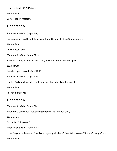... and seized 100 **E-Meters**....

*Web edition:*

Lowercased "-meters".

# **Chapter 15**

*Paperback edition (page 116):*

For example, **Two** Scientologists started a School of Stage Confidence....

*Web edition:*

Lowercased "two".

```
Paperback edition (page 117):
```
**But** even if they do want to take over," said one former Scientologist, ....

*Web edition:*

Inserted open quote before "But".

*Paperback edition (page 119):*

But the **Daily Mail** reported that Hubbard allegedly alienated people....

*Web edition:*

Italicized "Daily Mail".

# **Chapter 16**

*Paperback edition (page 124):*

Hubbard is convinced, actually **obssessed** with the delusion,....

*Web edition:*

Corrected "obsessed".

*Paperback edition (page 125):*

... as "psychoracketeers," "insidious psychopoliticians," "**mental con men**" "frauds," "pimps," etc.,.... *Web edition:*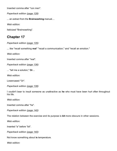Inserted comma after "con men".

*Paperback edition (page 128):*

... an extract from the **Brainwashing** manual....

*Web edition:*

Italicized "Brainwashing".

# **Chapter 17**

*Paperback edition (page 135):*

... like "recall something **real**" "recall a communication," and "recall an emotion."

*Web edition:*

Inserted comma after "real".

*Paperback edition (page 136):*

... "tell me a solution," **Or**....

*Web edition:*

Lowercased "Or".

*Paperback edition (page 138):*

I couldn't bear to insult someone as unattractive as **he** who must have been hurt often throughout his life.

#### *Web edition:*

Inserted comma after "he".

*Paperback edition (page 140):*

The relation between the exercise and its purpose is **bit** more obscure in other sessions.

*Web edition:*

Inserted "a" before "bit".

*Paperback edition (page 140):*

Not know something about **is** temperature.

*Web edition:*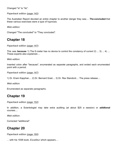Changed "is" to "its".

*Paperback edition (page 142):*

The Australian Report devoted an entire chapter to another danger they saw.... **The concluded** that these various exercises were a type of hypnosis.

*Web edition:*

Changed "The concluded" to "They concluded".

# **Chapter 18**

*Paperback edition (page 147):*

This was **because** 1) The E-meter has no device to control the constancy of current 2) ... 3) ... 4) .... These experts also explained....

*Web edition:*

Inserted colon after "because", enumerated as separate paragraphs, and ended each enumerated point with a period.

*Paperback edition (page 147):*

1) Dr. Erwin Kapphan.... 2) Dr. Bernard Grad.... 3) Dr. Rex Standord.... The press release....

*Web edition:*

Enumerated as separate paragraphs.

# **Chapter 19**

*Paperback edition (page 152):*

In addition, a Scientologist may take extra auditing (at about \$25 a session) or **adidtional** courses....

*Web edition:*

Corrected "additional".

# **Chapter 20**

*Paperback edition (page 160):*

... with his 1938 book, *Excalibur* which appears....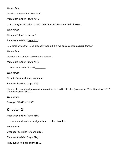*Web edition:*

Inserted comma after "Excalibur".

*Paperback edition (page 161):*

... a cursory examination of Hubbard's other stories **show** no indication....

*Web edition:*

Changed "show" to "shows".

*Paperback edition (page 161):*

... Mitchell wrote that ... he allegedly "worked" his two subjects into a **sexual** frenzy."

*Web edition:*

Inserted open double-quote before "sexual".

*Paperback edition (page 164):*

... Hubbard married Sara **N\_\_\_\_\_\_\_\_** ....

*Web edition:*

Filled in Sara Northrup's last name.

*Paperback edition (page 165):*

He has also rewritten the calendar to read "A.D. 1, A.D. 10," etc., (to stand for "After Dianetics 1951," "After Dianetics **1961**")....

*Web edition:*

Changed "1961" to "1960".

# **Chapter 21**

*Paperback edition (page 169):*

... cure such ailments as astigmatism, ... colds, **dermitis**, ....

*Web edition:*

Changed "dermitis" to "dermatitis".

*Paperback edition (page 170):*

They even sold a pill, **Dianeze**, ....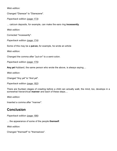*Web edition:*

Changed "Dianeze" to "Dianezene".

*Paperback edition (page 173):*

... calcium deposits, for example, can make the ears ring **incessently**.

*Web edition:*

Corrected "incessantly".

*Paperback edition (page 174):*

Some of this may be a **put-on,** for example, he wrote an article

*Web edition:*

Changed the comma after "put-on" to a semi-colon.

*Paperback edition (page 175):*

**Any yet** Hubbard, the same person who wrote the above, is always saying....

*Web edition:*

Changed "Any yet" to "And yet".

*Paperback edition (page 182):*

There are fourteen stages of crawling before a child can actually walk; the mind, too, develops in a somewhat hierarchical **manner** and each of these steps....

*Web edition:*

Inserted a comma after "manner".

# **Conclusion**

*Paperback edition (page 186):*

... the appearance of some of the people **themself**.

*Web edition:*

Changed "themself" to "themselves".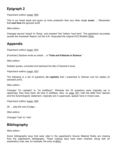# **Epigraph 2**

*Paperback edition (page 189):*

This is our finest asset and gives us more protection than any other single **asset**. ... Remember that **next time** the ignorant scoff.

*Web edition:*

Changed second "asset" to "thing", and inserted "the" before "next time". The paperback accurately quoted the Australian Report; but the A.R. misquoted the original HCO Bulletin [93a].

# **Appendix**

*Paperback edition (page 192):*

[Footnote:] Gardner wrote an article ... in "**Fads and Fallacies in Science**."

*Web edition:*

Deleted quotes; corrected and italicized the title of Gardner's book.

*Paperback edition (page 192):*

The following is a list of questions **(in capitals)** that I presented to Gaiman and his replies (in standard print).

*Web edition:*

Changed "(in capitals)" to "(in boldface)". Whereas the 35 questions were originally set in uppercase, they have been set here in boldface. Also, on page 201, both the letter from Gaiman and the Scientologists' statement, originally set in uppercase, appear here in mixed case.

*Paperback edition (page 199):*

26. ... play the rule of judge....

*Web edition:*

Changed "rule" to "role".

# **Bibliography**

*Web edition:*

Some bibliographic keys that were cited in the paperback's Source Material Notes are missing from the paperback's bibliography. These missing keys have been inserted, along with an explanatory note; see, for example, the entry at [65a].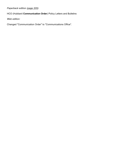*Paperback edition (page 205):*

HCO (Hubbard **Communication Order**) Policy Letters and Bulletins

*Web edition:*

Changed "Communication Order" to "Communications Office".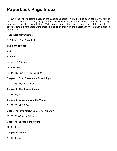# **Paperback Page Index**

Follow these links to locate pages in the paperback edition. A marker has been set into the text of the Web edition at the beginning of each paperback page. If the precise location of a page boundary is required, look in the HTML source, where the page markers are plainly visible. In cases where a hyphenated word crosses a page boundary in the paperback, the marker is placed *after* the word.

### **Paperback Cover Notes**

 $1, 2$  (blank),  $3, 4, 5, 6$  (blank)

### **Table of Contents**

7, 8

### **Preface**

9, 10, 11, 12 (blank)

### **Introduction**

<u>13, 14, 15, 16, 17, 18, 19,</u> 20 (blank)

### **Chapter 1: From Dianetics to Scientology**

21, 22, 23, 24, 25, 26 (blank)

### **Chapter 2: The Confessionals**

27, 28, 29, 30

### **Chapter 3: Life and Sex in the Womb**

31, 32, 33, 34, 35, 36

# **Chapter 4: Have You Lived Before This Life?**

37, 38, 39, 40, 41, 42 (blank)

### **Chapter 5: Spreading the Word**

43, 44, 45, 46

**Chapter 6: The Org**

47, 48, 49, 50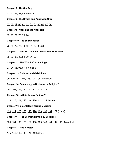### **Chapter 7: The Sea Org**

51, 52, 53, 54, 55, 56 (blank)

### **Chapter 8: The British and Australian Orgs**

57, 58, 59, 60, 61, 62, 63, 64, 65, 66, 67, 68

### **Chapter 9: Attacking the Attackers**

69, 70, 71, 72, 73, 74

**Chapter 10: The Suppressives**

75, 76, 77, 78, 79, 80, 81, 82, 83, 84

### **Chapter 11: The Sexual and Criminal Security Check**

85, 86, 87, 88, 89, 90, 91, 92

### **Chapter 12: The World of Scientology**

93, 94, 95, 96, 97, 98 (blank)

### **Chapter 13: Children and Celebrities**

99, 100, 101, 102, 103, 104, 105, 106 (blank)

### **Chapter 14: Scientology -- Business or Religion?**

<u>107, 108, 109, 110, 111, 112, 113, 114</u>

### **Chapter 15: Is Scientology Political?**

115, 116, 117, 118, 119, 120, 121, 122 (blank)

### **Chapter 16: Scientology Versus Medicine**

123, 124, 125, 126, 127, 128, 129, 130, 131, 132 (blank)

### **Chapter 17: The Secret Scientology Sessions**

133, 134, 135, 136, 137, 138, 139, 140, 141, 142, 143, 144 (blank)

### **Chapter 18: The E-Meter**

145, 146, 147, 148, 149, 150 (blank)